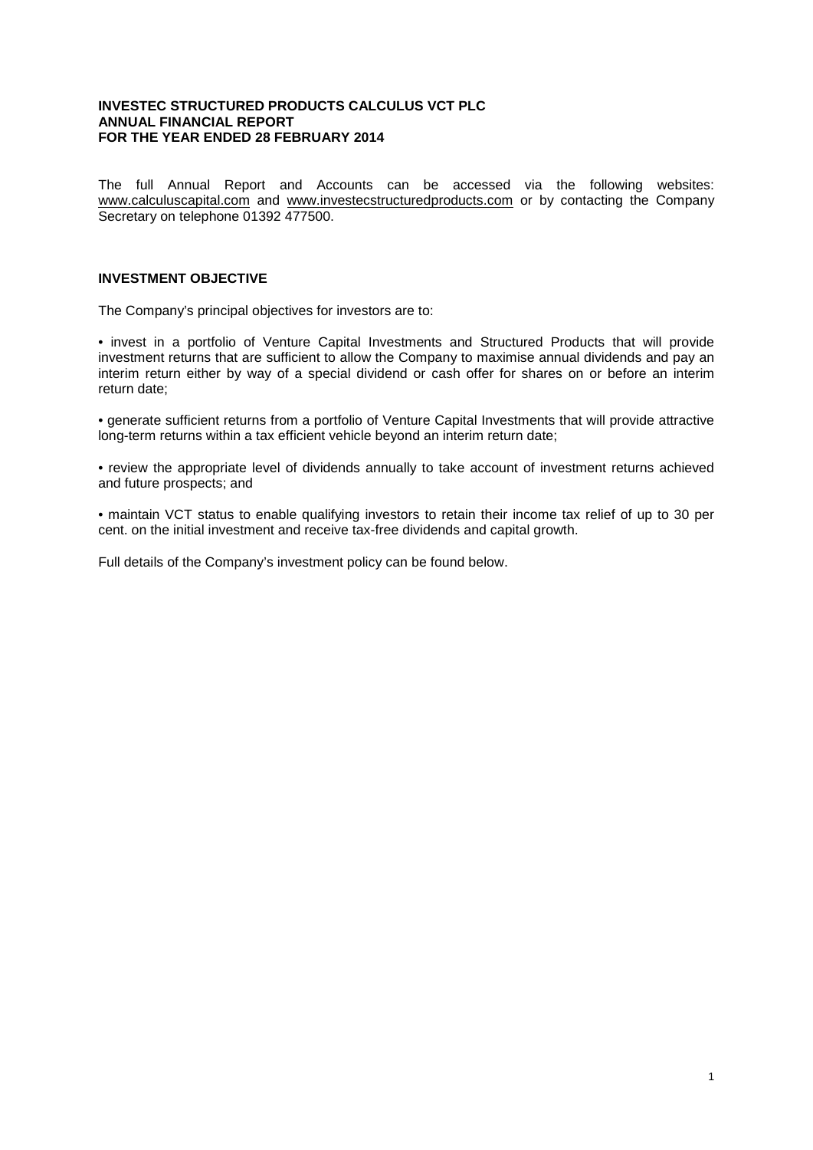### **INVESTEC STRUCTURED PRODUCTS CALCULUS VCT PLC ANNUAL FINANCIAL REPORT FOR THE YEAR ENDED 28 FEBRUARY 2014**

The full Annual Report and Accounts can be accessed via the following websites: [www.calculuscapital.com](http://www.calculuscapital.com/) and [www.investecstructuredproducts.com](http://www.investecstructuredproducts.com/) or by contacting the Company Secretary on telephone 01392 477500.

# **INVESTMENT OBJECTIVE**

The Company's principal objectives for investors are to:

• invest in a portfolio of Venture Capital Investments and Structured Products that will provide investment returns that are sufficient to allow the Company to maximise annual dividends and pay an interim return either by way of a special dividend or cash offer for shares on or before an interim return date;

• generate sufficient returns from a portfolio of Venture Capital Investments that will provide attractive long-term returns within a tax efficient vehicle beyond an interim return date;

• review the appropriate level of dividends annually to take account of investment returns achieved and future prospects; and

• maintain VCT status to enable qualifying investors to retain their income tax relief of up to 30 per cent. on the initial investment and receive tax-free dividends and capital growth.

Full details of the Company's investment policy can be found below.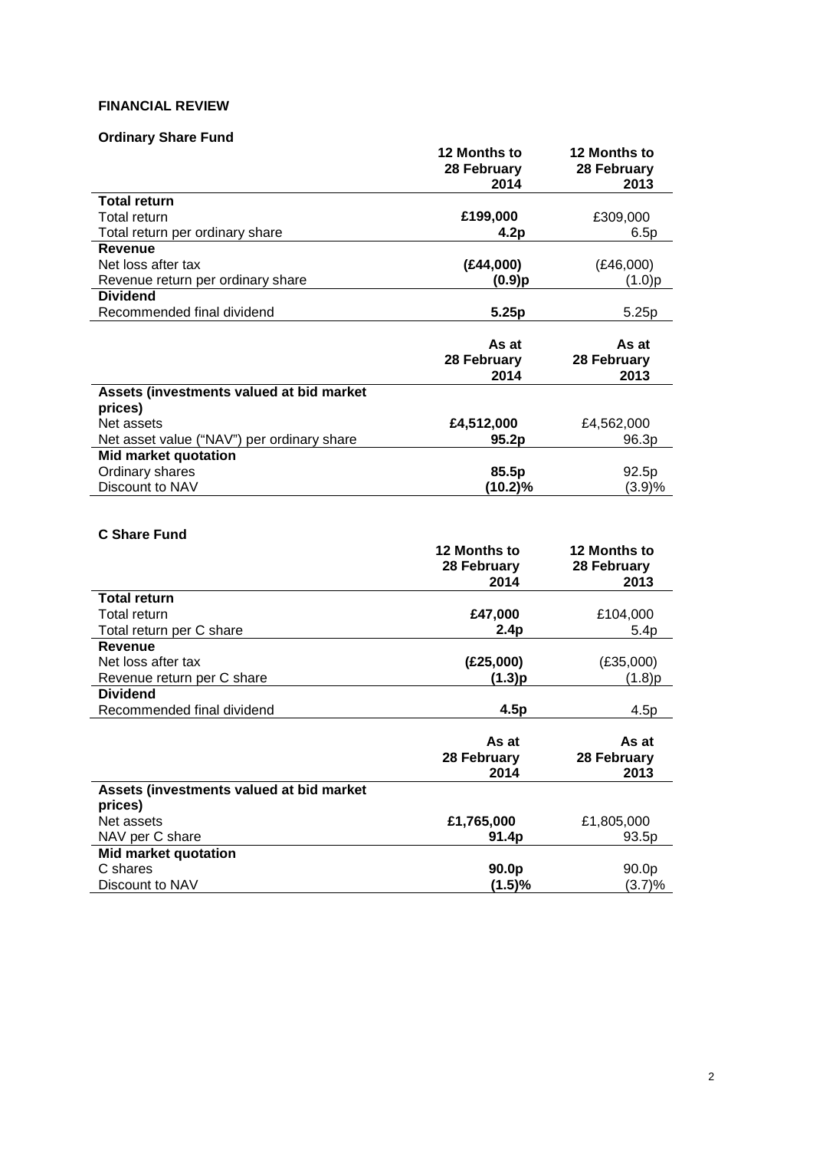# **FINANCIAL REVIEW**

# **Ordinary Share Fund**

|                                                     | 12 Months to | 12 Months to |
|-----------------------------------------------------|--------------|--------------|
|                                                     | 28 February  | 28 February  |
|                                                     | 2014         | 2013         |
| <b>Total return</b>                                 |              |              |
| Total return                                        | £199,000     | £309,000     |
| Total return per ordinary share                     | 4.2p         | 6.5p         |
| <b>Revenue</b>                                      |              |              |
| Net loss after tax                                  | (E44,000)    | (E46,000)    |
| Revenue return per ordinary share                   | (0.9)p       | (1.0)p       |
| <b>Dividend</b>                                     |              |              |
| Recommended final dividend                          | 5.25p        | 5.25p        |
|                                                     | As at        | As at        |
|                                                     | 28 February  | 28 February  |
|                                                     | 2014         | 2013         |
| Assets (investments valued at bid market<br>prices) |              |              |
| Net assets                                          | £4,512,000   | £4,562,000   |
| Net asset value ("NAV") per ordinary share          | 95.2p        | 96.3p        |
| Mid market quotation                                |              |              |
| Ordinary shares                                     | 85.5p        | 92.5p        |
| Discount to NAV                                     | (10.2)%      | (3.9)%       |

# **C Share Fund**

|                                          | <b>12 Months to</b> | <b>12 Months to</b> |
|------------------------------------------|---------------------|---------------------|
|                                          | 28 February         | 28 February         |
|                                          | 2014                | 2013                |
| <b>Total return</b>                      |                     |                     |
| <b>Total return</b>                      | £47,000             | £104,000            |
| Total return per C share                 | 2.4p                | 5.4p                |
| <b>Revenue</b>                           |                     |                     |
| Net loss after tax                       | (E25,000)           | (E35,000)           |
| Revenue return per C share               | (1.3)p              | (1.8)p              |
| <b>Dividend</b>                          |                     |                     |
| Recommended final dividend               | 4.5p                | 4.5p                |
|                                          |                     |                     |
|                                          | As at               | As at               |
|                                          | 28 February         | 28 February         |
|                                          | 2014                | 2013                |
| Assets (investments valued at bid market |                     |                     |
| prices)                                  |                     |                     |
| Net assets                               | £1,765,000          | £1,805,000          |
| NAV per C share                          | 91.4p               | 93.5p               |
| Mid market quotation                     |                     |                     |
| C shares                                 | 90.0p               | 90.0p               |
| Discount to NAV                          | (1.5)%              | (3.7)%              |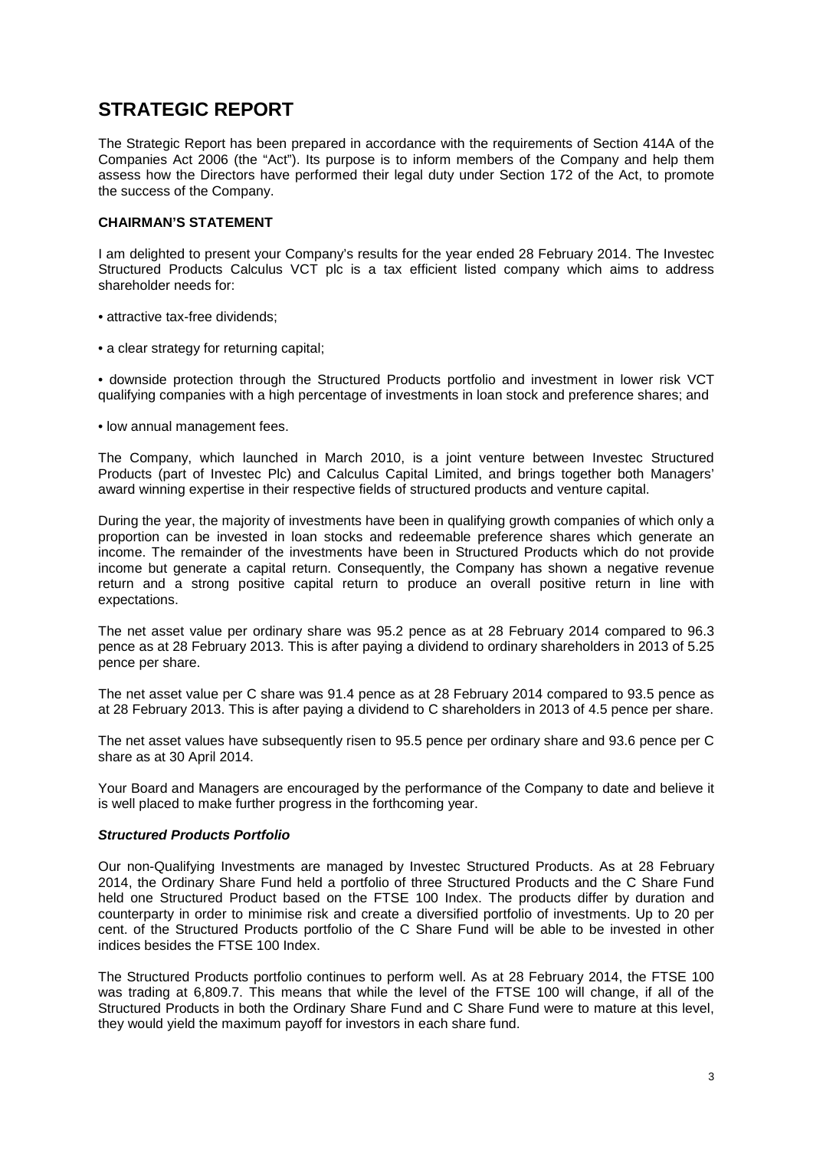# **STRATEGIC REPORT**

The Strategic Report has been prepared in accordance with the requirements of Section 414A of the Companies Act 2006 (the "Act"). Its purpose is to inform members of the Company and help them assess how the Directors have performed their legal duty under Section 172 of the Act, to promote the success of the Company.

# **CHAIRMAN'S STATEMENT**

I am delighted to present your Company's results for the year ended 28 February 2014. The Investec Structured Products Calculus VCT plc is a tax efficient listed company which aims to address shareholder needs for:

• attractive tax-free dividends;

• a clear strategy for returning capital;

• downside protection through the Structured Products portfolio and investment in lower risk VCT qualifying companies with a high percentage of investments in loan stock and preference shares; and

• low annual management fees.

The Company, which launched in March 2010, is a joint venture between Investec Structured Products (part of Investec Plc) and Calculus Capital Limited, and brings together both Managers' award winning expertise in their respective fields of structured products and venture capital.

During the year, the majority of investments have been in qualifying growth companies of which only a proportion can be invested in loan stocks and redeemable preference shares which generate an income. The remainder of the investments have been in Structured Products which do not provide income but generate a capital return. Consequently, the Company has shown a negative revenue return and a strong positive capital return to produce an overall positive return in line with expectations.

The net asset value per ordinary share was 95.2 pence as at 28 February 2014 compared to 96.3 pence as at 28 February 2013. This is after paying a dividend to ordinary shareholders in 2013 of 5.25 pence per share.

The net asset value per C share was 91.4 pence as at 28 February 2014 compared to 93.5 pence as at 28 February 2013. This is after paying a dividend to C shareholders in 2013 of 4.5 pence per share.

The net asset values have subsequently risen to 95.5 pence per ordinary share and 93.6 pence per C share as at 30 April 2014.

Your Board and Managers are encouraged by the performance of the Company to date and believe it is well placed to make further progress in the forthcoming year.

# *Structured Products Portfolio*

Our non-Qualifying Investments are managed by Investec Structured Products. As at 28 February 2014, the Ordinary Share Fund held a portfolio of three Structured Products and the C Share Fund held one Structured Product based on the FTSE 100 Index. The products differ by duration and counterparty in order to minimise risk and create a diversified portfolio of investments. Up to 20 per cent. of the Structured Products portfolio of the C Share Fund will be able to be invested in other indices besides the FTSE 100 Index.

The Structured Products portfolio continues to perform well. As at 28 February 2014, the FTSE 100 was trading at 6,809.7. This means that while the level of the FTSE 100 will change, if all of the Structured Products in both the Ordinary Share Fund and C Share Fund were to mature at this level, they would yield the maximum payoff for investors in each share fund.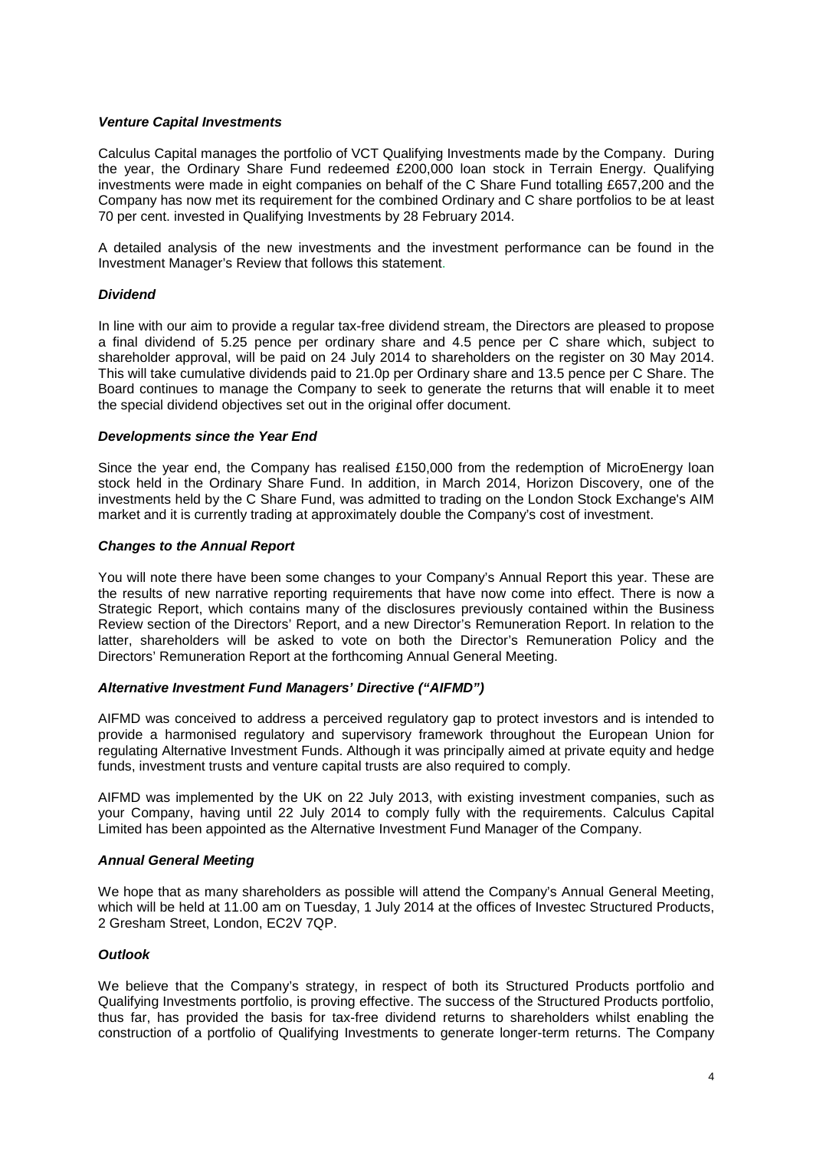#### *Venture Capital Investments*

Calculus Capital manages the portfolio of VCT Qualifying Investments made by the Company. During the year, the Ordinary Share Fund redeemed £200,000 loan stock in Terrain Energy. Qualifying investments were made in eight companies on behalf of the C Share Fund totalling £657,200 and the Company has now met its requirement for the combined Ordinary and C share portfolios to be at least 70 per cent. invested in Qualifying Investments by 28 February 2014.

A detailed analysis of the new investments and the investment performance can be found in the Investment Manager's Review that follows this statement.

### *Dividend*

In line with our aim to provide a regular tax-free dividend stream, the Directors are pleased to propose a final dividend of 5.25 pence per ordinary share and 4.5 pence per C share which, subject to shareholder approval, will be paid on 24 July 2014 to shareholders on the register on 30 May 2014. This will take cumulative dividends paid to 21.0p per Ordinary share and 13.5 pence per C Share. The Board continues to manage the Company to seek to generate the returns that will enable it to meet the special dividend objectives set out in the original offer document.

#### *Developments since the Year End*

Since the year end, the Company has realised £150,000 from the redemption of MicroEnergy loan stock held in the Ordinary Share Fund. In addition, in March 2014, Horizon Discovery, one of the investments held by the C Share Fund, was admitted to trading on the London Stock Exchange's AIM market and it is currently trading at approximately double the Company's cost of investment.

#### *Changes to the Annual Report*

You will note there have been some changes to your Company's Annual Report this year. These are the results of new narrative reporting requirements that have now come into effect. There is now a Strategic Report, which contains many of the disclosures previously contained within the Business Review section of the Directors' Report, and a new Director's Remuneration Report. In relation to the latter, shareholders will be asked to vote on both the Director's Remuneration Policy and the Directors' Remuneration Report at the forthcoming Annual General Meeting.

# *Alternative Investment Fund Managers' Directive ("AIFMD")*

AIFMD was conceived to address a perceived regulatory gap to protect investors and is intended to provide a harmonised regulatory and supervisory framework throughout the European Union for regulating Alternative Investment Funds. Although it was principally aimed at private equity and hedge funds, investment trusts and venture capital trusts are also required to comply.

AIFMD was implemented by the UK on 22 July 2013, with existing investment companies, such as your Company, having until 22 July 2014 to comply fully with the requirements. Calculus Capital Limited has been appointed as the Alternative Investment Fund Manager of the Company.

#### *Annual General Meeting*

We hope that as many shareholders as possible will attend the Company's Annual General Meeting, which will be held at 11.00 am on Tuesday, 1 July 2014 at the offices of Investec Structured Products, 2 Gresham Street, London, EC2V 7QP.

# *Outlook*

We believe that the Company's strategy, in respect of both its Structured Products portfolio and Qualifying Investments portfolio, is proving effective. The success of the Structured Products portfolio, thus far, has provided the basis for tax-free dividend returns to shareholders whilst enabling the construction of a portfolio of Qualifying Investments to generate longer-term returns. The Company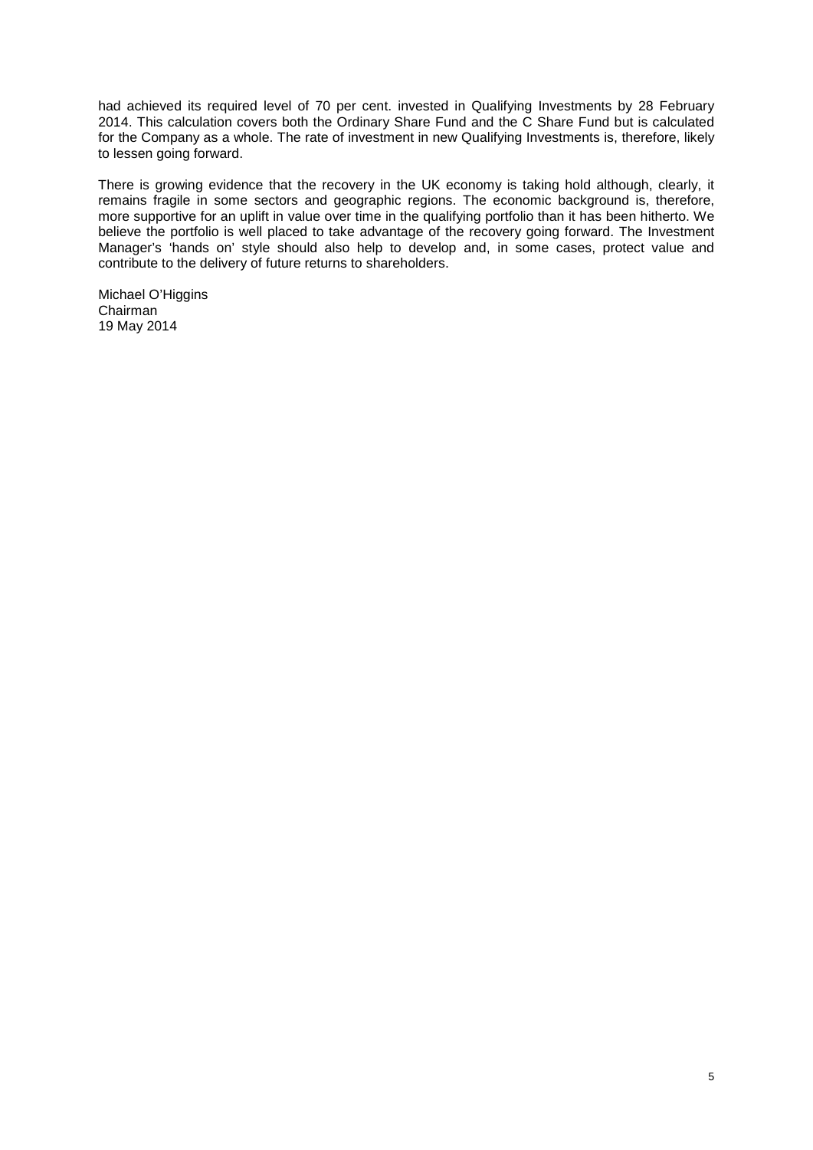had achieved its required level of 70 per cent. invested in Qualifying Investments by 28 February 2014. This calculation covers both the Ordinary Share Fund and the C Share Fund but is calculated for the Company as a whole. The rate of investment in new Qualifying Investments is, therefore, likely to lessen going forward.

There is growing evidence that the recovery in the UK economy is taking hold although, clearly, it remains fragile in some sectors and geographic regions. The economic background is, therefore, more supportive for an uplift in value over time in the qualifying portfolio than it has been hitherto. We believe the portfolio is well placed to take advantage of the recovery going forward. The Investment Manager's 'hands on' style should also help to develop and, in some cases, protect value and contribute to the delivery of future returns to shareholders.

Michael O'Higgins Chairman 19 May 2014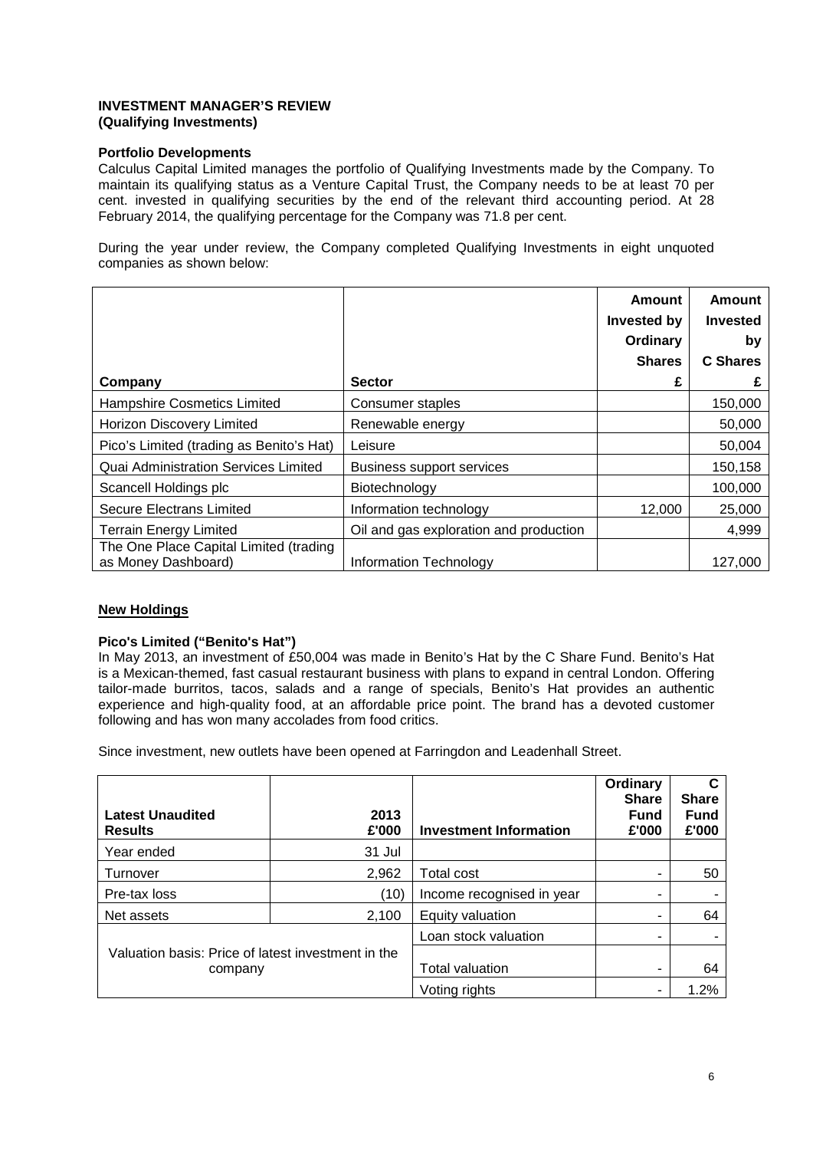# **INVESTMENT MANAGER'S REVIEW (Qualifying Investments)**

# **Portfolio Developments**

Calculus Capital Limited manages the portfolio of Qualifying Investments made by the Company. To maintain its qualifying status as a Venture Capital Trust, the Company needs to be at least 70 per cent. invested in qualifying securities by the end of the relevant third accounting period. At 28 February 2014, the qualifying percentage for the Company was 71.8 per cent.

During the year under review, the Company completed Qualifying Investments in eight unquoted companies as shown below:

|                                                               |                                        | Amount<br>Invested by<br>Ordinary<br><b>Shares</b> | <b>Amount</b><br><b>Invested</b><br>by<br><b>C</b> Shares |
|---------------------------------------------------------------|----------------------------------------|----------------------------------------------------|-----------------------------------------------------------|
| Company                                                       | <b>Sector</b>                          |                                                    |                                                           |
| Hampshire Cosmetics Limited                                   | Consumer staples                       |                                                    | 150,000                                                   |
| Horizon Discovery Limited                                     | Renewable energy                       |                                                    | 50,000                                                    |
| Pico's Limited (trading as Benito's Hat)                      | Leisure                                |                                                    | 50,004                                                    |
| <b>Quai Administration Services Limited</b>                   | <b>Business support services</b>       |                                                    | 150,158                                                   |
| Scancell Holdings plc                                         | Biotechnology                          |                                                    | 100,000                                                   |
| <b>Secure Electrans Limited</b>                               | Information technology                 | 12,000                                             | 25,000                                                    |
| <b>Terrain Energy Limited</b>                                 | Oil and gas exploration and production |                                                    | 4,999                                                     |
| The One Place Capital Limited (trading<br>as Money Dashboard) | Information Technology                 |                                                    | 127,000                                                   |

# **New Holdings**

# **Pico's Limited ("Benito's Hat")**

In May 2013, an investment of £50,004 was made in Benito's Hat by the C Share Fund. Benito's Hat is a Mexican-themed, fast casual restaurant business with plans to expand in central London. Offering tailor-made burritos, tacos, salads and a range of specials, Benito's Hat provides an authentic experience and high-quality food, at an affordable price point. The brand has a devoted customer following and has won many accolades from food critics.

Since investment, new outlets have been opened at Farringdon and Leadenhall Street.

|                                                               |               |                               | Ordinary<br><b>Share</b> | <b>Share</b>         |
|---------------------------------------------------------------|---------------|-------------------------------|--------------------------|----------------------|
| <b>Latest Unaudited</b><br><b>Results</b>                     | 2013<br>£'000 | <b>Investment Information</b> | <b>Fund</b><br>£'000     | <b>Fund</b><br>£'000 |
| Year ended                                                    | 31 Jul        |                               |                          |                      |
| Turnover                                                      | 2,962         | Total cost                    |                          | 50                   |
| Pre-tax loss                                                  | (10)          | Income recognised in year     |                          |                      |
| Net assets                                                    | 2,100         | Equity valuation              |                          | 64                   |
|                                                               |               | Loan stock valuation          |                          |                      |
| Valuation basis: Price of latest investment in the<br>company |               | <b>Total valuation</b>        |                          | 64                   |
|                                                               |               | Voting rights                 |                          | 1.2%                 |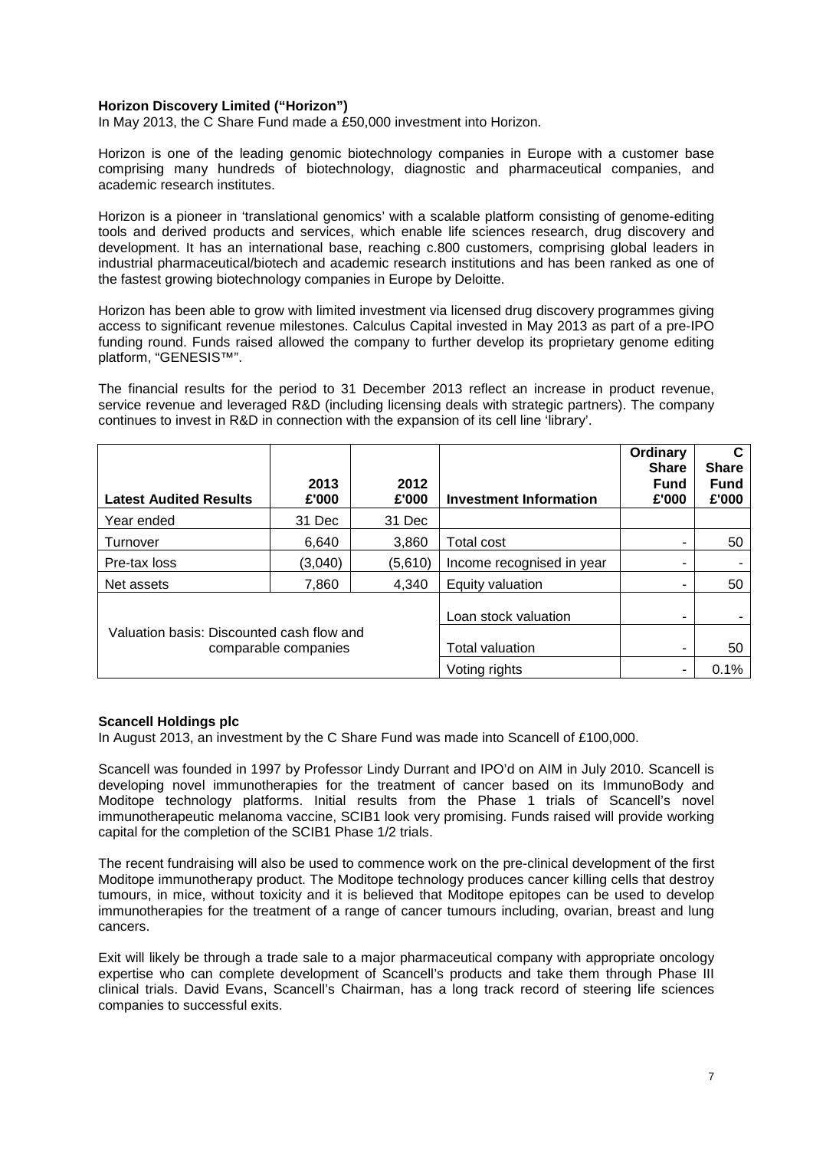# **Horizon Discovery Limited ("Horizon")**

In May 2013, the C Share Fund made a £50,000 investment into Horizon.

Horizon is one of the leading genomic biotechnology companies in Europe with a customer base comprising many hundreds of biotechnology, diagnostic and pharmaceutical companies, and academic research institutes.

Horizon is a pioneer in 'translational genomics' with a scalable platform consisting of genome-editing tools and derived products and services, which enable life sciences research, drug discovery and development. It has an international base, reaching c.800 customers, comprising global leaders in industrial pharmaceutical/biotech and academic research institutions and has been ranked as one of the fastest growing biotechnology companies in Europe by Deloitte.

Horizon has been able to grow with limited investment via licensed drug discovery programmes giving access to significant revenue milestones. Calculus Capital invested in May 2013 as part of a pre-IPO funding round. Funds raised allowed the company to further develop its proprietary genome editing platform, "GENESIS™".

The financial results for the period to 31 December 2013 reflect an increase in product revenue, service revenue and leveraged R&D (including licensing deals with strategic partners). The company continues to invest in R&D in connection with the expansion of its cell line 'library'.

|                                           |               |                      |                               | Ordinary<br><b>Share</b> | C<br><b>Share</b>    |
|-------------------------------------------|---------------|----------------------|-------------------------------|--------------------------|----------------------|
| <b>Latest Audited Results</b>             | 2013<br>£'000 | 2012<br>£'000        | <b>Investment Information</b> | <b>Fund</b><br>£'000     | <b>Fund</b><br>£'000 |
| Year ended                                | 31 Dec        | 31 Dec               |                               |                          |                      |
| Turnover                                  | 6,640         | 3,860                | Total cost                    |                          | 50                   |
| Pre-tax loss                              | (3,040)       | (5,610)              | Income recognised in year     | -                        |                      |
| Net assets                                | 7,860         | 4.340                | Equity valuation              | $\blacksquare$           | 50                   |
|                                           |               | Loan stock valuation | ۰                             |                          |                      |
| Valuation basis: Discounted cash flow and |               |                      |                               |                          |                      |
| comparable companies                      |               |                      | <b>Total valuation</b>        | ٠                        | 50                   |
|                                           |               |                      | Voting rights                 | -                        | 0.1%                 |

#### **Scancell Holdings plc**

In August 2013, an investment by the C Share Fund was made into Scancell of £100,000.

Scancell was founded in 1997 by Professor Lindy Durrant and IPO'd on AIM in July 2010. Scancell is developing novel immunotherapies for the treatment of cancer based on its ImmunoBody and Moditope technology platforms. Initial results from the Phase 1 trials of Scancell's novel immunotherapeutic melanoma vaccine, SCIB1 look very promising. Funds raised will provide working capital for the completion of the SCIB1 Phase 1/2 trials.

The recent fundraising will also be used to commence work on the pre-clinical development of the first Moditope immunotherapy product. The Moditope technology produces cancer killing cells that destroy tumours, in mice, without toxicity and it is believed that Moditope epitopes can be used to develop immunotherapies for the treatment of a range of cancer tumours including, ovarian, breast and lung cancers.

Exit will likely be through a trade sale to a major pharmaceutical company with appropriate oncology expertise who can complete development of Scancell's products and take them through Phase III clinical trials. David Evans, Scancell's Chairman, has a long track record of steering life sciences companies to successful exits.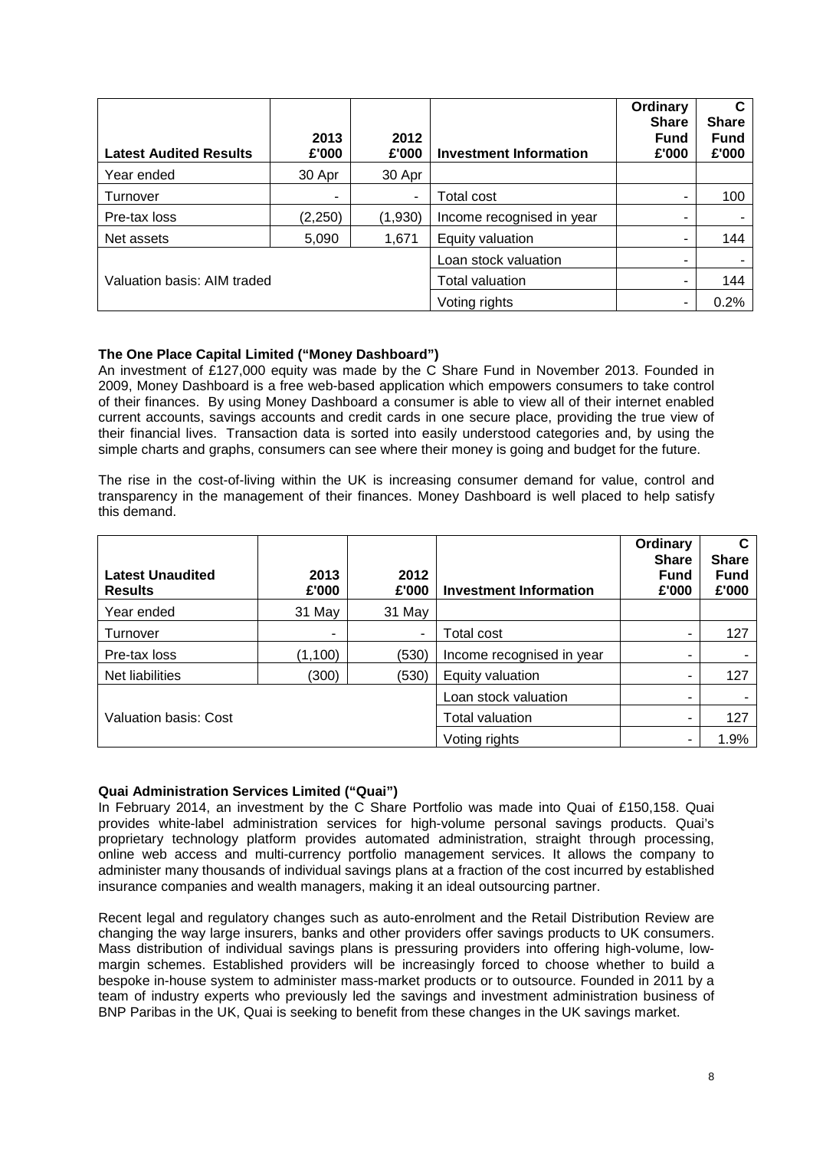|                               | 2013     | 2012                     |                               | Ordinary<br><b>Share</b><br><b>Fund</b> | C<br><b>Share</b><br><b>Fund</b> |
|-------------------------------|----------|--------------------------|-------------------------------|-----------------------------------------|----------------------------------|
| <b>Latest Audited Results</b> | £'000    | £'000                    | <b>Investment Information</b> | £'000                                   | £'000                            |
| Year ended                    | 30 Apr   | 30 Apr                   |                               |                                         |                                  |
| Turnover                      |          | $\overline{\phantom{a}}$ | Total cost                    |                                         | 100                              |
| Pre-tax loss                  | (2, 250) | (1,930)                  | Income recognised in year     |                                         |                                  |
| Net assets                    | 5,090    | 1,671                    | Equity valuation              |                                         | 144                              |
|                               |          |                          | Loan stock valuation          |                                         |                                  |
| Valuation basis: AIM traded   |          |                          | Total valuation               |                                         | 144                              |
|                               |          |                          | Voting rights                 |                                         | 0.2%                             |

# **The One Place Capital Limited ("Money Dashboard")**

An investment of £127,000 equity was made by the C Share Fund in November 2013. Founded in 2009, Money Dashboard is a free web-based application which empowers consumers to take control of their finances. By using Money Dashboard a consumer is able to view all of their internet enabled current accounts, savings accounts and credit cards in one secure place, providing the true view of their financial lives. Transaction data is sorted into easily understood categories and, by using the simple charts and graphs, consumers can see where their money is going and budget for the future.

The rise in the cost-of-living within the UK is increasing consumer demand for value, control and transparency in the management of their finances. Money Dashboard is well placed to help satisfy this demand.

|                                           |               |               |                               | Ordinary             | C                    |
|-------------------------------------------|---------------|---------------|-------------------------------|----------------------|----------------------|
|                                           |               |               |                               | <b>Share</b>         | <b>Share</b>         |
| <b>Latest Unaudited</b><br><b>Results</b> | 2013<br>£'000 | 2012<br>£'000 | <b>Investment Information</b> | <b>Fund</b><br>£'000 | <b>Fund</b><br>£'000 |
| Year ended                                | 31 May        | 31 May        |                               |                      |                      |
| Turnover                                  | ۰             | ۰             | Total cost                    | ۰                    | 127                  |
| Pre-tax loss                              | (1,100)       | (530)         | Income recognised in year     | ۰                    |                      |
| Net liabilities                           | (300)         | (530)         | Equity valuation              |                      | 127                  |
|                                           |               |               | Loan stock valuation          | ۰                    |                      |
| Valuation basis: Cost                     |               |               | <b>Total valuation</b>        | ۰                    | 127                  |
|                                           |               |               | Voting rights                 |                      | 1.9%                 |

# **Quai Administration Services Limited ("Quai")**

In February 2014, an investment by the C Share Portfolio was made into Quai of £150,158. Quai provides white-label administration services for high-volume personal savings products. Quai's proprietary technology platform provides automated administration, straight through processing, online web access and multi-currency portfolio management services. It allows the company to administer many thousands of individual savings plans at a fraction of the cost incurred by established insurance companies and wealth managers, making it an ideal outsourcing partner.

Recent legal and regulatory changes such as auto-enrolment and the Retail Distribution Review are changing the way large insurers, banks and other providers offer savings products to UK consumers. Mass distribution of individual savings plans is pressuring providers into offering high-volume, lowmargin schemes. Established providers will be increasingly forced to choose whether to build a bespoke in-house system to administer mass-market products or to outsource. Founded in 2011 by a team of industry experts who previously led the savings and investment administration business of BNP Paribas in the UK, Quai is seeking to benefit from these changes in the UK savings market.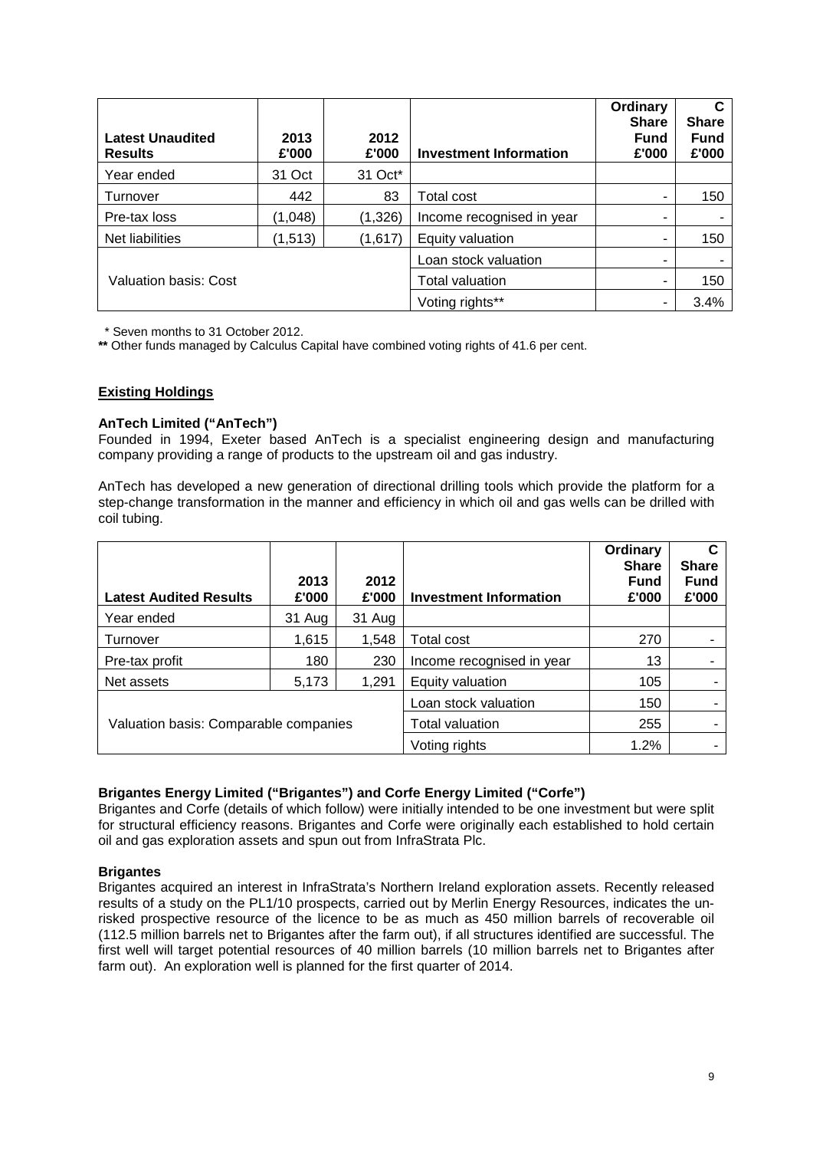| <b>Latest Unaudited</b> | 2013     | 2012    |                               | Ordinary<br><b>Share</b><br><b>Fund</b> | <b>Share</b><br><b>Fund</b> |
|-------------------------|----------|---------|-------------------------------|-----------------------------------------|-----------------------------|
| <b>Results</b>          | £'000    | £'000   | <b>Investment Information</b> | £'000                                   | £'000                       |
| Year ended              | 31 Oct   | 31 Oct* |                               |                                         |                             |
| Turnover                | 442      | 83      | Total cost                    |                                         | 150                         |
| Pre-tax loss            | (1,048)  | (1,326) | Income recognised in year     |                                         |                             |
| Net liabilities         | (1, 513) | (1,617) | Equity valuation              |                                         | 150                         |
|                         |          |         | Loan stock valuation          |                                         |                             |
| Valuation basis: Cost   |          |         | <b>Total valuation</b>        |                                         | 150                         |
|                         |          |         | Voting rights**               | ٠                                       | 3.4%                        |

\* Seven months to 31 October 2012.

**\*\*** Other funds managed by Calculus Capital have combined voting rights of 41.6 per cent.

### **Existing Holdings**

### **AnTech Limited ("AnTech")**

Founded in 1994, Exeter based AnTech is a specialist engineering design and manufacturing company providing a range of products to the upstream oil and gas industry.

AnTech has developed a new generation of directional drilling tools which provide the platform for a step-change transformation in the manner and efficiency in which oil and gas wells can be drilled with coil tubing.

|                                       | 2013   | 2012   |                               | Ordinary<br><b>Share</b><br><b>Fund</b> | C<br><b>Share</b><br><b>Fund</b> |
|---------------------------------------|--------|--------|-------------------------------|-----------------------------------------|----------------------------------|
| <b>Latest Audited Results</b>         | £'000  | £'000  | <b>Investment Information</b> | £'000                                   | £'000                            |
| Year ended                            | 31 Aug | 31 Aug |                               |                                         |                                  |
| Turnover                              | 1,615  | 1,548  | Total cost                    | 270                                     | -                                |
| Pre-tax profit                        | 180    | 230    | Income recognised in year     | 13                                      |                                  |
| Net assets                            | 5,173  | 1,291  | Equity valuation              | 105                                     |                                  |
|                                       |        |        | Loan stock valuation          | 150                                     |                                  |
| Valuation basis: Comparable companies |        |        | Total valuation               | 255                                     |                                  |
|                                       |        |        | Voting rights                 | 1.2%                                    |                                  |

#### **Brigantes Energy Limited ("Brigantes") and Corfe Energy Limited ("Corfe")**

Brigantes and Corfe (details of which follow) were initially intended to be one investment but were split for structural efficiency reasons. Brigantes and Corfe were originally each established to hold certain oil and gas exploration assets and spun out from InfraStrata Plc.

#### **Brigantes**

Brigantes acquired an interest in InfraStrata's Northern Ireland exploration assets. Recently released results of a study on the PL1/10 prospects, carried out by Merlin Energy Resources, indicates the unrisked prospective resource of the licence to be as much as 450 million barrels of recoverable oil (112.5 million barrels net to Brigantes after the farm out), if all structures identified are successful. The first well will target potential resources of 40 million barrels (10 million barrels net to Brigantes after farm out). An exploration well is planned for the first quarter of 2014.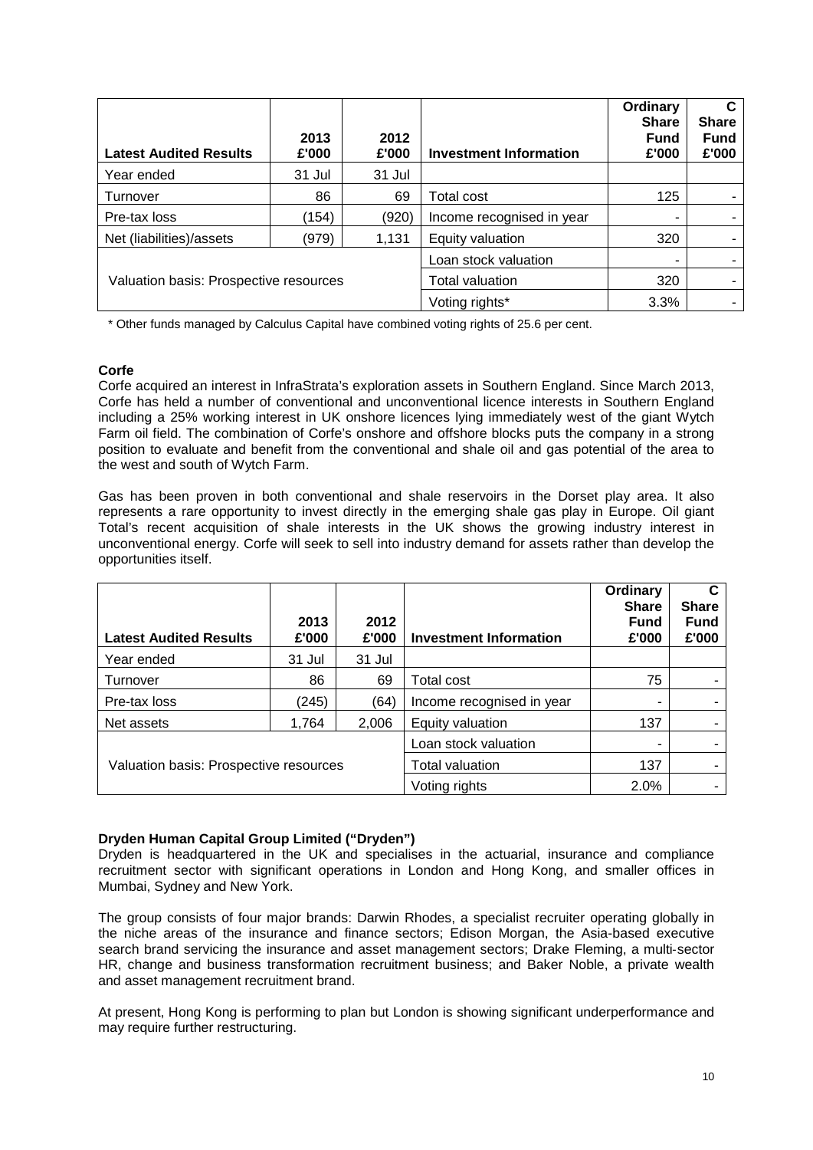| <b>Latest Audited Results</b>          | 2013<br>£'000 | 2012<br>£'000 | <b>Investment Information</b> | Ordinary<br><b>Share</b><br><b>Fund</b><br>£'000 | C<br><b>Share</b><br><b>Fund</b><br>£'000 |
|----------------------------------------|---------------|---------------|-------------------------------|--------------------------------------------------|-------------------------------------------|
| Year ended                             | 31 Jul        | 31 Jul        |                               |                                                  |                                           |
| Turnover                               | 86            | 69            | <b>Total cost</b>             | 125                                              |                                           |
| Pre-tax loss                           | (154)         | (920)         | Income recognised in year     | -                                                |                                           |
| Net (liabilities)/assets               | (979)         | 1,131         | Equity valuation              | 320                                              |                                           |
|                                        |               |               | Loan stock valuation          |                                                  |                                           |
| Valuation basis: Prospective resources |               |               | Total valuation               | 320                                              |                                           |
|                                        |               |               | Voting rights*                | 3.3%                                             |                                           |

\* Other funds managed by Calculus Capital have combined voting rights of 25.6 per cent.

# **Corfe**

Corfe acquired an interest in InfraStrata's exploration assets in Southern England. Since March 2013, Corfe has held a number of conventional and unconventional licence interests in Southern England including a 25% working interest in UK onshore licences lying immediately west of the giant Wytch Farm oil field. The combination of Corfe's onshore and offshore blocks puts the company in a strong position to evaluate and benefit from the conventional and shale oil and gas potential of the area to the west and south of Wytch Farm.

Gas has been proven in both conventional and shale reservoirs in the Dorset play area. It also represents a rare opportunity to invest directly in the emerging shale gas play in Europe. Oil giant Total's recent acquisition of shale interests in the UK shows the growing industry interest in unconventional energy. Corfe will seek to sell into industry demand for assets rather than develop the opportunities itself.

|                                        |               |               |                               | Ordinary<br><b>Share</b> | C<br><b>Share</b>    |
|----------------------------------------|---------------|---------------|-------------------------------|--------------------------|----------------------|
| <b>Latest Audited Results</b>          | 2013<br>£'000 | 2012<br>£'000 | <b>Investment Information</b> | <b>Fund</b><br>£'000     | <b>Fund</b><br>£'000 |
| Year ended                             | 31 Jul        | 31 Jul        |                               |                          |                      |
| Turnover                               | 86            | 69            | Total cost                    | 75                       |                      |
| Pre-tax loss                           | (245)         | (64)          | Income recognised in year     |                          |                      |
| Net assets                             | 1,764         | 2,006         | Equity valuation              | 137                      |                      |
|                                        |               |               | Loan stock valuation          |                          |                      |
| Valuation basis: Prospective resources |               |               | <b>Total valuation</b>        | 137                      |                      |
|                                        |               |               | Voting rights                 | 2.0%                     |                      |

# **Dryden Human Capital Group Limited ("Dryden")**

Dryden is headquartered in the UK and specialises in the actuarial, insurance and compliance recruitment sector with significant operations in London and Hong Kong, and smaller offices in Mumbai, Sydney and New York.

The group consists of four major brands: Darwin Rhodes, a specialist recruiter operating globally in the niche areas of the insurance and finance sectors; Edison Morgan, the Asia-based executive search brand servicing the insurance and asset management sectors; Drake Fleming, a multi-sector HR, change and business transformation recruitment business; and Baker Noble, a private wealth and asset management recruitment brand.

At present, Hong Kong is performing to plan but London is showing significant underperformance and may require further restructuring.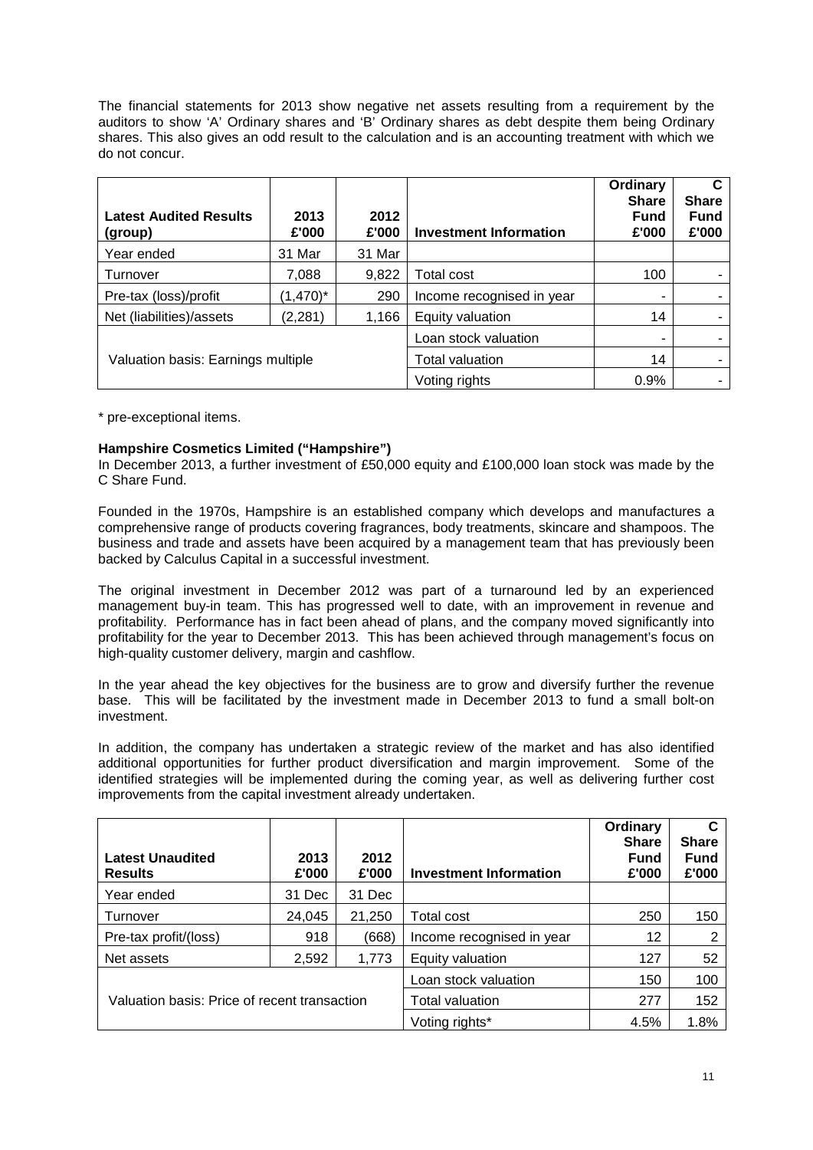The financial statements for 2013 show negative net assets resulting from a requirement by the auditors to show 'A' Ordinary shares and 'B' Ordinary shares as debt despite them being Ordinary shares. This also gives an odd result to the calculation and is an accounting treatment with which we do not concur.

|                                          |               |               |                               | Ordinary<br><b>Share</b> | C<br><b>Share</b>    |
|------------------------------------------|---------------|---------------|-------------------------------|--------------------------|----------------------|
| <b>Latest Audited Results</b><br>(group) | 2013<br>£'000 | 2012<br>£'000 | <b>Investment Information</b> | <b>Fund</b><br>£'000     | <b>Fund</b><br>£'000 |
| Year ended                               | 31 Mar        | 31 Mar        |                               |                          |                      |
| Turnover                                 | 7,088         | 9,822         | Total cost                    | 100                      |                      |
| Pre-tax (loss)/profit                    | $(1,470)^*$   | 290           | Income recognised in year     |                          |                      |
| Net (liabilities)/assets                 | (2,281)       | 1,166         | Equity valuation              | 14                       |                      |
|                                          |               |               | Loan stock valuation          |                          |                      |
| Valuation basis: Earnings multiple       |               |               | Total valuation               | 14                       | -                    |
|                                          |               |               | Voting rights                 | 0.9%                     |                      |

\* pre-exceptional items.

# **Hampshire Cosmetics Limited ("Hampshire")**

In December 2013, a further investment of £50,000 equity and £100,000 loan stock was made by the C Share Fund.

Founded in the 1970s, Hampshire is an established company which develops and manufactures a comprehensive range of products covering fragrances, body treatments, skincare and shampoos. The business and trade and assets have been acquired by a management team that has previously been backed by Calculus Capital in a successful investment.

The original investment in December 2012 was part of a turnaround led by an experienced management buy-in team. This has progressed well to date, with an improvement in revenue and profitability. Performance has in fact been ahead of plans, and the company moved significantly into profitability for the year to December 2013. This has been achieved through management's focus on high-quality customer delivery, margin and cashflow.

In the year ahead the key objectives for the business are to grow and diversify further the revenue base. This will be facilitated by the investment made in December 2013 to fund a small bolt-on investment.

In addition, the company has undertaken a strategic review of the market and has also identified additional opportunities for further product diversification and margin improvement. Some of the identified strategies will be implemented during the coming year, as well as delivering further cost improvements from the capital investment already undertaken.

|                                              |               |               |                               | Ordinary<br><b>Share</b> | C<br><b>Share</b>    |
|----------------------------------------------|---------------|---------------|-------------------------------|--------------------------|----------------------|
| <b>Latest Unaudited</b><br><b>Results</b>    | 2013<br>£'000 | 2012<br>£'000 | <b>Investment Information</b> | <b>Fund</b><br>£'000     | <b>Fund</b><br>£'000 |
| Year ended                                   | 31 Dec        | 31 Dec        |                               |                          |                      |
| Turnover                                     | 24,045        | 21,250        | <b>Total cost</b>             | 250                      | 150                  |
| Pre-tax profit/(loss)                        | 918           | (668)         | Income recognised in year     | 12                       | 2                    |
| Net assets                                   | 2,592         | 1,773         | Equity valuation              | 127                      | 52                   |
|                                              |               |               | Loan stock valuation          | 150                      | 100                  |
| Valuation basis: Price of recent transaction |               |               | <b>Total valuation</b>        | 277                      | 152                  |
|                                              |               |               | Voting rights*                | 4.5%                     | 1.8%                 |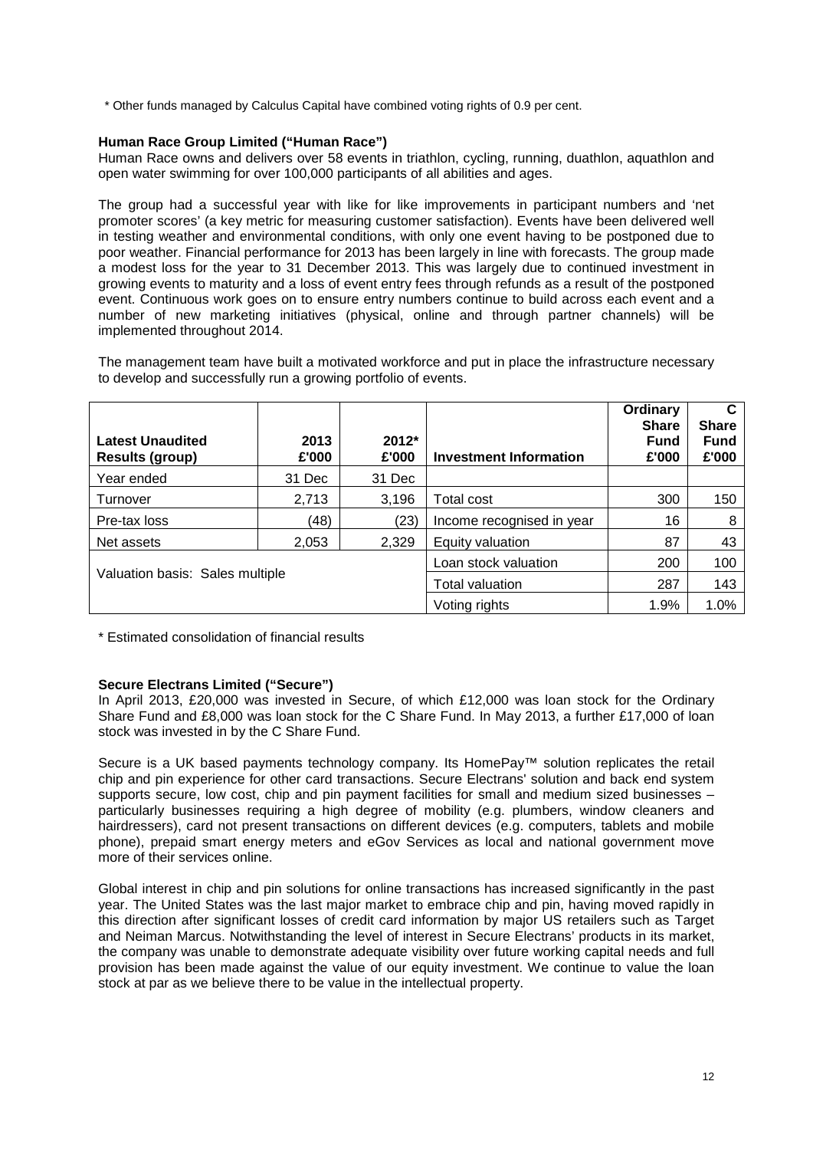\* Other funds managed by Calculus Capital have combined voting rights of 0.9 per cent.

#### **Human Race Group Limited ("Human Race")**

Human Race owns and delivers over 58 events in triathlon, cycling, running, duathlon, aquathlon and open water swimming for over 100,000 participants of all abilities and ages.

The group had a successful year with like for like improvements in participant numbers and 'net promoter scores' (a key metric for measuring customer satisfaction). Events have been delivered well in testing weather and environmental conditions, with only one event having to be postponed due to poor weather. Financial performance for 2013 has been largely in line with forecasts. The group made a modest loss for the year to 31 December 2013. This was largely due to continued investment in growing events to maturity and a loss of event entry fees through refunds as a result of the postponed event. Continuous work goes on to ensure entry numbers continue to build across each event and a number of new marketing initiatives (physical, online and through partner channels) will be implemented throughout 2014.

The management team have built a motivated workforce and put in place the infrastructure necessary to develop and successfully run a growing portfolio of events.

|                                                   |               |                  |                               | Ordinary<br><b>Share</b> | C<br><b>Share</b>    |
|---------------------------------------------------|---------------|------------------|-------------------------------|--------------------------|----------------------|
| <b>Latest Unaudited</b><br><b>Results (group)</b> | 2013<br>£'000 | $2012*$<br>£'000 | <b>Investment Information</b> | <b>Fund</b><br>£'000     | <b>Fund</b><br>£'000 |
| Year ended                                        | 31 Dec        | 31 Dec           |                               |                          |                      |
| Turnover                                          | 2,713         | 3.196            | Total cost                    | 300                      | 150                  |
| Pre-tax loss                                      | (48)          | (23)             | Income recognised in year     | 16                       | 8                    |
| Net assets                                        | 2,053         | 2,329            | Equity valuation              | 87                       | 43                   |
|                                                   |               |                  | Loan stock valuation          | 200                      | 100                  |
| Valuation basis: Sales multiple                   |               |                  | Total valuation               | 287                      | 143                  |
|                                                   |               |                  | Voting rights                 | 1.9%                     | 1.0%                 |

\* Estimated consolidation of financial results

#### **Secure Electrans Limited ("Secure")**

In April 2013, £20,000 was invested in Secure, of which £12,000 was loan stock for the Ordinary Share Fund and £8,000 was loan stock for the C Share Fund. In May 2013, a further £17,000 of loan stock was invested in by the C Share Fund.

Secure is a UK based payments technology company. Its HomePay™ solution replicates the retail chip and pin experience for other card transactions. Secure Electrans' solution and back end system supports secure, low cost, chip and pin payment facilities for small and medium sized businesses – particularly businesses requiring a high degree of mobility (e.g. plumbers, window cleaners and hairdressers), card not present transactions on different devices (e.g. computers, tablets and mobile phone), prepaid smart energy meters and eGov Services as local and national government move more of their services online.

Global interest in chip and pin solutions for online transactions has increased significantly in the past year. The United States was the last major market to embrace chip and pin, having moved rapidly in this direction after significant losses of credit card information by major US retailers such as Target and Neiman Marcus. Notwithstanding the level of interest in Secure Electrans' products in its market, the company was unable to demonstrate adequate visibility over future working capital needs and full provision has been made against the value of our equity investment. We continue to value the loan stock at par as we believe there to be value in the intellectual property.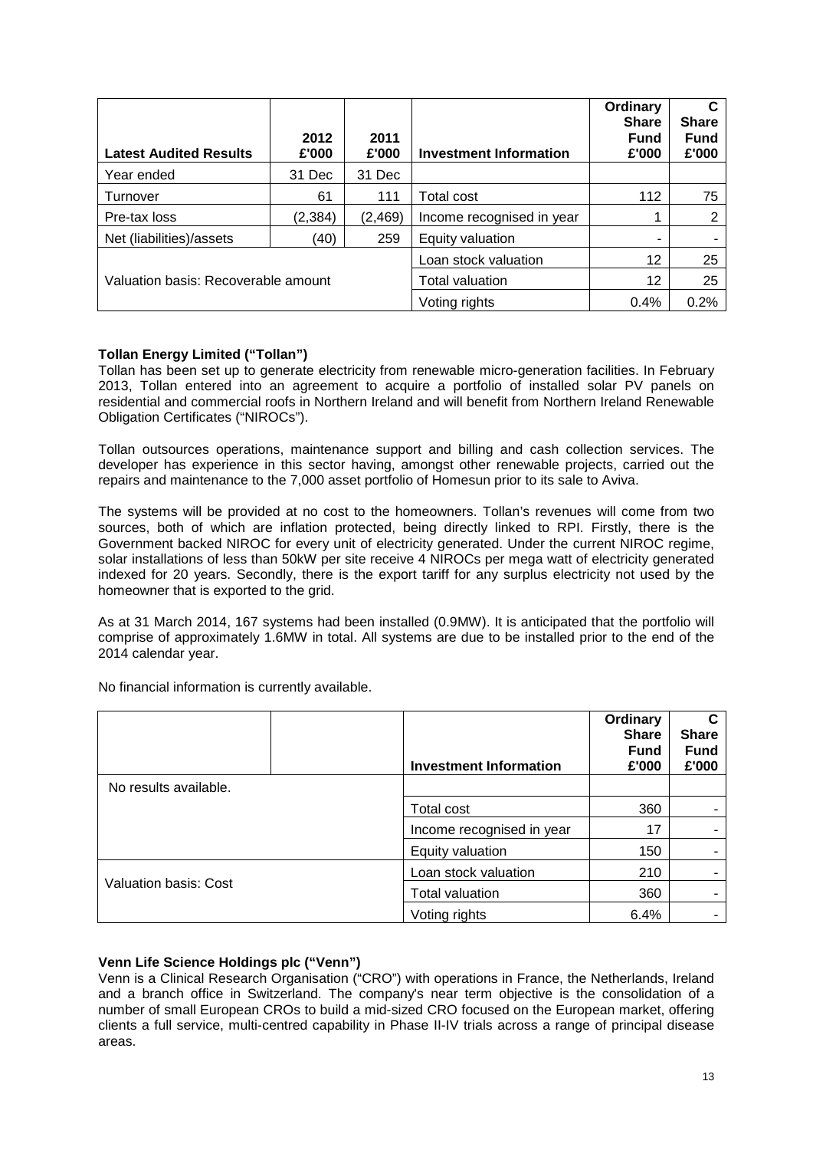|                                     | 2012    | 2011    |                               | Ordinary<br><b>Share</b><br><b>Fund</b> | <b>Share</b><br><b>Fund</b> |
|-------------------------------------|---------|---------|-------------------------------|-----------------------------------------|-----------------------------|
| <b>Latest Audited Results</b>       | £'000   | £'000   | <b>Investment Information</b> | £'000                                   | £'000                       |
| Year ended                          | 31 Dec  | 31 Dec  |                               |                                         |                             |
| Turnover                            | 61      | 111     | Total cost                    | 112                                     | 75                          |
| Pre-tax loss                        | (2,384) | (2,469) | Income recognised in year     | 1                                       | 2                           |
| Net (liabilities)/assets            | (40)    | 259     | Equity valuation              |                                         |                             |
|                                     |         |         | Loan stock valuation          | 12                                      | 25                          |
| Valuation basis: Recoverable amount |         |         | Total valuation               | 12                                      | 25                          |
|                                     |         |         | Voting rights                 | 0.4%                                    | 0.2%                        |

# **Tollan Energy Limited ("Tollan")**

Tollan has been set up to generate electricity from renewable micro-generation facilities. In February 2013, Tollan entered into an agreement to acquire a portfolio of installed solar PV panels on residential and commercial roofs in Northern Ireland and will benefit from Northern Ireland Renewable Obligation Certificates ("NIROCs").

Tollan outsources operations, maintenance support and billing and cash collection services. The developer has experience in this sector having, amongst other renewable projects, carried out the repairs and maintenance to the 7,000 asset portfolio of Homesun prior to its sale to Aviva.

The systems will be provided at no cost to the homeowners. Tollan's revenues will come from two sources, both of which are inflation protected, being directly linked to RPI. Firstly, there is the Government backed NIROC for every unit of electricity generated. Under the current NIROC regime, solar installations of less than 50kW per site receive 4 NIROCs per mega watt of electricity generated indexed for 20 years. Secondly, there is the export tariff for any surplus electricity not used by the homeowner that is exported to the grid.

As at 31 March 2014, 167 systems had been installed (0.9MW). It is anticipated that the portfolio will comprise of approximately 1.6MW in total. All systems are due to be installed prior to the end of the 2014 calendar year.

No financial information is currently available.

|                       | <b>Investment Information</b> | Ordinary<br><b>Share</b><br><b>Fund</b><br>£'000 | C<br><b>Share</b><br><b>Fund</b><br>£'000 |
|-----------------------|-------------------------------|--------------------------------------------------|-------------------------------------------|
| No results available. |                               |                                                  |                                           |
|                       | Total cost                    | 360                                              |                                           |
|                       | Income recognised in year     | 17                                               |                                           |
|                       | Equity valuation              | 150                                              |                                           |
| Valuation basis: Cost | Loan stock valuation          | 210                                              |                                           |
|                       | Total valuation               | 360                                              |                                           |
|                       | Voting rights                 | 6.4%                                             |                                           |

# **Venn Life Science Holdings plc ("Venn")**

Venn is a Clinical Research Organisation ("CRO") with operations in France, the Netherlands, Ireland and a branch office in Switzerland. The company's near term objective is the consolidation of a number of small European CROs to build a mid-sized CRO focused on the European market, offering clients a full service, multi-centred capability in Phase II-IV trials across a range of principal disease areas.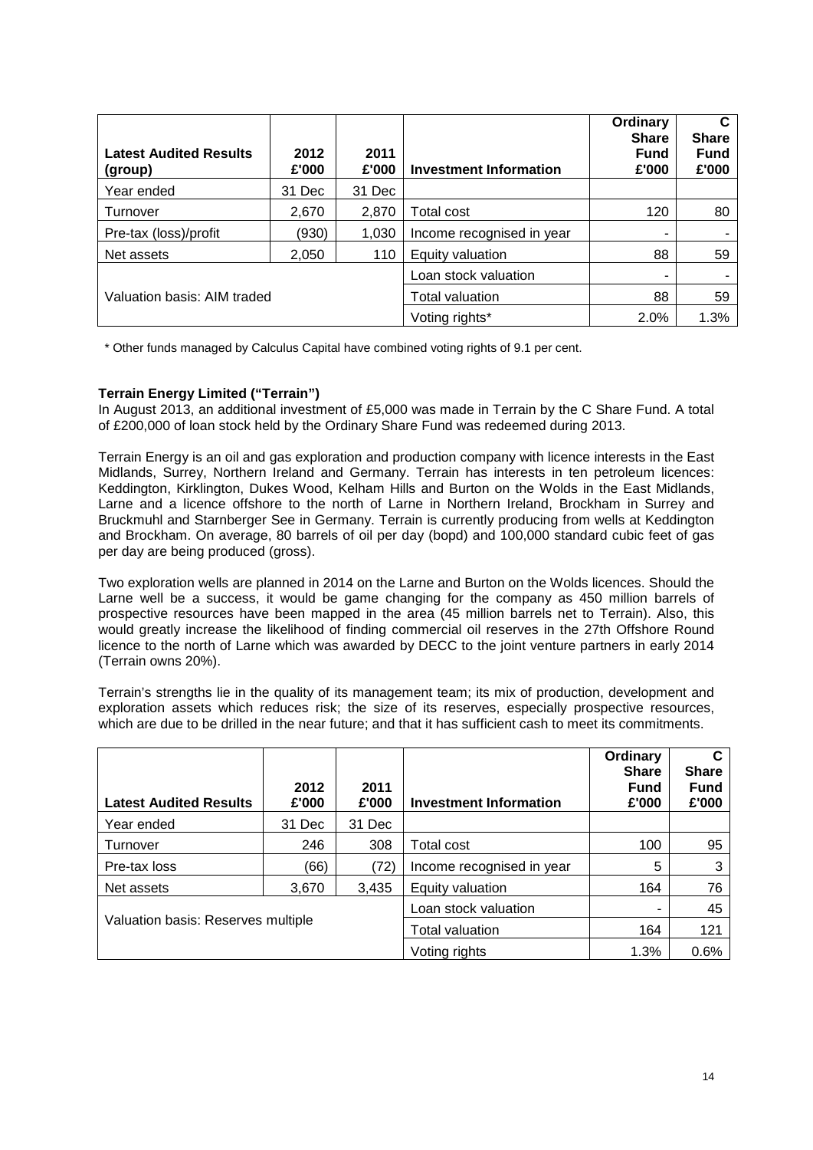| <b>Latest Audited Results</b><br>(group) | 2012<br>£'000 | 2011<br>£'000 | <b>Investment Information</b> | Ordinary<br><b>Share</b><br><b>Fund</b><br>£'000 | <b>Share</b><br><b>Fund</b><br>£'000 |
|------------------------------------------|---------------|---------------|-------------------------------|--------------------------------------------------|--------------------------------------|
| Year ended                               | 31 Dec        | 31 Dec        |                               |                                                  |                                      |
| Turnover                                 | 2,670         | 2.870         | Total cost                    | 120                                              | 80                                   |
| Pre-tax (loss)/profit                    | (930)         | 1,030         | Income recognised in year     | ۰                                                |                                      |
| Net assets                               | 2,050         | 110           | Equity valuation              | 88                                               | 59                                   |
|                                          |               |               | Loan stock valuation          | ۰                                                |                                      |
| Valuation basis: AIM traded              |               |               | <b>Total valuation</b>        | 88                                               | 59                                   |
|                                          |               |               | Voting rights*                | 2.0%                                             | 1.3%                                 |

\* Other funds managed by Calculus Capital have combined voting rights of 9.1 per cent.

# **Terrain Energy Limited ("Terrain")**

In August 2013, an additional investment of £5,000 was made in Terrain by the C Share Fund. A total of £200,000 of loan stock held by the Ordinary Share Fund was redeemed during 2013.

Terrain Energy is an oil and gas exploration and production company with licence interests in the East Midlands, Surrey, Northern Ireland and Germany. Terrain has interests in ten petroleum licences: Keddington, Kirklington, Dukes Wood, Kelham Hills and Burton on the Wolds in the East Midlands, Larne and a licence offshore to the north of Larne in Northern Ireland, Brockham in Surrey and Bruckmuhl and Starnberger See in Germany. Terrain is currently producing from wells at Keddington and Brockham. On average, 80 barrels of oil per day (bopd) and 100,000 standard cubic feet of gas per day are being produced (gross).

Two exploration wells are planned in 2014 on the Larne and Burton on the Wolds licences. Should the Larne well be a success, it would be game changing for the company as 450 million barrels of prospective resources have been mapped in the area (45 million barrels net to Terrain). Also, this would greatly increase the likelihood of finding commercial oil reserves in the 27th Offshore Round licence to the north of Larne which was awarded by DECC to the joint venture partners in early 2014 (Terrain owns 20%).

Terrain's strengths lie in the quality of its management team; its mix of production, development and exploration assets which reduces risk; the size of its reserves, especially prospective resources, which are due to be drilled in the near future; and that it has sufficient cash to meet its commitments.

|                                    |               |               |                               | Ordinary<br><b>Share</b> | <b>Share</b>  |
|------------------------------------|---------------|---------------|-------------------------------|--------------------------|---------------|
| <b>Latest Audited Results</b>      | 2012<br>£'000 | 2011<br>£'000 | <b>Investment Information</b> | <b>Fund</b><br>£'000     | Fund<br>£'000 |
| Year ended                         | 31 Dec        | 31 Dec        |                               |                          |               |
| Turnover                           | 246           | 308           | <b>Total cost</b>             | 100                      | 95            |
| Pre-tax loss                       | (66)          | (72)          | Income recognised in year     | 5                        | 3             |
| Net assets                         | 3,670         | 3,435         | Equity valuation              | 164                      | 76            |
|                                    |               |               | Loan stock valuation          | ۰                        | 45            |
| Valuation basis: Reserves multiple |               |               | Total valuation               | 164                      | 121           |
|                                    |               |               | Voting rights                 | 1.3%                     | 0.6%          |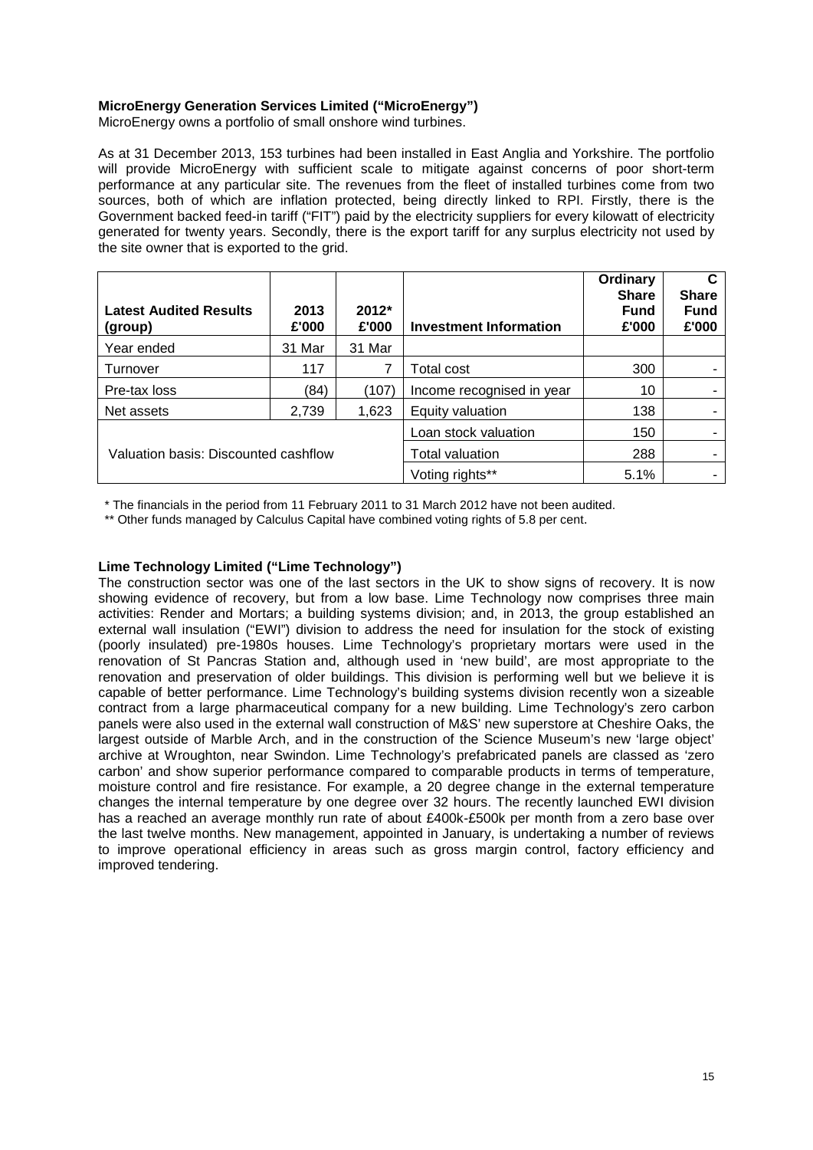# **MicroEnergy Generation Services Limited ("MicroEnergy")**

MicroEnergy owns a portfolio of small onshore wind turbines.

As at 31 December 2013, 153 turbines had been installed in East Anglia and Yorkshire. The portfolio will provide MicroEnergy with sufficient scale to mitigate against concerns of poor short-term performance at any particular site. The revenues from the fleet of installed turbines come from two sources, both of which are inflation protected, being directly linked to RPI. Firstly, there is the Government backed feed-in tariff ("FIT") paid by the electricity suppliers for every kilowatt of electricity generated for twenty years. Secondly, there is the export tariff for any surplus electricity not used by the site owner that is exported to the grid.

| <b>Latest Audited Results</b><br>(group) | 2013<br>£'000 | $2012*$<br>£'000 | <b>Investment Information</b> | Ordinary<br><b>Share</b><br><b>Fund</b><br>£'000 | С<br><b>Share</b><br><b>Fund</b><br>£'000 |
|------------------------------------------|---------------|------------------|-------------------------------|--------------------------------------------------|-------------------------------------------|
| Year ended                               | 31 Mar        | 31 Mar           |                               |                                                  |                                           |
| Turnover                                 | 117           | 7                | Total cost                    | 300                                              |                                           |
| Pre-tax loss                             | (84)          | (107)            | Income recognised in year     | 10                                               |                                           |
| Net assets                               | 2,739         | 1,623            | Equity valuation              | 138                                              |                                           |
|                                          |               |                  | Loan stock valuation          | 150                                              |                                           |
| Valuation basis: Discounted cashflow     |               |                  | Total valuation               | 288                                              |                                           |
|                                          |               |                  | Voting rights**               | 5.1%                                             |                                           |

\* The financials in the period from 11 February 2011 to 31 March 2012 have not been audited.

\*\* Other funds managed by Calculus Capital have combined voting rights of 5.8 per cent.

# **Lime Technology Limited ("Lime Technology")**

The construction sector was one of the last sectors in the UK to show signs of recovery. It is now showing evidence of recovery, but from a low base. Lime Technology now comprises three main activities: Render and Mortars; a building systems division; and, in 2013, the group established an external wall insulation ("EWI") division to address the need for insulation for the stock of existing (poorly insulated) pre-1980s houses. Lime Technology's proprietary mortars were used in the renovation of St Pancras Station and, although used in 'new build', are most appropriate to the renovation and preservation of older buildings. This division is performing well but we believe it is capable of better performance. Lime Technology's building systems division recently won a sizeable contract from a large pharmaceutical company for a new building. Lime Technology's zero carbon panels were also used in the external wall construction of M&S' new superstore at Cheshire Oaks, the largest outside of Marble Arch, and in the construction of the Science Museum's new 'large object' archive at Wroughton, near Swindon. Lime Technology's prefabricated panels are classed as 'zero carbon' and show superior performance compared to comparable products in terms of temperature, moisture control and fire resistance. For example, a 20 degree change in the external temperature changes the internal temperature by one degree over 32 hours. The recently launched EWI division has a reached an average monthly run rate of about £400k-£500k per month from a zero base over the last twelve months. New management, appointed in January, is undertaking a number of reviews to improve operational efficiency in areas such as gross margin control, factory efficiency and improved tendering.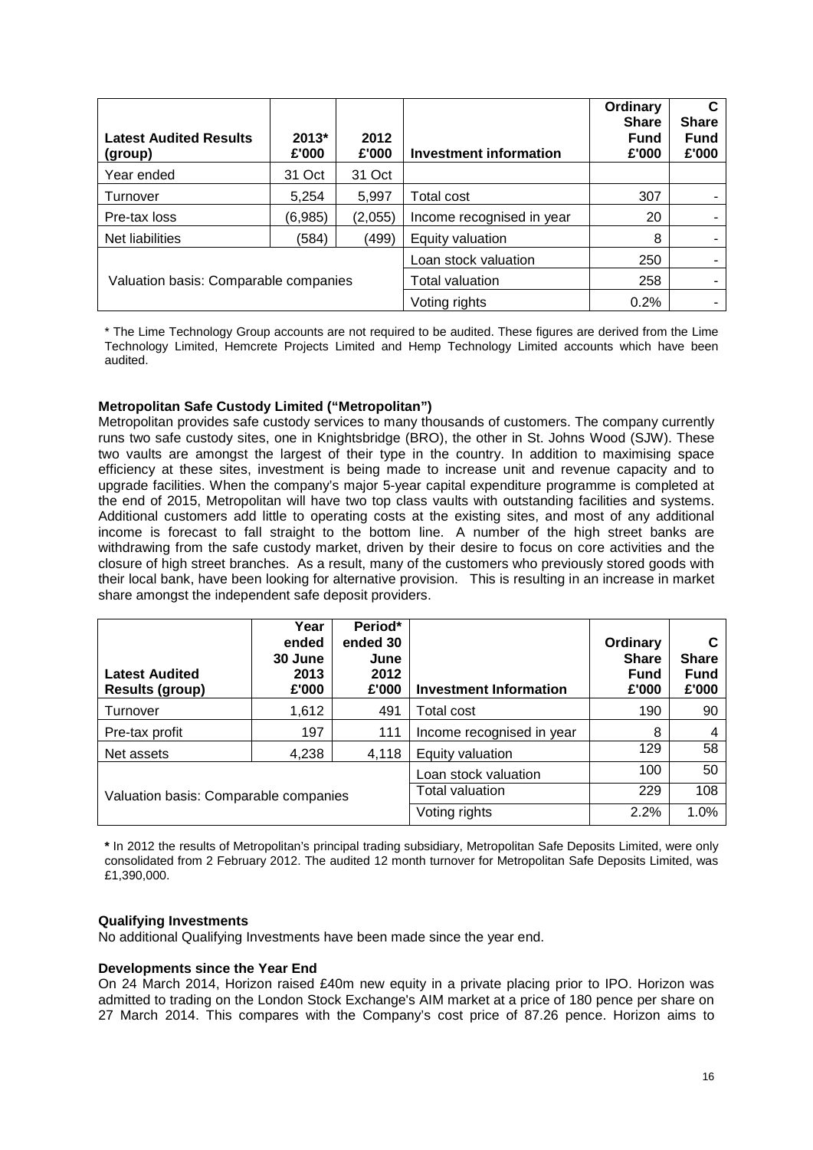| <b>Latest Audited Results</b><br>(group) | $2013*$<br>£'000 | 2012<br>£'000 | <b>Investment information</b> | Ordinary<br><b>Share</b><br><b>Fund</b><br>£'000 | <b>Share</b><br><b>Fund</b><br>£'000 |
|------------------------------------------|------------------|---------------|-------------------------------|--------------------------------------------------|--------------------------------------|
| Year ended                               | 31 Oct           | 31 Oct        |                               |                                                  |                                      |
| Turnover                                 | 5,254            | 5,997         | Total cost                    | 307                                              |                                      |
| Pre-tax loss                             | (6,985)          | (2,055)       | Income recognised in year     | 20                                               |                                      |
| Net liabilities                          | (584)            | (499)         | Equity valuation              | 8                                                |                                      |
|                                          |                  |               | Loan stock valuation          | 250                                              |                                      |
| Valuation basis: Comparable companies    |                  |               | Total valuation               | 258                                              |                                      |
|                                          |                  |               | Voting rights                 | 0.2%                                             |                                      |

\* The Lime Technology Group accounts are not required to be audited. These figures are derived from the Lime Technology Limited, Hemcrete Projects Limited and Hemp Technology Limited accounts which have been audited.

# **Metropolitan Safe Custody Limited ("Metropolitan")**

Metropolitan provides safe custody services to many thousands of customers. The company currently runs two safe custody sites, one in Knightsbridge (BRO), the other in St. Johns Wood (SJW). These two vaults are amongst the largest of their type in the country. In addition to maximising space efficiency at these sites, investment is being made to increase unit and revenue capacity and to upgrade facilities. When the company's major 5-year capital expenditure programme is completed at the end of 2015, Metropolitan will have two top class vaults with outstanding facilities and systems. Additional customers add little to operating costs at the existing sites, and most of any additional income is forecast to fall straight to the bottom line. A number of the high street banks are withdrawing from the safe custody market, driven by their desire to focus on core activities and the closure of high street branches. As a result, many of the customers who previously stored goods with their local bank, have been looking for alternative provision. This is resulting in an increase in market share amongst the independent safe deposit providers.

| <b>Latest Audited</b><br><b>Results (group)</b> | Year<br>ended<br>30 June<br>2013<br>£'000 | Period*<br>ended 30<br>June<br>2012<br>£'000 | <b>Investment Information</b> | Ordinary<br><b>Share</b><br><b>Fund</b><br>£'000 | <b>Share</b><br><b>Fund</b><br>£'000 |
|-------------------------------------------------|-------------------------------------------|----------------------------------------------|-------------------------------|--------------------------------------------------|--------------------------------------|
| Turnover                                        | 1,612                                     | 491                                          | Total cost                    | 190                                              | 90                                   |
| Pre-tax profit                                  | 197                                       | 111                                          | Income recognised in year     | 8                                                | 4                                    |
| Net assets                                      | 4,238                                     | 4,118                                        | Equity valuation              | 129                                              | 58                                   |
|                                                 |                                           |                                              | Loan stock valuation          | 100                                              | 50                                   |
| Valuation basis: Comparable companies           |                                           |                                              | <b>Total valuation</b>        | 229                                              | 108                                  |
|                                                 |                                           |                                              | Voting rights                 | 2.2%                                             | 1.0%                                 |

**\*** In 2012 the results of Metropolitan's principal trading subsidiary, Metropolitan Safe Deposits Limited, were only consolidated from 2 February 2012. The audited 12 month turnover for Metropolitan Safe Deposits Limited, was £1,390,000.

#### **Qualifying Investments**

No additional Qualifying Investments have been made since the year end.

#### **Developments since the Year End**

On 24 March 2014, Horizon raised £40m new equity in a private placing prior to IPO. Horizon was admitted to trading on the London Stock Exchange's AIM market at a price of 180 pence per share on 27 March 2014. This compares with the Company's cost price of 87.26 pence. Horizon aims to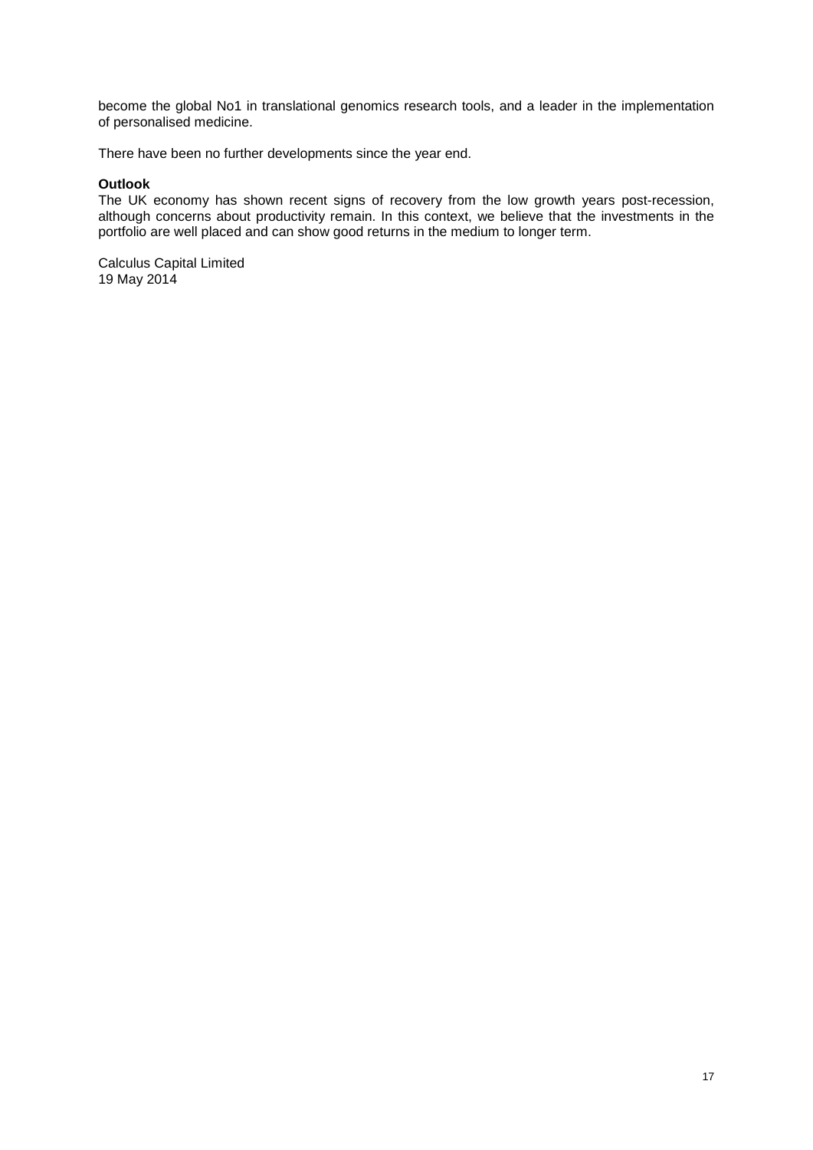become the global No1 in translational genomics research tools, and a leader in the implementation of personalised medicine.

There have been no further developments since the year end.

### **Outlook**

The UK economy has shown recent signs of recovery from the low growth years post-recession, although concerns about productivity remain. In this context, we believe that the investments in the portfolio are well placed and can show good returns in the medium to longer term.

Calculus Capital Limited 19 May 2014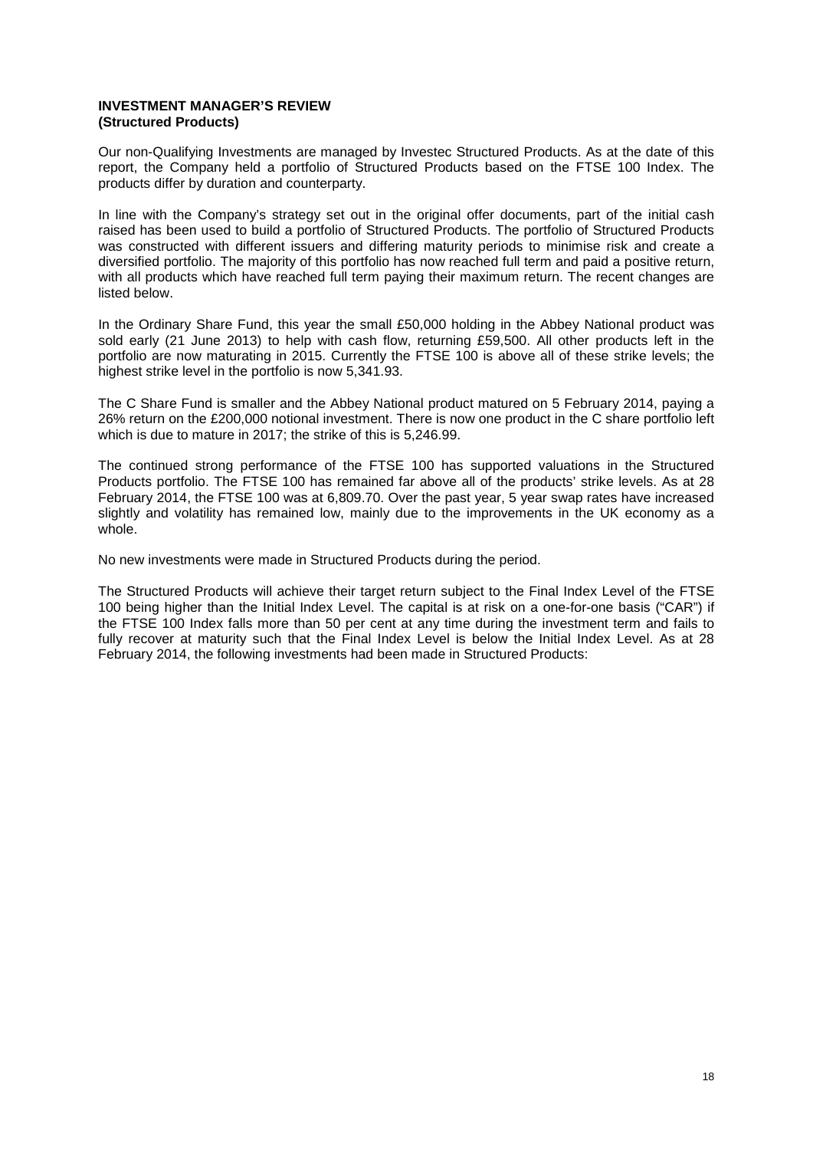### **INVESTMENT MANAGER'S REVIEW (Structured Products)**

Our non-Qualifying Investments are managed by Investec Structured Products. As at the date of this report, the Company held a portfolio of Structured Products based on the FTSE 100 Index. The products differ by duration and counterparty.

In line with the Company's strategy set out in the original offer documents, part of the initial cash raised has been used to build a portfolio of Structured Products. The portfolio of Structured Products was constructed with different issuers and differing maturity periods to minimise risk and create a diversified portfolio. The majority of this portfolio has now reached full term and paid a positive return, with all products which have reached full term paying their maximum return. The recent changes are listed below.

In the Ordinary Share Fund, this year the small £50,000 holding in the Abbey National product was sold early (21 June 2013) to help with cash flow, returning £59,500. All other products left in the portfolio are now maturating in 2015. Currently the FTSE 100 is above all of these strike levels; the highest strike level in the portfolio is now 5,341.93.

The C Share Fund is smaller and the Abbey National product matured on 5 February 2014, paying a 26% return on the £200,000 notional investment. There is now one product in the C share portfolio left which is due to mature in 2017; the strike of this is 5,246.99.

The continued strong performance of the FTSE 100 has supported valuations in the Structured Products portfolio. The FTSE 100 has remained far above all of the products' strike levels. As at 28 February 2014, the FTSE 100 was at 6,809.70. Over the past year, 5 year swap rates have increased slightly and volatility has remained low, mainly due to the improvements in the UK economy as a whole.

No new investments were made in Structured Products during the period.

The Structured Products will achieve their target return subject to the Final Index Level of the FTSE 100 being higher than the Initial Index Level. The capital is at risk on a one-for-one basis ("CAR") if the FTSE 100 Index falls more than 50 per cent at any time during the investment term and fails to fully recover at maturity such that the Final Index Level is below the Initial Index Level. As at 28 February 2014, the following investments had been made in Structured Products: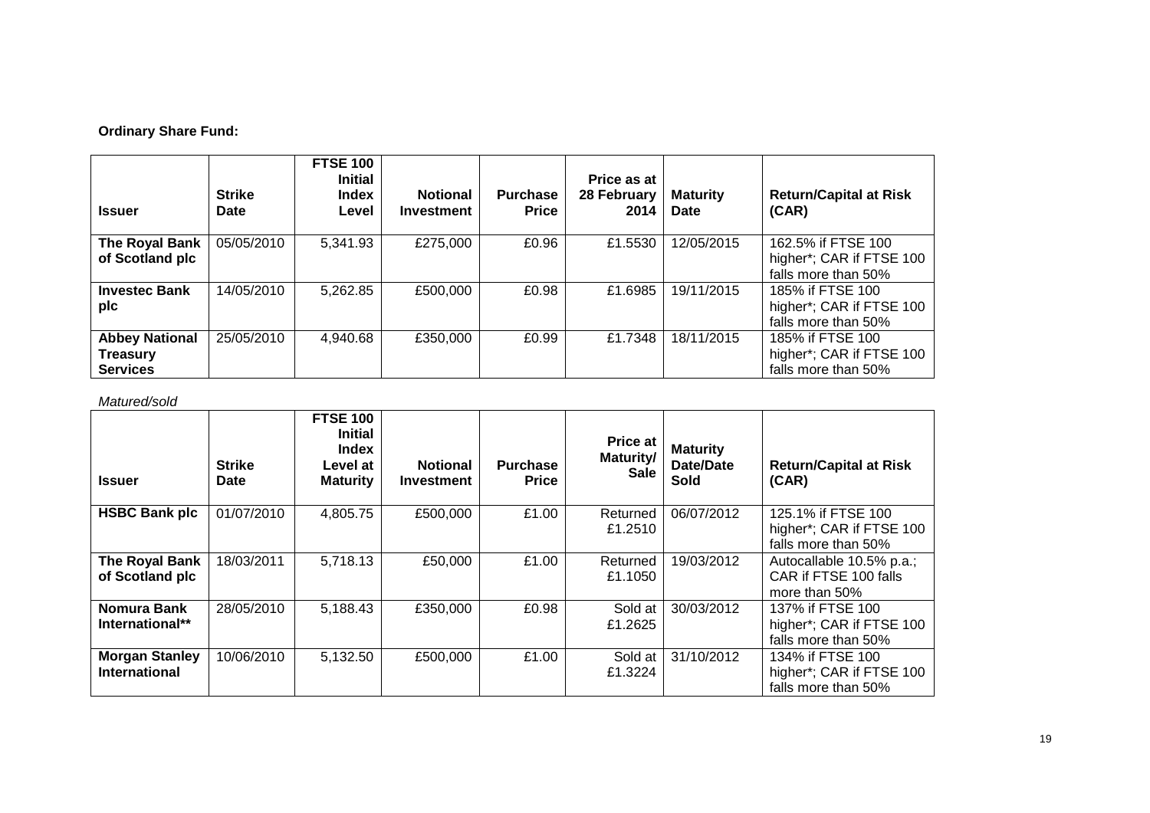# **Ordinary Share Fund:**

| <b>Issuer</b>                                               | <b>Strike</b><br>Date | <b>FTSE 100</b><br><b>Initial</b><br><b>Index</b><br>Level | <b>Notional</b><br><b>Investment</b> | <b>Purchase</b><br><b>Price</b> | Price as at<br>28 February<br>2014 | <b>Maturity</b><br>Date | <b>Return/Capital at Risk</b><br>(CAR)                                |
|-------------------------------------------------------------|-----------------------|------------------------------------------------------------|--------------------------------------|---------------------------------|------------------------------------|-------------------------|-----------------------------------------------------------------------|
| The Royal Bank<br>of Scotland plc                           | 05/05/2010            | 5,341.93                                                   | £275,000                             | £0.96                           | £1.5530                            | 12/05/2015              | 162.5% if FTSE 100<br>higher*; CAR if FTSE 100<br>falls more than 50% |
| <b>Investec Bank</b><br>plc                                 | 14/05/2010            | 5,262.85                                                   | £500,000                             | £0.98                           | £1.6985                            | 19/11/2015              | 185% if FTSE 100<br>higher*; CAR if FTSE 100<br>falls more than 50%   |
| <b>Abbey National</b><br><b>Treasury</b><br><b>Services</b> | 25/05/2010            | 4,940.68                                                   | £350,000                             | £0.99                           | £1.7348                            | 18/11/2015              | 185% if FTSE 100<br>higher*; CAR if FTSE 100<br>falls more than 50%   |

# *Matured/sold*

| <b>Issuer</b>                                 | <b>Strike</b><br>Date | <b>FTSE 100</b><br><b>Initial</b><br><b>Index</b><br>Level at<br><b>Maturity</b> | <b>Notional</b><br><b>Investment</b> | <b>Purchase</b><br><b>Price</b> | <b>Price at</b><br>Maturity/<br><b>Sale</b> | <b>Maturity</b><br>Date/Date<br>Sold | <b>Return/Capital at Risk</b><br>(CAR)                                |
|-----------------------------------------------|-----------------------|----------------------------------------------------------------------------------|--------------------------------------|---------------------------------|---------------------------------------------|--------------------------------------|-----------------------------------------------------------------------|
| <b>HSBC Bank plc</b>                          | 01/07/2010            | 4,805.75                                                                         | £500,000                             | £1.00                           | Returned<br>£1.2510                         | 06/07/2012                           | 125.1% if FTSE 100<br>higher*; CAR if FTSE 100<br>falls more than 50% |
| The Royal Bank<br>of Scotland plc             | 18/03/2011            | 5,718.13                                                                         | £50,000                              | £1.00                           | Returned<br>£1.1050                         | 19/03/2012                           | Autocallable 10.5% p.a.;<br>CAR if FTSE 100 falls<br>more than 50%    |
| <b>Nomura Bank</b><br>International**         | 28/05/2010            | 5,188.43                                                                         | £350,000                             | £0.98                           | Sold at<br>£1.2625                          | 30/03/2012                           | 137% if FTSE 100<br>higher*; CAR if FTSE 100<br>falls more than 50%   |
| <b>Morgan Stanley</b><br><b>International</b> | 10/06/2010            | 5,132.50                                                                         | £500,000                             | £1.00                           | Sold at<br>£1.3224                          | 31/10/2012                           | 134% if FTSE 100<br>higher*; CAR if FTSE 100<br>falls more than 50%   |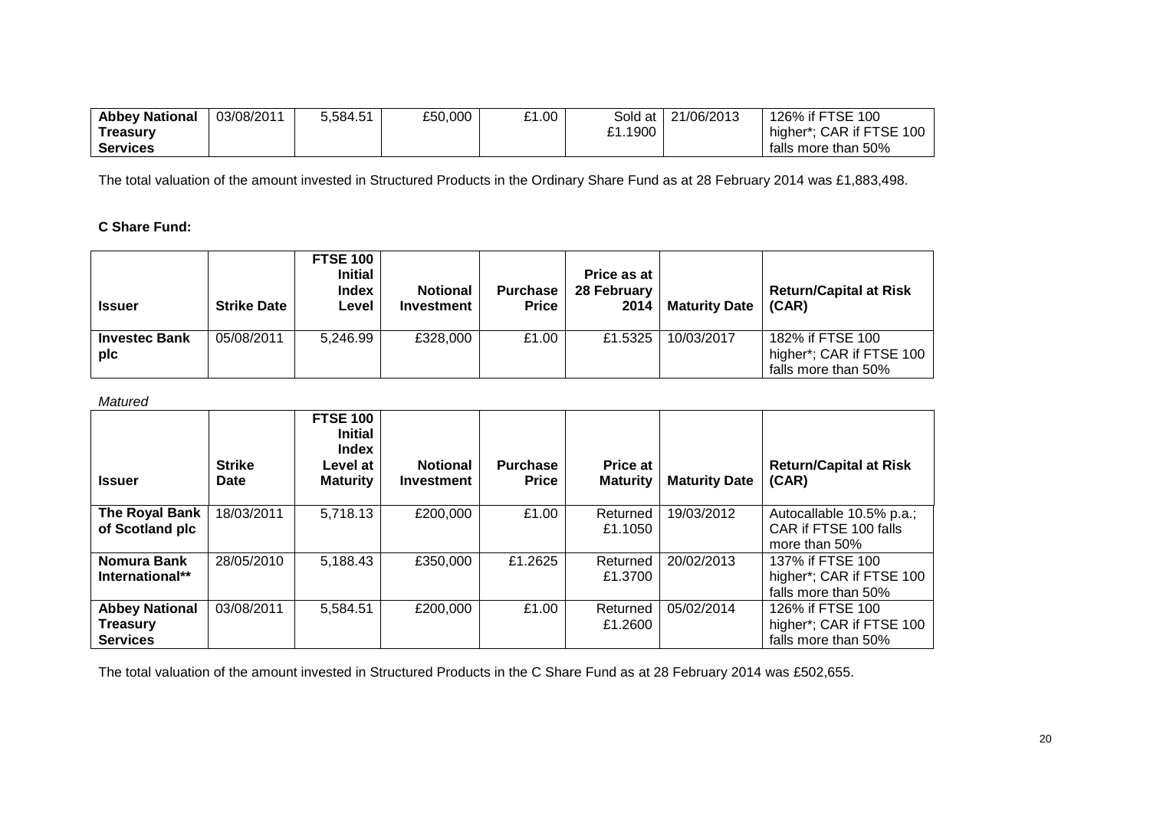| <b>Abbey National</b> | 03/08/2011 | 5.584.51 | £50,000 | £1.00 | Sold at i | 21/06/2013 | 126% if FTSE 100         |
|-----------------------|------------|----------|---------|-------|-----------|------------|--------------------------|
| Treasury              |            |          |         |       | £1.1900   |            | higher*; CAR if FTSE 100 |
| <b>Services</b>       |            |          |         |       |           |            | falls more than 50%      |

The total valuation of the amount invested in Structured Products in the Ordinary Share Fund as at 28 February 2014 was £1,883,498.

**C Share Fund:** 

| <b>Issuer</b>               | <b>Strike Date</b> | <b>FTSE 100</b><br><b>Initial</b><br><b>Index</b><br>Level | <b>Notional</b><br>Investment | Purchase<br><b>Price</b> | Price as at<br>28 February<br>2014 | <b>Maturity Date</b> | <b>Return/Capital at Risk</b><br>(CAR)                              |
|-----------------------------|--------------------|------------------------------------------------------------|-------------------------------|--------------------------|------------------------------------|----------------------|---------------------------------------------------------------------|
| <b>Investec Bank</b><br>plc | 05/08/2011         | 5.246.99                                                   | £328,000                      | £1.00                    | £1.5325                            | 10/03/2017           | 182% if FTSE 100<br>higher*; CAR if FTSE 100<br>falls more than 50% |

#### *Matured*

| <b>Issuer</b>                                               | <b>Strike</b><br>Date | <b>FTSE 100</b><br><b>Initial</b><br>Index<br>Level at<br><b>Maturity</b> | <b>Notional</b><br><b>Investment</b> | <b>Purchase</b><br><b>Price</b> | <b>Price at</b><br><b>Maturity</b> | <b>Maturity Date</b> | <b>Return/Capital at Risk</b><br>(CAR)                              |
|-------------------------------------------------------------|-----------------------|---------------------------------------------------------------------------|--------------------------------------|---------------------------------|------------------------------------|----------------------|---------------------------------------------------------------------|
| The Royal Bank<br>of Scotland plc                           | 18/03/2011            | 5,718.13                                                                  | £200,000                             | £1.00                           | Returned<br>£1.1050                | 19/03/2012           | Autocallable 10.5% p.a.;<br>CAR if FTSE 100 falls<br>more than 50%  |
| Nomura Bank<br>International**                              | 28/05/2010            | 5,188.43                                                                  | £350,000                             | £1.2625                         | Returned<br>£1.3700                | 20/02/2013           | 137% if FTSE 100<br>higher*; CAR if FTSE 100<br>falls more than 50% |
| <b>Abbey National</b><br><b>Treasury</b><br><b>Services</b> | 03/08/2011            | 5,584.51                                                                  | £200,000                             | £1.00                           | Returned<br>£1.2600                | 05/02/2014           | 126% if FTSE 100<br>higher*; CAR if FTSE 100<br>falls more than 50% |

The total valuation of the amount invested in Structured Products in the C Share Fund as at 28 February 2014 was £502,655.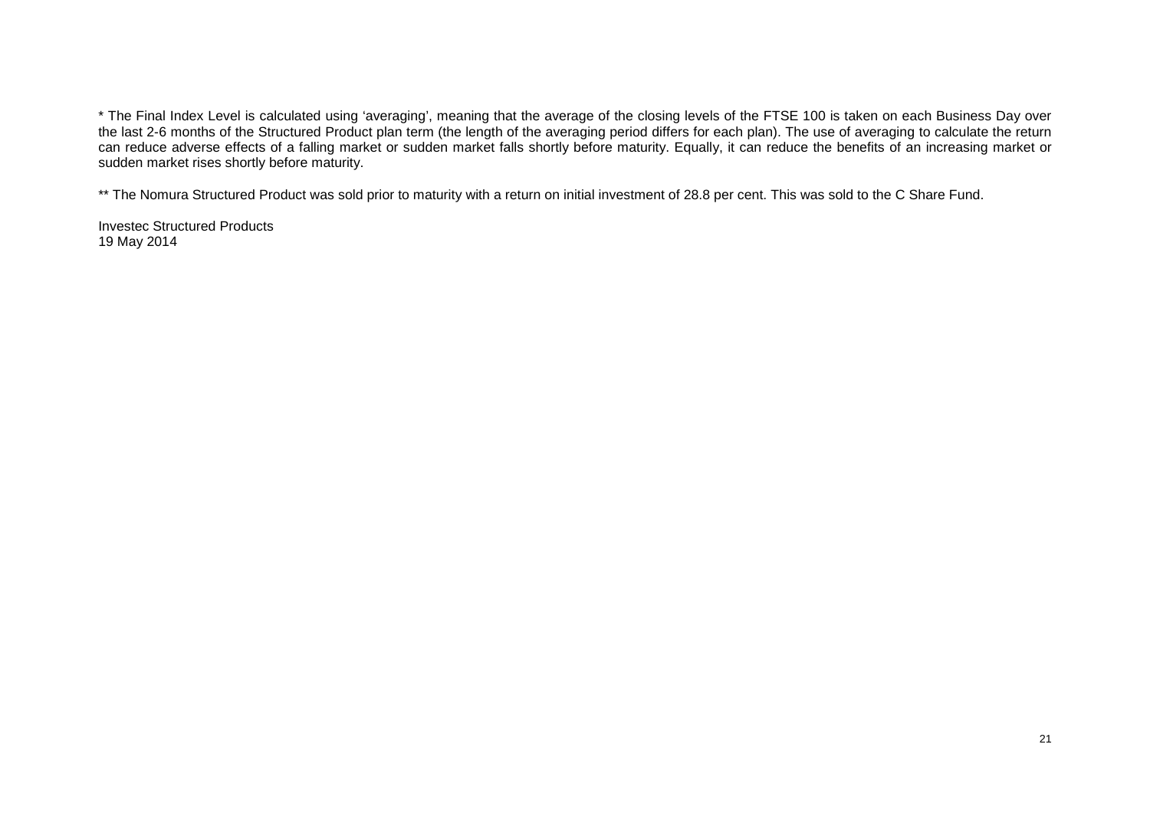\* The Final Index Level is calculated using 'averaging', meaning that the average of the closing levels of the FTSE 100 is taken on each Business Day over the last 2-6 months of the Structured Product plan term (the length of the averaging period differs for each plan). The use of averaging to calculate the return can reduce adverse effects of a falling market or sudden market falls shortly before maturity. Equally, it can reduce the benefits of an increasing market or sudden market rises shortly before maturity.

\*\* The Nomura Structured Product was sold prior to maturity with a return on initial investment of 28.8 per cent. This was sold to the C Share Fund.

Investec Structured Products 19 May 2014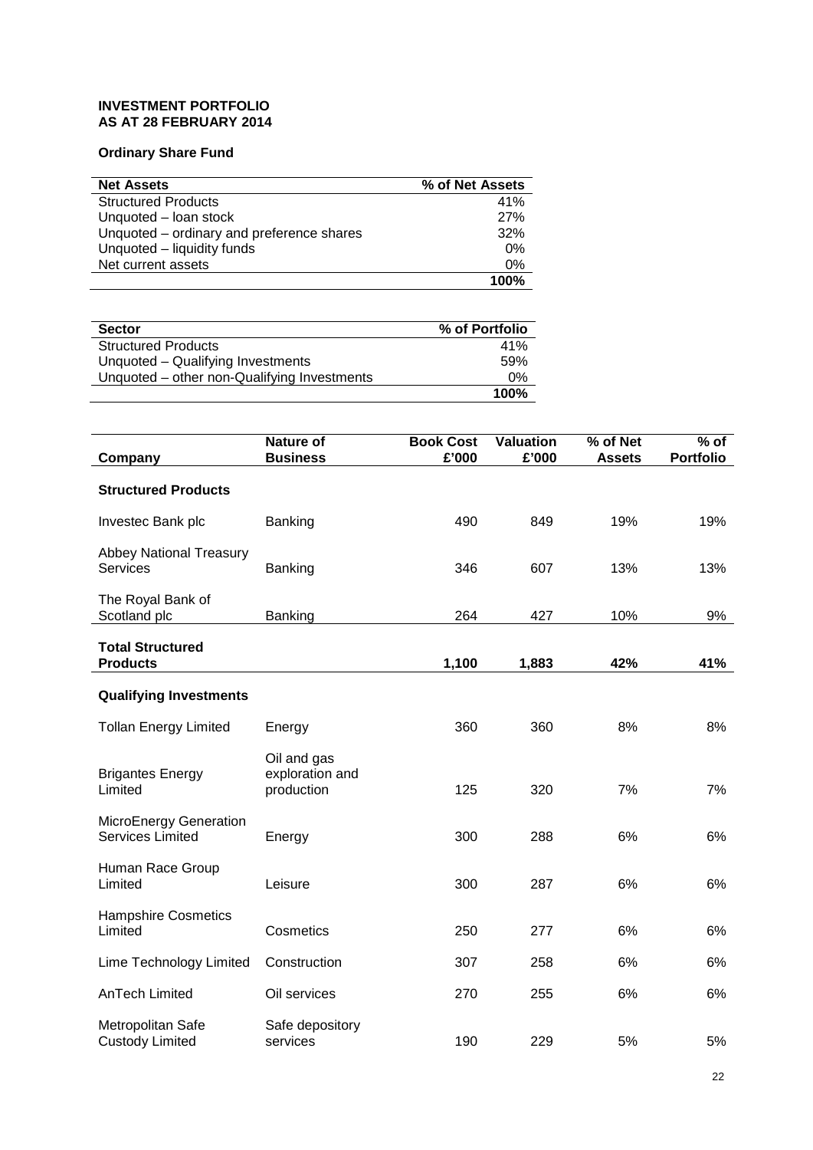# **INVESTMENT PORTFOLIO AS AT 28 FEBRUARY 2014**

# **Ordinary Share Fund**

| <b>Net Assets</b>                         | % of Net Assets |
|-------------------------------------------|-----------------|
| <b>Structured Products</b>                | 41%             |
| Unquoted – Ioan stock                     | 27%             |
| Unquoted – ordinary and preference shares | 32%             |
| Unquoted - liquidity funds                | 0%              |
| Net current assets                        | 0%              |
|                                           | 100%            |

| <b>Sector</b>                               | % of Portfolio |
|---------------------------------------------|----------------|
| <b>Structured Products</b>                  | 41%            |
| Unquoted – Qualifying Investments           | 59%            |
| Unquoted – other non-Qualifying Investments | $0\%$          |
|                                             | $100\%$        |

| Company                                           | <b>Nature of</b><br><b>Business</b>          | <b>Book Cost</b><br>£'000 | <b>Valuation</b><br>£'000 | % of Net<br><b>Assets</b> | $\overline{\%}$ of<br><b>Portfolio</b> |
|---------------------------------------------------|----------------------------------------------|---------------------------|---------------------------|---------------------------|----------------------------------------|
| <b>Structured Products</b>                        |                                              |                           |                           |                           |                                        |
| Investec Bank plc                                 | <b>Banking</b>                               | 490                       | 849                       | 19%                       | 19%                                    |
| <b>Abbey National Treasury</b><br><b>Services</b> | Banking                                      | 346                       | 607                       | 13%                       | 13%                                    |
| The Royal Bank of<br>Scotland plc                 | Banking                                      | 264                       | 427                       | 10%                       | 9%                                     |
| <b>Total Structured</b><br><b>Products</b>        |                                              | 1,100                     | 1,883                     | 42%                       | 41%                                    |
| <b>Qualifying Investments</b>                     |                                              |                           |                           |                           |                                        |
| <b>Tollan Energy Limited</b>                      | Energy                                       | 360                       | 360                       | 8%                        | 8%                                     |
| <b>Brigantes Energy</b><br>Limited                | Oil and gas<br>exploration and<br>production | 125                       | 320                       | 7%                        | 7%                                     |
| MicroEnergy Generation<br><b>Services Limited</b> | Energy                                       | 300                       | 288                       | 6%                        | 6%                                     |
| Human Race Group<br>Limited                       | Leisure                                      | 300                       | 287                       | 6%                        | 6%                                     |
| <b>Hampshire Cosmetics</b><br>Limited             | Cosmetics                                    | 250                       | 277                       | 6%                        | 6%                                     |
| Lime Technology Limited                           | Construction                                 | 307                       | 258                       | 6%                        | 6%                                     |
| <b>AnTech Limited</b>                             | Oil services                                 | 270                       | 255                       | 6%                        | 6%                                     |
| Metropolitan Safe<br><b>Custody Limited</b>       | Safe depository<br>services                  | 190                       | 229                       | 5%                        | 5%                                     |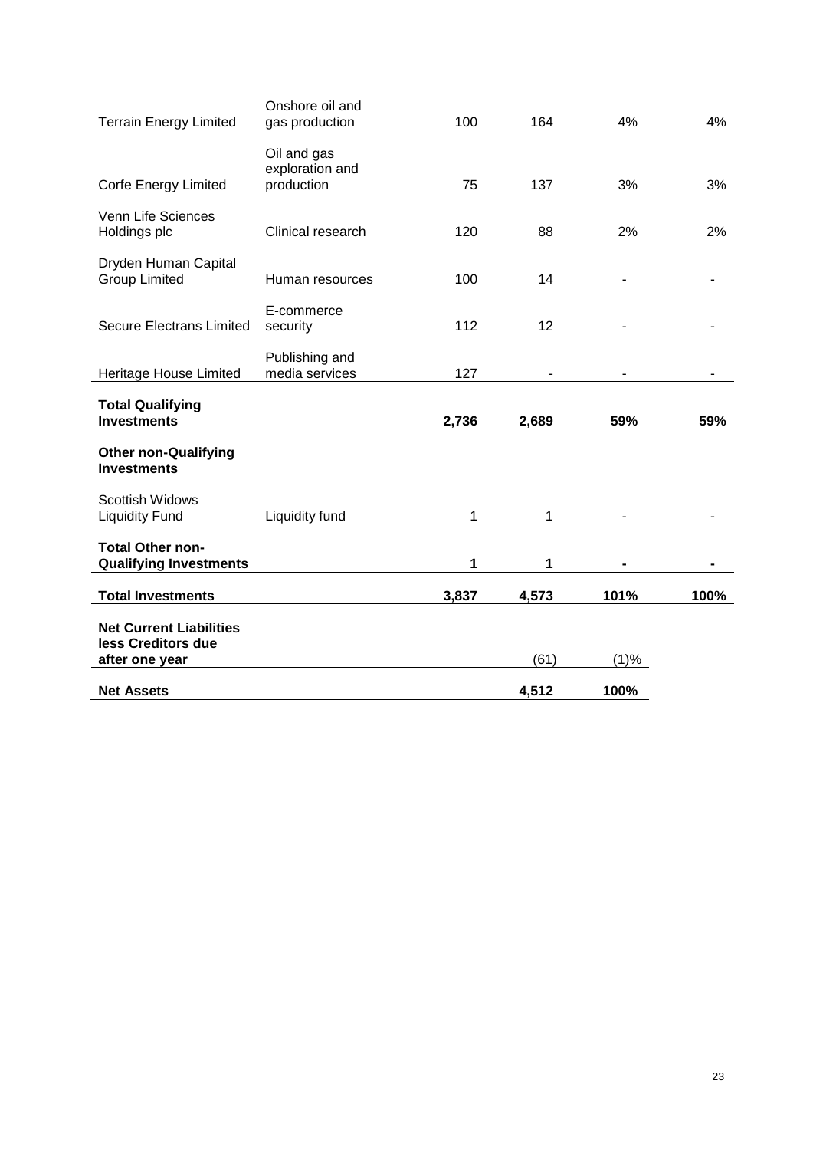| <b>Net Assets</b>                                                      |                                              |       | 4,512 | 100% |      |
|------------------------------------------------------------------------|----------------------------------------------|-------|-------|------|------|
| <b>Net Current Liabilities</b><br>less Creditors due<br>after one year |                                              |       | (61)  | (1)% |      |
| <b>Total Investments</b>                                               |                                              | 3,837 | 4,573 | 101% | 100% |
| Total Other non-<br><b>Qualifying Investments</b>                      |                                              | 1     | 1     |      |      |
| <b>Scottish Widows</b><br><b>Liquidity Fund</b>                        | Liquidity fund                               | 1     | 1     |      |      |
| <b>Other non-Qualifying</b><br><b>Investments</b>                      |                                              |       |       |      |      |
| <b>Total Qualifying</b><br><b>Investments</b>                          |                                              | 2,736 | 2,689 | 59%  | 59%  |
| Heritage House Limited                                                 | Publishing and<br>media services             | 127   |       |      |      |
| <b>Secure Electrans Limited</b>                                        | E-commerce<br>security                       | 112   | 12    |      |      |
| Dryden Human Capital<br><b>Group Limited</b>                           | Human resources                              | 100   | 14    | ٠    |      |
| Venn Life Sciences<br>Holdings plc                                     | Clinical research                            | 120   | 88    | 2%   | 2%   |
| <b>Corfe Energy Limited</b>                                            | Oil and gas<br>exploration and<br>production | 75    | 137   | 3%   | 3%   |
| <b>Terrain Energy Limited</b>                                          | Onshore oil and<br>gas production            | 100   | 164   | 4%   | 4%   |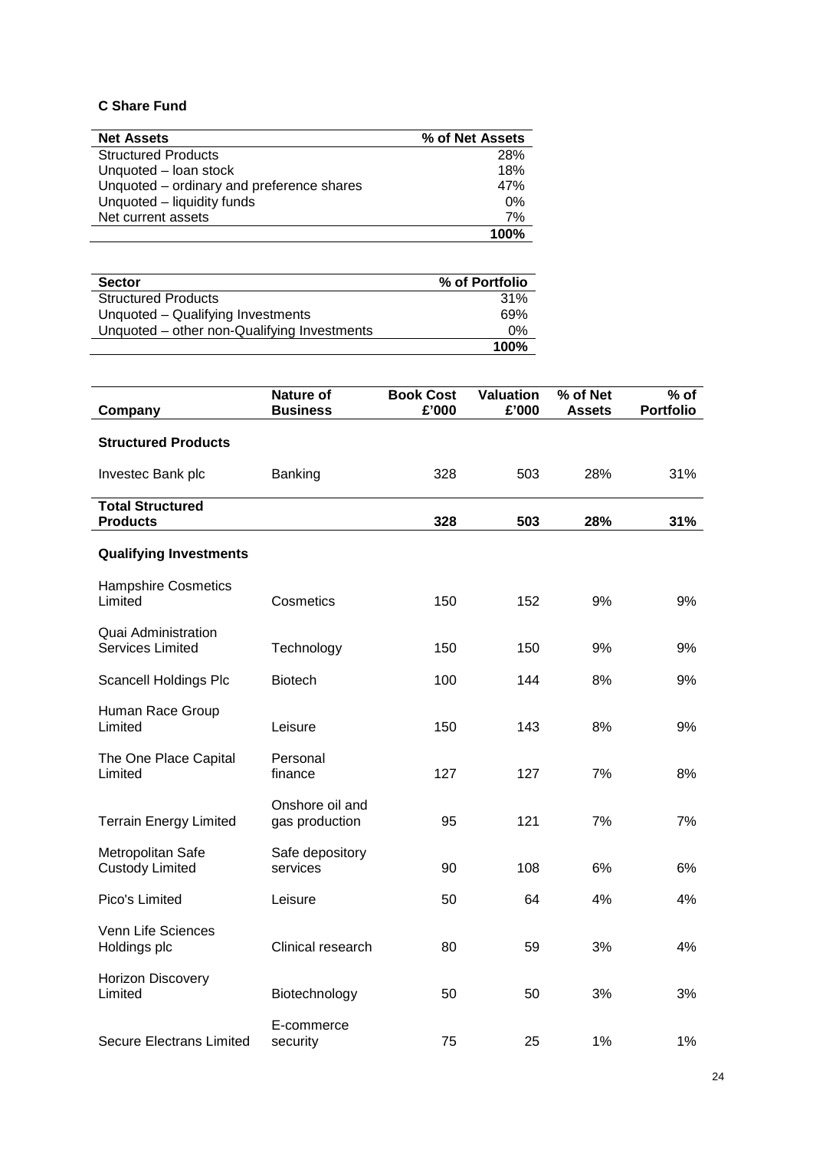# **C Share Fund**

| <b>Net Assets</b>                         | % of Net Assets |
|-------------------------------------------|-----------------|
| <b>Structured Products</b>                | 28%             |
| Unquoted - Ioan stock                     | 18%             |
| Unquoted – ordinary and preference shares | 47%             |
| Unquoted - liquidity funds                | 0%              |
| Net current assets                        | 7%              |
|                                           | 100%            |

| <b>Sector</b>                               | % of Portfolio |
|---------------------------------------------|----------------|
| <b>Structured Products</b>                  | 31%            |
| Unquoted - Qualifying Investments           | 69%            |
| Unquoted – other non-Qualifying Investments | $0\%$          |
|                                             | 100%           |

| Company                                        | <b>Nature of</b><br><b>Business</b> | <b>Book Cost</b><br>£'000 | <b>Valuation</b><br>£'000 | % of Net<br><b>Assets</b> | $\frac{1}{2}$ of<br><b>Portfolio</b> |
|------------------------------------------------|-------------------------------------|---------------------------|---------------------------|---------------------------|--------------------------------------|
| <b>Structured Products</b>                     |                                     |                           |                           |                           |                                      |
| Investec Bank plc                              | Banking                             | 328                       | 503                       | 28%                       | 31%                                  |
| <b>Total Structured</b><br><b>Products</b>     |                                     | 328                       | 503                       | 28%                       | 31%                                  |
| <b>Qualifying Investments</b>                  |                                     |                           |                           |                           |                                      |
| <b>Hampshire Cosmetics</b><br>Limited          | Cosmetics                           | 150                       | 152                       | 9%                        | 9%                                   |
| Quai Administration<br><b>Services Limited</b> | Technology                          | 150                       | 150                       | 9%                        | 9%                                   |
| <b>Scancell Holdings Plc</b>                   | <b>Biotech</b>                      | 100                       | 144                       | 8%                        | 9%                                   |
| Human Race Group<br>Limited                    | Leisure                             | 150                       | 143                       | 8%                        | 9%                                   |
| The One Place Capital<br>Limited               | Personal<br>finance                 | 127                       | 127                       | 7%                        | 8%                                   |
| <b>Terrain Energy Limited</b>                  | Onshore oil and<br>gas production   | 95                        | 121                       | 7%                        | 7%                                   |
| Metropolitan Safe<br><b>Custody Limited</b>    | Safe depository<br>services         | 90                        | 108                       | 6%                        | 6%                                   |
| Pico's Limited                                 | Leisure                             | 50                        | 64                        | 4%                        | 4%                                   |
| Venn Life Sciences<br>Holdings plc             | Clinical research                   | 80                        | 59                        | 3%                        | 4%                                   |
| Horizon Discovery<br>Limited                   | Biotechnology                       | 50                        | 50                        | 3%                        | 3%                                   |
| <b>Secure Electrans Limited</b>                | E-commerce<br>security              | 75                        | 25                        | 1%                        | 1%                                   |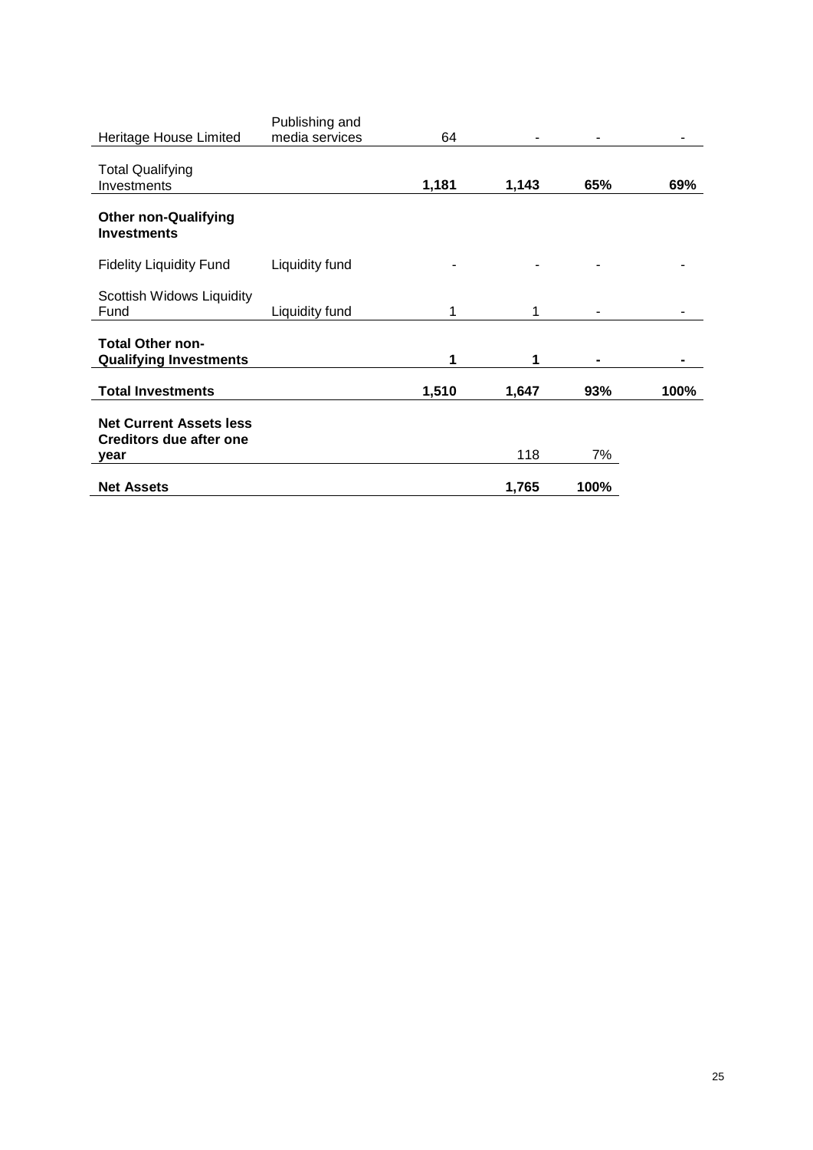| Heritage House Limited                                   | Publishing and<br>media services | 64    |       |      |      |
|----------------------------------------------------------|----------------------------------|-------|-------|------|------|
| <b>Total Qualifying</b><br>Investments                   |                                  | 1,181 | 1,143 | 65%  | 69%  |
| <b>Other non-Qualifying</b><br><b>Investments</b>        |                                  |       |       |      |      |
| <b>Fidelity Liquidity Fund</b>                           | Liquidity fund                   |       |       |      |      |
| <b>Scottish Widows Liquidity</b><br>Fund                 | Liquidity fund                   | 1     | 1     |      |      |
| <b>Total Other non-</b><br><b>Qualifying Investments</b> |                                  | 1     | 1     |      |      |
| <b>Total Investments</b>                                 |                                  | 1,510 | 1,647 | 93%  | 100% |
| <b>Net Current Assets less</b>                           |                                  |       |       |      |      |
| <b>Creditors due after one</b><br>year                   |                                  |       | 118   | 7%   |      |
| <b>Net Assets</b>                                        |                                  |       | 1,765 | 100% |      |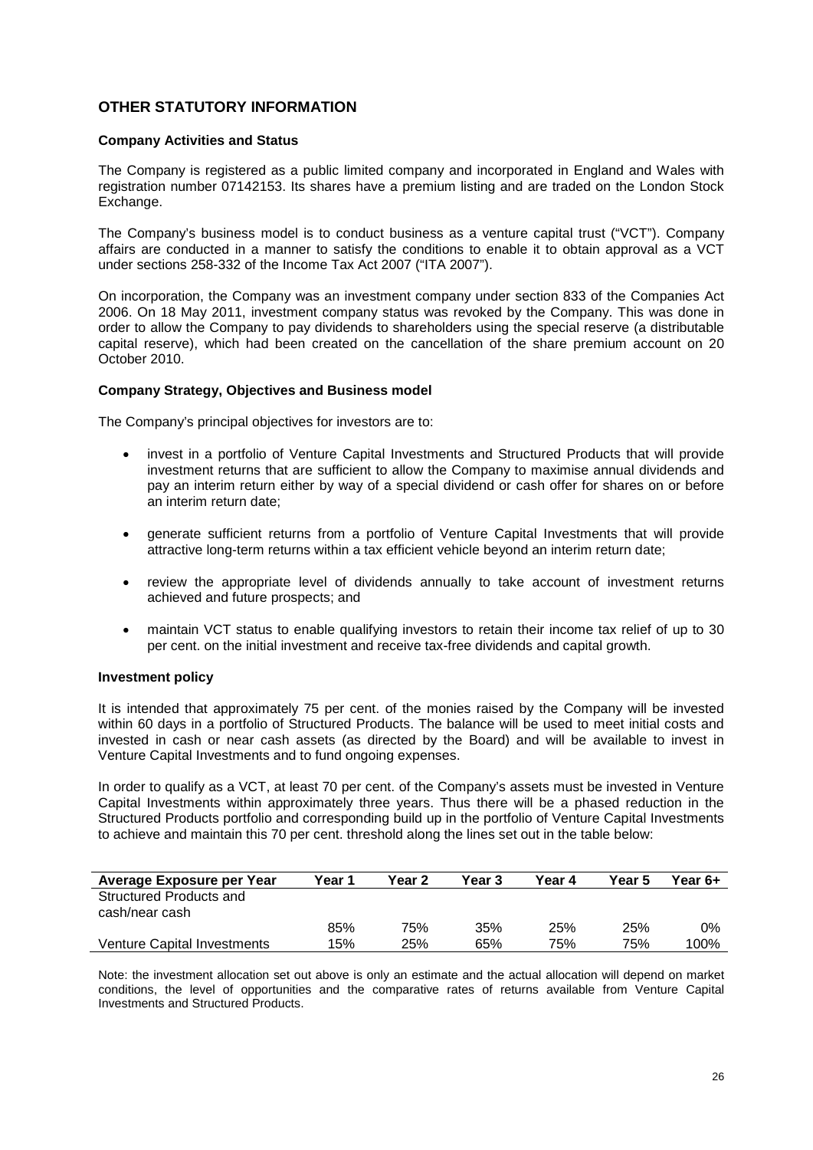# **OTHER STATUTORY INFORMATION**

### **Company Activities and Status**

The Company is registered as a public limited company and incorporated in England and Wales with registration number 07142153. Its shares have a premium listing and are traded on the London Stock Exchange.

The Company's business model is to conduct business as a venture capital trust ("VCT"). Company affairs are conducted in a manner to satisfy the conditions to enable it to obtain approval as a VCT under sections 258-332 of the Income Tax Act 2007 ("ITA 2007").

On incorporation, the Company was an investment company under section 833 of the Companies Act 2006. On 18 May 2011, investment company status was revoked by the Company. This was done in order to allow the Company to pay dividends to shareholders using the special reserve (a distributable capital reserve), which had been created on the cancellation of the share premium account on 20 October 2010.

### **Company Strategy, Objectives and Business model**

The Company's principal objectives for investors are to:

- invest in a portfolio of Venture Capital Investments and Structured Products that will provide investment returns that are sufficient to allow the Company to maximise annual dividends and pay an interim return either by way of a special dividend or cash offer for shares on or before an interim return date;
- generate sufficient returns from a portfolio of Venture Capital Investments that will provide attractive long-term returns within a tax efficient vehicle beyond an interim return date;
- review the appropriate level of dividends annually to take account of investment returns achieved and future prospects; and
- maintain VCT status to enable qualifying investors to retain their income tax relief of up to 30 per cent. on the initial investment and receive tax-free dividends and capital growth.

#### **Investment policy**

It is intended that approximately 75 per cent. of the monies raised by the Company will be invested within 60 days in a portfolio of Structured Products. The balance will be used to meet initial costs and invested in cash or near cash assets (as directed by the Board) and will be available to invest in Venture Capital Investments and to fund ongoing expenses.

In order to qualify as a VCT, at least 70 per cent, of the Company's assets must be invested in Venture Capital Investments within approximately three years. Thus there will be a phased reduction in the Structured Products portfolio and corresponding build up in the portfolio of Venture Capital Investments to achieve and maintain this 70 per cent. threshold along the lines set out in the table below:

| Average Exposure per Year   | Year 1 | Year 2 | Year 3 | Year 4 | Year 5 | Year 6+ |
|-----------------------------|--------|--------|--------|--------|--------|---------|
| Structured Products and     |        |        |        |        |        |         |
| cash/near cash              |        |        |        |        |        |         |
|                             | 85%    | 75%    | 35%    | 25%    | 25%    | 0%      |
| Venture Capital Investments | 15%    | 25%    | 65%    | 75%    | 75%    | 100%    |

Note: the investment allocation set out above is only an estimate and the actual allocation will depend on market conditions, the level of opportunities and the comparative rates of returns available from Venture Capital Investments and Structured Products.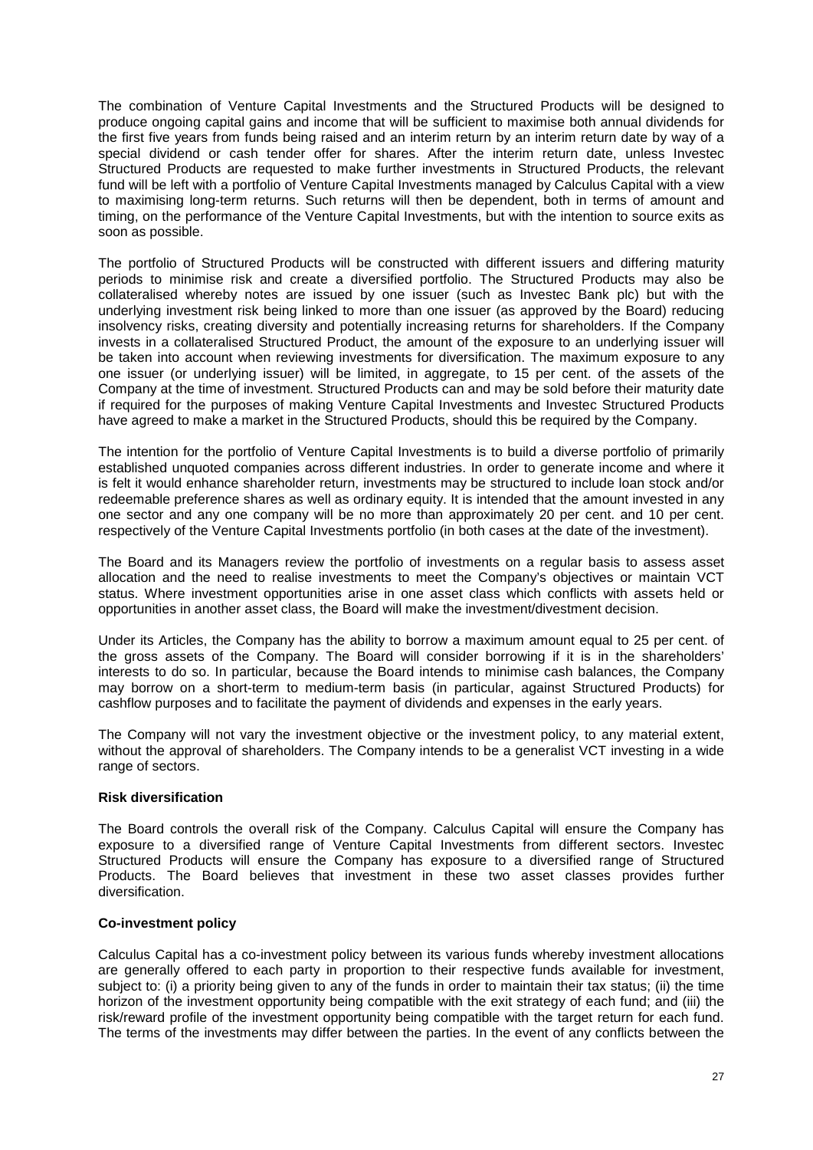The combination of Venture Capital Investments and the Structured Products will be designed to produce ongoing capital gains and income that will be sufficient to maximise both annual dividends for the first five years from funds being raised and an interim return by an interim return date by way of a special dividend or cash tender offer for shares. After the interim return date, unless Investec Structured Products are requested to make further investments in Structured Products, the relevant fund will be left with a portfolio of Venture Capital Investments managed by Calculus Capital with a view to maximising long-term returns. Such returns will then be dependent, both in terms of amount and timing, on the performance of the Venture Capital Investments, but with the intention to source exits as soon as possible.

The portfolio of Structured Products will be constructed with different issuers and differing maturity periods to minimise risk and create a diversified portfolio. The Structured Products may also be collateralised whereby notes are issued by one issuer (such as Investec Bank plc) but with the underlying investment risk being linked to more than one issuer (as approved by the Board) reducing insolvency risks, creating diversity and potentially increasing returns for shareholders. If the Company invests in a collateralised Structured Product, the amount of the exposure to an underlying issuer will be taken into account when reviewing investments for diversification. The maximum exposure to any one issuer (or underlying issuer) will be limited, in aggregate, to 15 per cent. of the assets of the Company at the time of investment. Structured Products can and may be sold before their maturity date if required for the purposes of making Venture Capital Investments and Investec Structured Products have agreed to make a market in the Structured Products, should this be required by the Company.

The intention for the portfolio of Venture Capital Investments is to build a diverse portfolio of primarily established unquoted companies across different industries. In order to generate income and where it is felt it would enhance shareholder return, investments may be structured to include loan stock and/or redeemable preference shares as well as ordinary equity. It is intended that the amount invested in any one sector and any one company will be no more than approximately 20 per cent. and 10 per cent. respectively of the Venture Capital Investments portfolio (in both cases at the date of the investment).

The Board and its Managers review the portfolio of investments on a regular basis to assess asset allocation and the need to realise investments to meet the Company's objectives or maintain VCT status. Where investment opportunities arise in one asset class which conflicts with assets held or opportunities in another asset class, the Board will make the investment/divestment decision.

Under its Articles, the Company has the ability to borrow a maximum amount equal to 25 per cent. of the gross assets of the Company. The Board will consider borrowing if it is in the shareholders' interests to do so. In particular, because the Board intends to minimise cash balances, the Company may borrow on a short-term to medium-term basis (in particular, against Structured Products) for cashflow purposes and to facilitate the payment of dividends and expenses in the early years.

The Company will not vary the investment objective or the investment policy, to any material extent, without the approval of shareholders. The Company intends to be a generalist VCT investing in a wide range of sectors.

#### **Risk diversification**

The Board controls the overall risk of the Company. Calculus Capital will ensure the Company has exposure to a diversified range of Venture Capital Investments from different sectors. Investec Structured Products will ensure the Company has exposure to a diversified range of Structured Products. The Board believes that investment in these two asset classes provides further diversification.

#### **Co-investment policy**

Calculus Capital has a co-investment policy between its various funds whereby investment allocations are generally offered to each party in proportion to their respective funds available for investment, subject to: (i) a priority being given to any of the funds in order to maintain their tax status; (ii) the time horizon of the investment opportunity being compatible with the exit strategy of each fund; and (iii) the risk/reward profile of the investment opportunity being compatible with the target return for each fund. The terms of the investments may differ between the parties. In the event of any conflicts between the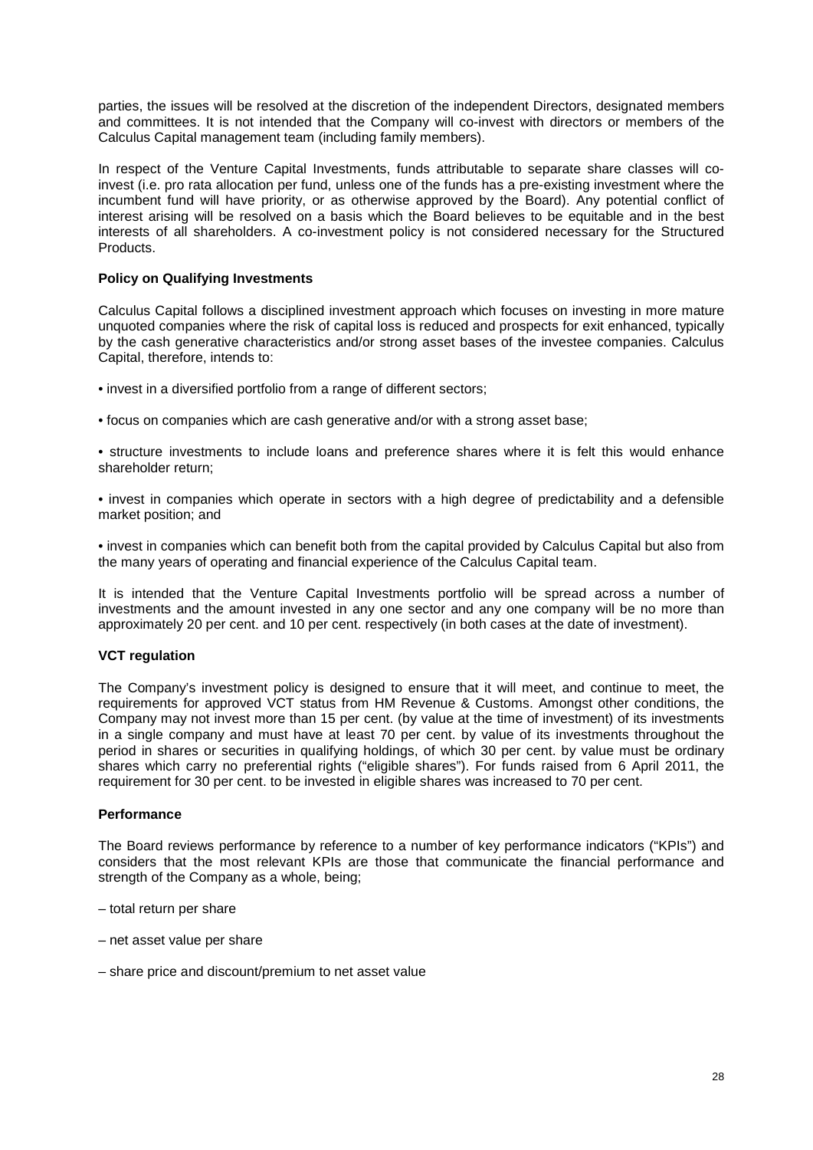parties, the issues will be resolved at the discretion of the independent Directors, designated members and committees. It is not intended that the Company will co-invest with directors or members of the Calculus Capital management team (including family members).

In respect of the Venture Capital Investments, funds attributable to separate share classes will coinvest (i.e. pro rata allocation per fund, unless one of the funds has a pre-existing investment where the incumbent fund will have priority, or as otherwise approved by the Board). Any potential conflict of interest arising will be resolved on a basis which the Board believes to be equitable and in the best interests of all shareholders. A co-investment policy is not considered necessary for the Structured Products.

### **Policy on Qualifying Investments**

Calculus Capital follows a disciplined investment approach which focuses on investing in more mature unquoted companies where the risk of capital loss is reduced and prospects for exit enhanced, typically by the cash generative characteristics and/or strong asset bases of the investee companies. Calculus Capital, therefore, intends to:

- invest in a diversified portfolio from a range of different sectors;
- focus on companies which are cash generative and/or with a strong asset base;

• structure investments to include loans and preference shares where it is felt this would enhance shareholder return;

• invest in companies which operate in sectors with a high degree of predictability and a defensible market position; and

• invest in companies which can benefit both from the capital provided by Calculus Capital but also from the many years of operating and financial experience of the Calculus Capital team.

It is intended that the Venture Capital Investments portfolio will be spread across a number of investments and the amount invested in any one sector and any one company will be no more than approximately 20 per cent. and 10 per cent. respectively (in both cases at the date of investment).

#### **VCT regulation**

The Company's investment policy is designed to ensure that it will meet, and continue to meet, the requirements for approved VCT status from HM Revenue & Customs. Amongst other conditions, the Company may not invest more than 15 per cent. (by value at the time of investment) of its investments in a single company and must have at least 70 per cent. by value of its investments throughout the period in shares or securities in qualifying holdings, of which 30 per cent. by value must be ordinary shares which carry no preferential rights ("eligible shares"). For funds raised from 6 April 2011, the requirement for 30 per cent. to be invested in eligible shares was increased to 70 per cent.

#### **Performance**

The Board reviews performance by reference to a number of key performance indicators ("KPIs") and considers that the most relevant KPIs are those that communicate the financial performance and strength of the Company as a whole, being:

- total return per share
- net asset value per share
- share price and discount/premium to net asset value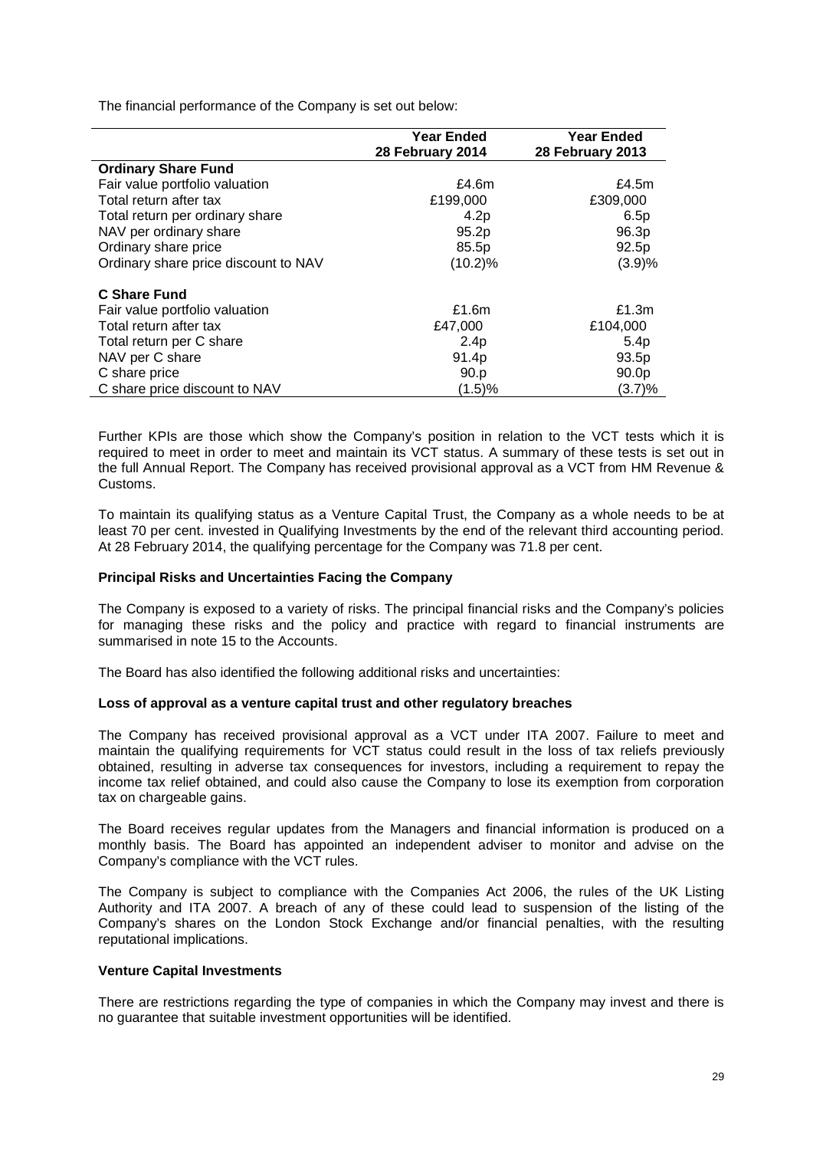The financial performance of the Company is set out below:

|                                      | <b>Year Ended</b> | <b>Year Ended</b> |
|--------------------------------------|-------------------|-------------------|
|                                      | 28 February 2014  | 28 February 2013  |
| <b>Ordinary Share Fund</b>           |                   |                   |
| Fair value portfolio valuation       | £4.6 $m$          | £4.5m             |
| Total return after tax               | £199,000          | £309,000          |
| Total return per ordinary share      | 4.2p              | 6.5p              |
| NAV per ordinary share               | 95.2p             | 96.3p             |
| Ordinary share price                 | 85.5p             | 92.5p             |
| Ordinary share price discount to NAV | $(10.2)\%$        | (3.9)%            |
| <b>C</b> Share Fund                  |                   |                   |
| Fair value portfolio valuation       | £1.6m             | £1.3m             |
| Total return after tax               | £47,000           | £104,000          |
| Total return per C share             | 2.4p              | 5.4p              |
| NAV per C share                      | 91.4p             | 93.5p             |
| C share price                        | 90.p              | 90.0p             |
| C share price discount to NAV        | (1.5)%            | (3.7)%            |

Further KPIs are those which show the Company's position in relation to the VCT tests which it is required to meet in order to meet and maintain its VCT status. A summary of these tests is set out in the full Annual Report. The Company has received provisional approval as a VCT from HM Revenue & Customs.

To maintain its qualifying status as a Venture Capital Trust, the Company as a whole needs to be at least 70 per cent. invested in Qualifying Investments by the end of the relevant third accounting period. At 28 February 2014, the qualifying percentage for the Company was 71.8 per cent.

#### **Principal Risks and Uncertainties Facing the Company**

The Company is exposed to a variety of risks. The principal financial risks and the Company's policies for managing these risks and the policy and practice with regard to financial instruments are summarised in note 15 to the Accounts.

The Board has also identified the following additional risks and uncertainties:

#### **Loss of approval as a venture capital trust and other regulatory breaches**

The Company has received provisional approval as a VCT under ITA 2007. Failure to meet and maintain the qualifying requirements for VCT status could result in the loss of tax reliefs previously obtained, resulting in adverse tax consequences for investors, including a requirement to repay the income tax relief obtained, and could also cause the Company to lose its exemption from corporation tax on chargeable gains.

The Board receives regular updates from the Managers and financial information is produced on a monthly basis. The Board has appointed an independent adviser to monitor and advise on the Company's compliance with the VCT rules.

The Company is subject to compliance with the Companies Act 2006, the rules of the UK Listing Authority and ITA 2007. A breach of any of these could lead to suspension of the listing of the Company's shares on the London Stock Exchange and/or financial penalties, with the resulting reputational implications.

#### **Venture Capital Investments**

There are restrictions regarding the type of companies in which the Company may invest and there is no guarantee that suitable investment opportunities will be identified.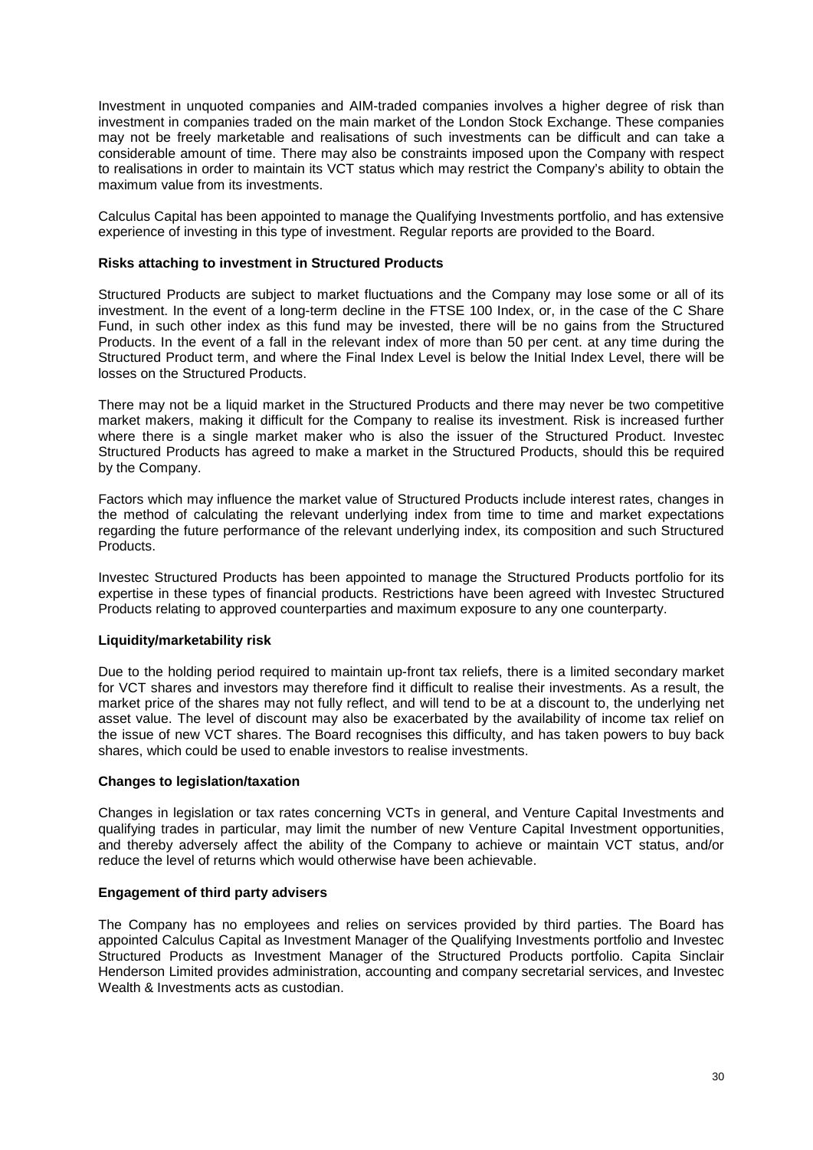Investment in unquoted companies and AIM-traded companies involves a higher degree of risk than investment in companies traded on the main market of the London Stock Exchange. These companies may not be freely marketable and realisations of such investments can be difficult and can take a considerable amount of time. There may also be constraints imposed upon the Company with respect to realisations in order to maintain its VCT status which may restrict the Company's ability to obtain the maximum value from its investments.

Calculus Capital has been appointed to manage the Qualifying Investments portfolio, and has extensive experience of investing in this type of investment. Regular reports are provided to the Board.

#### **Risks attaching to investment in Structured Products**

Structured Products are subject to market fluctuations and the Company may lose some or all of its investment. In the event of a long-term decline in the FTSE 100 Index, or, in the case of the C Share Fund, in such other index as this fund may be invested, there will be no gains from the Structured Products. In the event of a fall in the relevant index of more than 50 per cent. at any time during the Structured Product term, and where the Final Index Level is below the Initial Index Level, there will be losses on the Structured Products.

There may not be a liquid market in the Structured Products and there may never be two competitive market makers, making it difficult for the Company to realise its investment. Risk is increased further where there is a single market maker who is also the issuer of the Structured Product. Investec Structured Products has agreed to make a market in the Structured Products, should this be required by the Company.

Factors which may influence the market value of Structured Products include interest rates, changes in the method of calculating the relevant underlying index from time to time and market expectations regarding the future performance of the relevant underlying index, its composition and such Structured Products.

Investec Structured Products has been appointed to manage the Structured Products portfolio for its expertise in these types of financial products. Restrictions have been agreed with Investec Structured Products relating to approved counterparties and maximum exposure to any one counterparty.

#### **Liquidity/marketability risk**

Due to the holding period required to maintain up-front tax reliefs, there is a limited secondary market for VCT shares and investors may therefore find it difficult to realise their investments. As a result, the market price of the shares may not fully reflect, and will tend to be at a discount to, the underlying net asset value. The level of discount may also be exacerbated by the availability of income tax relief on the issue of new VCT shares. The Board recognises this difficulty, and has taken powers to buy back shares, which could be used to enable investors to realise investments.

#### **Changes to legislation/taxation**

Changes in legislation or tax rates concerning VCTs in general, and Venture Capital Investments and qualifying trades in particular, may limit the number of new Venture Capital Investment opportunities, and thereby adversely affect the ability of the Company to achieve or maintain VCT status, and/or reduce the level of returns which would otherwise have been achievable.

#### **Engagement of third party advisers**

The Company has no employees and relies on services provided by third parties. The Board has appointed Calculus Capital as Investment Manager of the Qualifying Investments portfolio and Investec Structured Products as Investment Manager of the Structured Products portfolio. Capita Sinclair Henderson Limited provides administration, accounting and company secretarial services, and Investec Wealth & Investments acts as custodian.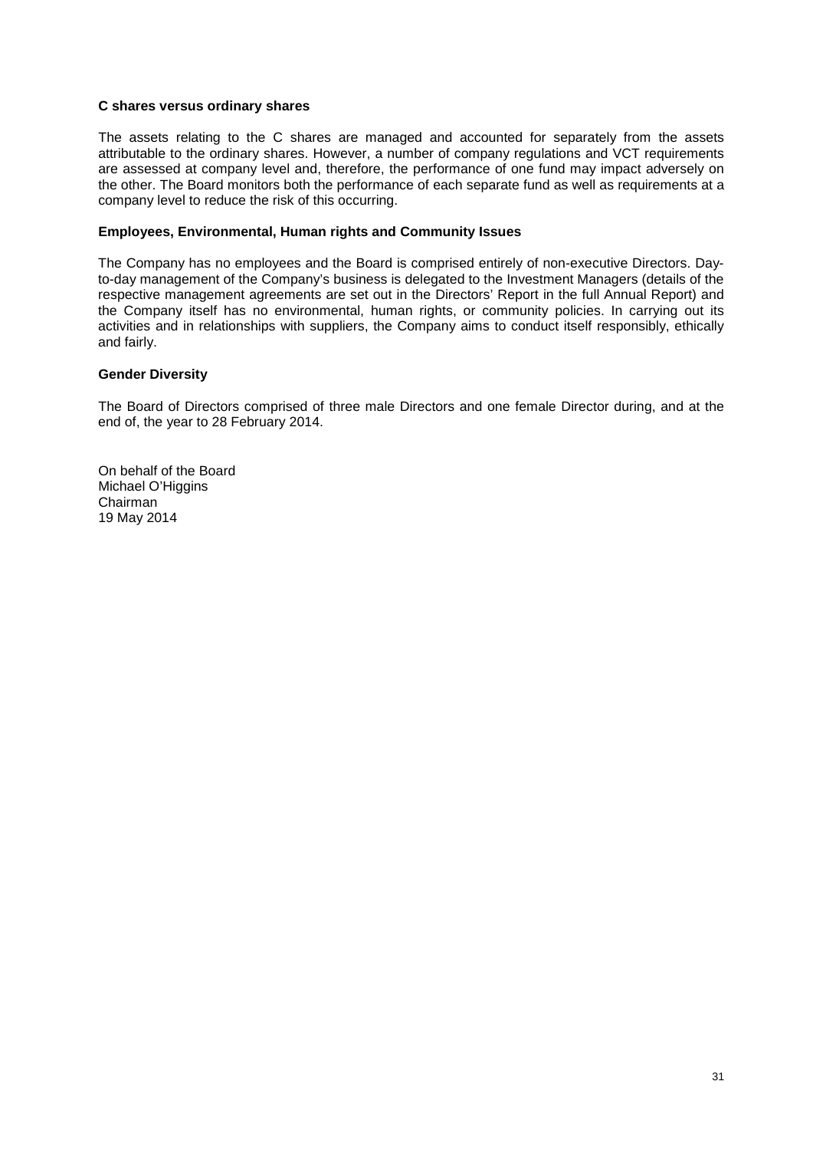### **C shares versus ordinary shares**

The assets relating to the C shares are managed and accounted for separately from the assets attributable to the ordinary shares. However, a number of company regulations and VCT requirements are assessed at company level and, therefore, the performance of one fund may impact adversely on the other. The Board monitors both the performance of each separate fund as well as requirements at a company level to reduce the risk of this occurring.

### **Employees, Environmental, Human rights and Community Issues**

The Company has no employees and the Board is comprised entirely of non-executive Directors. Dayto-day management of the Company's business is delegated to the Investment Managers (details of the respective management agreements are set out in the Directors' Report in the full Annual Report) and the Company itself has no environmental, human rights, or community policies. In carrying out its activities and in relationships with suppliers, the Company aims to conduct itself responsibly, ethically and fairly.

### **Gender Diversity**

The Board of Directors comprised of three male Directors and one female Director during, and at the end of, the year to 28 February 2014.

On behalf of the Board Michael O'Higgins Chairman 19 May 2014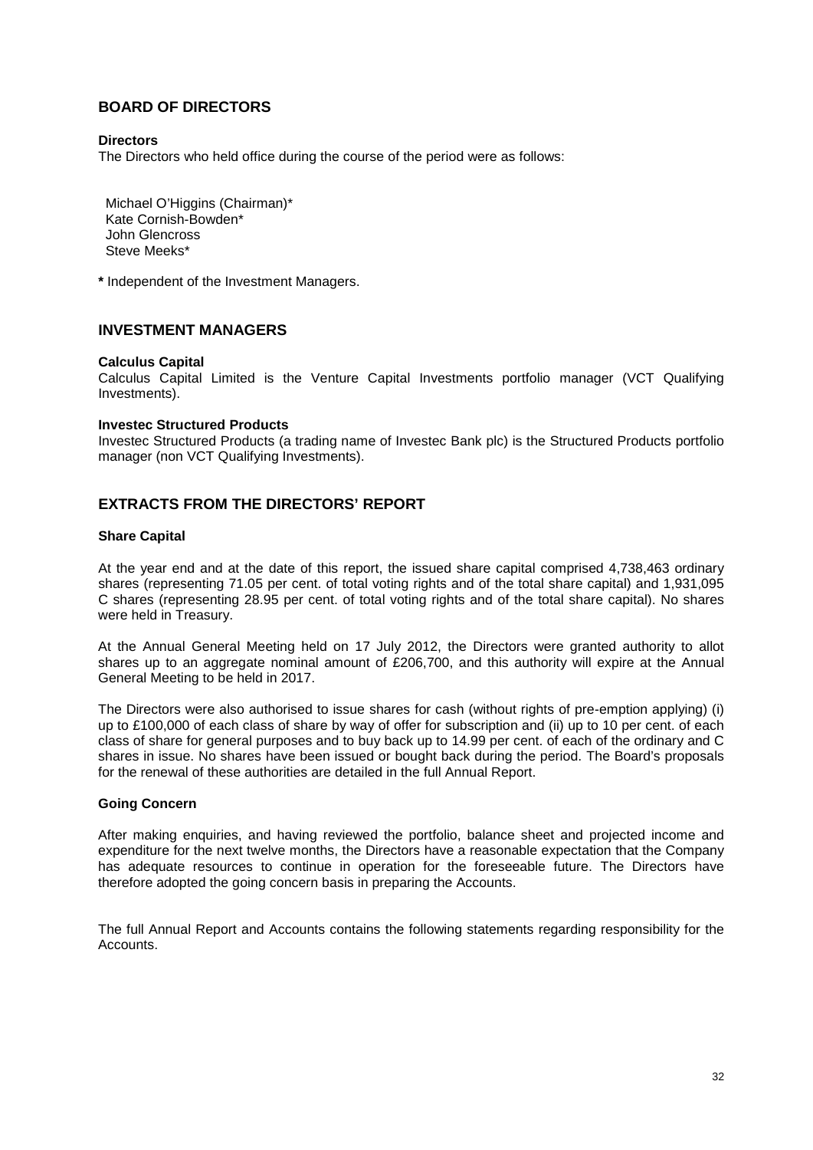# **BOARD OF DIRECTORS**

# **Directors**

The Directors who held office during the course of the period were as follows:

Michael O'Higgins (Chairman)\* Kate Cornish-Bowden\* John Glencross Steve Meeks\*

**\*** Independent of the Investment Managers.

# **INVESTMENT MANAGERS**

#### **Calculus Capital**

Calculus Capital Limited is the Venture Capital Investments portfolio manager (VCT Qualifying Investments).

#### **Investec Structured Products**

Investec Structured Products (a trading name of Investec Bank plc) is the Structured Products portfolio manager (non VCT Qualifying Investments).

# **EXTRACTS FROM THE DIRECTORS' REPORT**

#### **Share Capital**

At the year end and at the date of this report, the issued share capital comprised 4,738,463 ordinary shares (representing 71.05 per cent. of total voting rights and of the total share capital) and 1,931,095 C shares (representing 28.95 per cent. of total voting rights and of the total share capital). No shares were held in Treasury.

At the Annual General Meeting held on 17 July 2012, the Directors were granted authority to allot shares up to an aggregate nominal amount of £206,700, and this authority will expire at the Annual General Meeting to be held in 2017.

The Directors were also authorised to issue shares for cash (without rights of pre-emption applying) (i) up to £100,000 of each class of share by way of offer for subscription and (ii) up to 10 per cent. of each class of share for general purposes and to buy back up to 14.99 per cent. of each of the ordinary and C shares in issue. No shares have been issued or bought back during the period. The Board's proposals for the renewal of these authorities are detailed in the full Annual Report.

#### **Going Concern**

After making enquiries, and having reviewed the portfolio, balance sheet and projected income and expenditure for the next twelve months, the Directors have a reasonable expectation that the Company has adequate resources to continue in operation for the foreseeable future. The Directors have therefore adopted the going concern basis in preparing the Accounts.

The full Annual Report and Accounts contains the following statements regarding responsibility for the Accounts.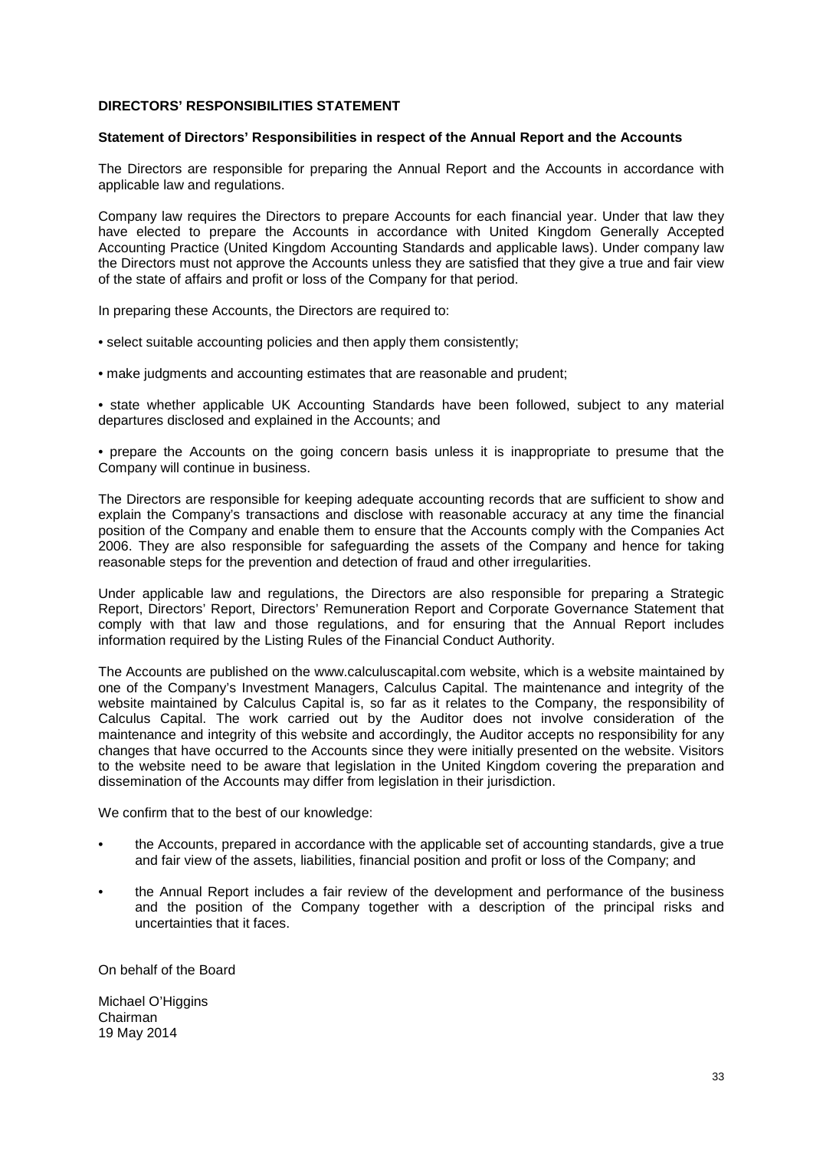#### **DIRECTORS' RESPONSIBILITIES STATEMENT**

#### **Statement of Directors' Responsibilities in respect of the Annual Report and the Accounts**

The Directors are responsible for preparing the Annual Report and the Accounts in accordance with applicable law and regulations.

Company law requires the Directors to prepare Accounts for each financial year. Under that law they have elected to prepare the Accounts in accordance with United Kingdom Generally Accepted Accounting Practice (United Kingdom Accounting Standards and applicable laws). Under company law the Directors must not approve the Accounts unless they are satisfied that they give a true and fair view of the state of affairs and profit or loss of the Company for that period.

In preparing these Accounts, the Directors are required to:

- select suitable accounting policies and then apply them consistently;
- make judgments and accounting estimates that are reasonable and prudent;

• state whether applicable UK Accounting Standards have been followed, subject to any material departures disclosed and explained in the Accounts; and

• prepare the Accounts on the going concern basis unless it is inappropriate to presume that the Company will continue in business.

The Directors are responsible for keeping adequate accounting records that are sufficient to show and explain the Company's transactions and disclose with reasonable accuracy at any time the financial position of the Company and enable them to ensure that the Accounts comply with the Companies Act 2006. They are also responsible for safeguarding the assets of the Company and hence for taking reasonable steps for the prevention and detection of fraud and other irregularities.

Under applicable law and regulations, the Directors are also responsible for preparing a Strategic Report, Directors' Report, Directors' Remuneration Report and Corporate Governance Statement that comply with that law and those regulations, and for ensuring that the Annual Report includes information required by the Listing Rules of the Financial Conduct Authority.

The Accounts are published on the www.calculuscapital.com website, which is a website maintained by one of the Company's Investment Managers, Calculus Capital. The maintenance and integrity of the website maintained by Calculus Capital is, so far as it relates to the Company, the responsibility of Calculus Capital. The work carried out by the Auditor does not involve consideration of the maintenance and integrity of this website and accordingly, the Auditor accepts no responsibility for any changes that have occurred to the Accounts since they were initially presented on the website. Visitors to the website need to be aware that legislation in the United Kingdom covering the preparation and dissemination of the Accounts may differ from legislation in their jurisdiction.

We confirm that to the best of our knowledge:

- the Accounts, prepared in accordance with the applicable set of accounting standards, give a true and fair view of the assets, liabilities, financial position and profit or loss of the Company; and
- the Annual Report includes a fair review of the development and performance of the business and the position of the Company together with a description of the principal risks and uncertainties that it faces.

On behalf of the Board

Michael O'Higgins Chairman 19 May 2014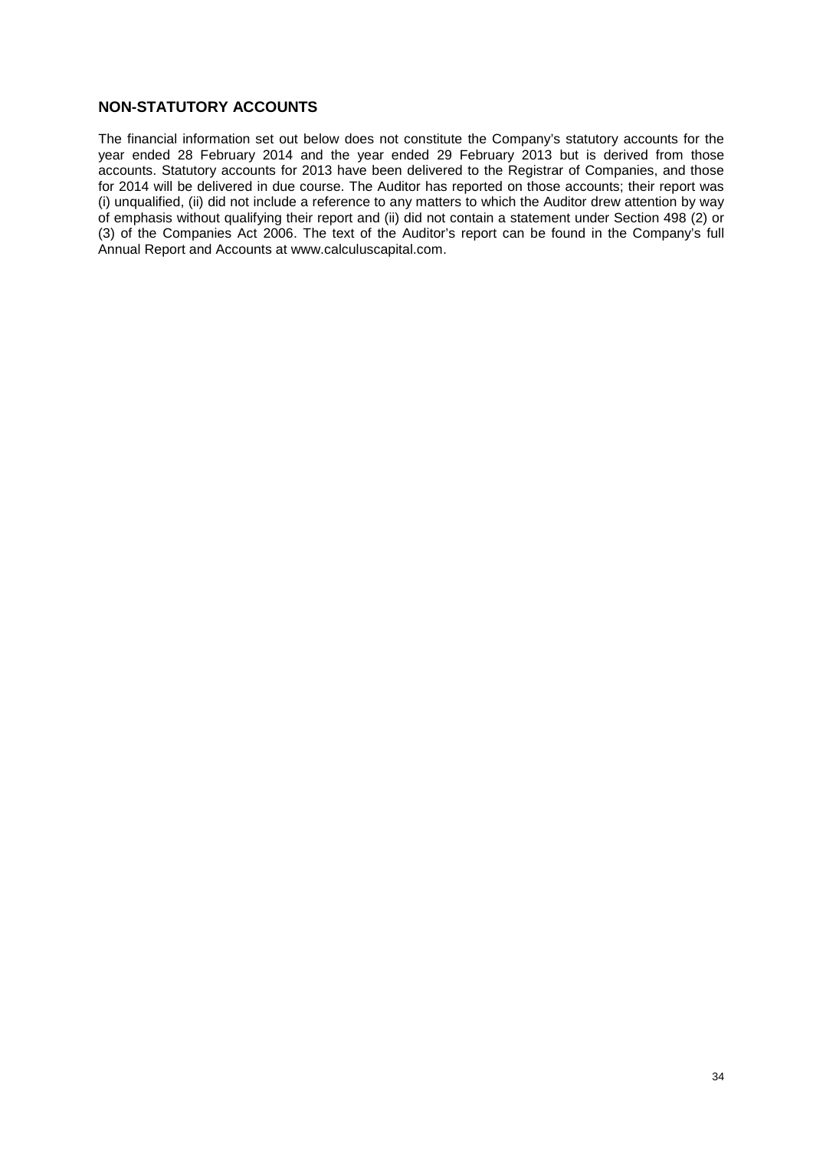# **NON-STATUTORY ACCOUNTS**

The financial information set out below does not constitute the Company's statutory accounts for the year ended 28 February 2014 and the year ended 29 February 2013 but is derived from those accounts. Statutory accounts for 2013 have been delivered to the Registrar of Companies, and those for 2014 will be delivered in due course. The Auditor has reported on those accounts; their report was (i) unqualified, (ii) did not include a reference to any matters to which the Auditor drew attention by way of emphasis without qualifying their report and (ii) did not contain a statement under Section 498 (2) or (3) of the Companies Act 2006. The text of the Auditor's report can be found in the Company's full Annual Report and Accounts at www.calculuscapital.com.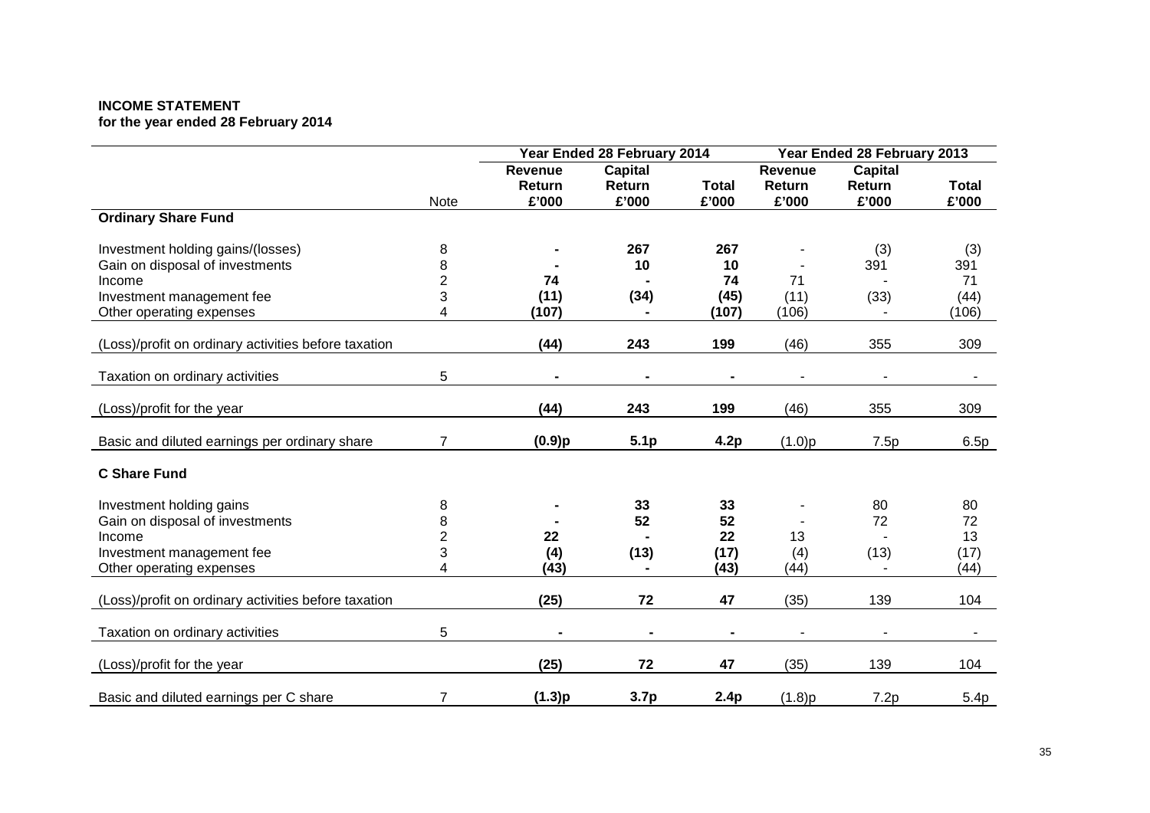# **INCOME STATEMENT for the year ended 28 February 2014**

|                                                      |             | Year Ended 28 February 2014 |                                 |                | Year Ended 28 February 2013 |                          |              |
|------------------------------------------------------|-------------|-----------------------------|---------------------------------|----------------|-----------------------------|--------------------------|--------------|
|                                                      |             | Revenue<br>Return           | <b>Capital</b><br><b>Return</b> | <b>Total</b>   | <b>Revenue</b><br>Return    | <b>Capital</b><br>Return | <b>Total</b> |
| <b>Ordinary Share Fund</b>                           | <b>Note</b> | £'000                       | £'000                           | £'000          | £'000                       | £'000                    | £'000        |
|                                                      |             |                             |                                 |                |                             |                          |              |
| Investment holding gains/(losses)                    | 8           |                             | 267                             | 267            |                             | (3)                      | (3)          |
| Gain on disposal of investments                      | 8           |                             | 10                              | 10             |                             | 391                      | 391          |
| Income                                               | 2           | 74                          |                                 | 74             | 71                          |                          | 71           |
| Investment management fee                            | 3           | (11)                        | (34)                            | (45)           | (11)                        | (33)                     | (44)         |
| Other operating expenses                             | 4           | (107)                       |                                 | (107)          | (106)                       |                          | (106)        |
| (Loss)/profit on ordinary activities before taxation |             | (44)                        | 243                             | 199            | (46)                        | 355                      | 309          |
| Taxation on ordinary activities                      | 5           | $\blacksquare$              | $\blacksquare$                  | $\blacksquare$ |                             | $\overline{\phantom{a}}$ |              |
|                                                      |             |                             |                                 |                |                             |                          |              |
| (Loss)/profit for the year                           |             | (44)                        | 243                             | 199            | (46)                        | 355                      | 309          |
| Basic and diluted earnings per ordinary share        | 7           | (0.9)p                      | 5.1 <sub>p</sub>                | 4.2p           | (1.0)p                      | 7.5p                     | 6.5p         |
| <b>C Share Fund</b>                                  |             |                             |                                 |                |                             |                          |              |
| Investment holding gains                             | 8           |                             | 33                              | 33             |                             | 80                       | 80           |
| Gain on disposal of investments                      | 8           |                             | 52                              | 52             |                             | 72                       | 72           |
| Income                                               | 2           | 22                          |                                 | 22             | 13                          |                          | 13           |
| Investment management fee                            | 3           | (4)                         | (13)                            | (17)           | (4)                         | (13)                     | (17)         |
| Other operating expenses                             | 4           | (43)                        | $\blacksquare$                  | (43)           | (44)                        |                          | (44)         |
| (Loss)/profit on ordinary activities before taxation |             | (25)                        | 72                              | 47             | (35)                        | 139                      | 104          |
| Taxation on ordinary activities                      | 5           |                             |                                 |                |                             |                          |              |
| (Loss)/profit for the year                           |             | (25)                        | 72                              | 47             | (35)                        | 139                      | 104          |
| Basic and diluted earnings per C share               |             | (1.3)p                      | 3.7 <sub>p</sub>                | 2.4p           | (1.8)p                      | 7.2p                     | 5.4p         |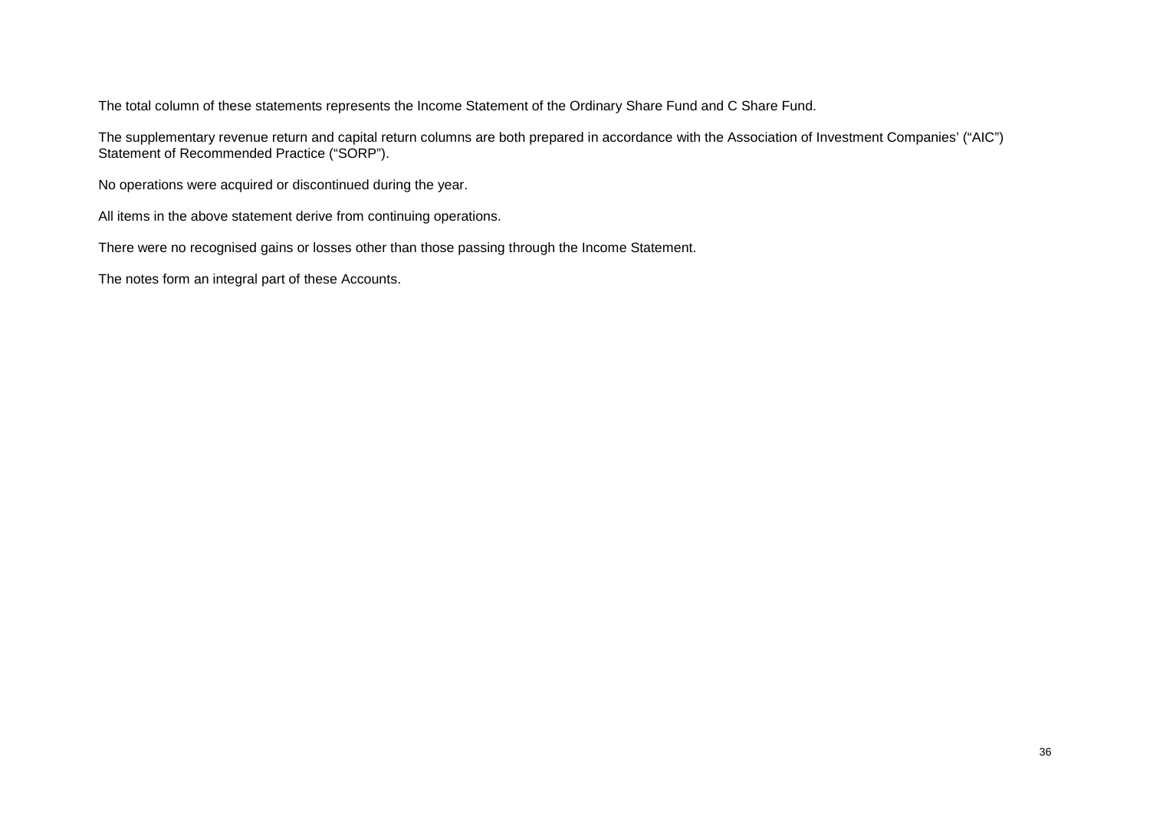The total column of these statements represents the Income Statement of the Ordinary Share Fund and C Share Fund.

The supplementary revenue return and capital return columns are both prepared in accordance with the Association of Investment Companies' ("AIC") Statement of Recommended Practice ("SORP").

No operations were acquired or discontinued during the year.

All items in the above statement derive from continuing operations.

There were no recognised gains or losses other than those passing through the Income Statement.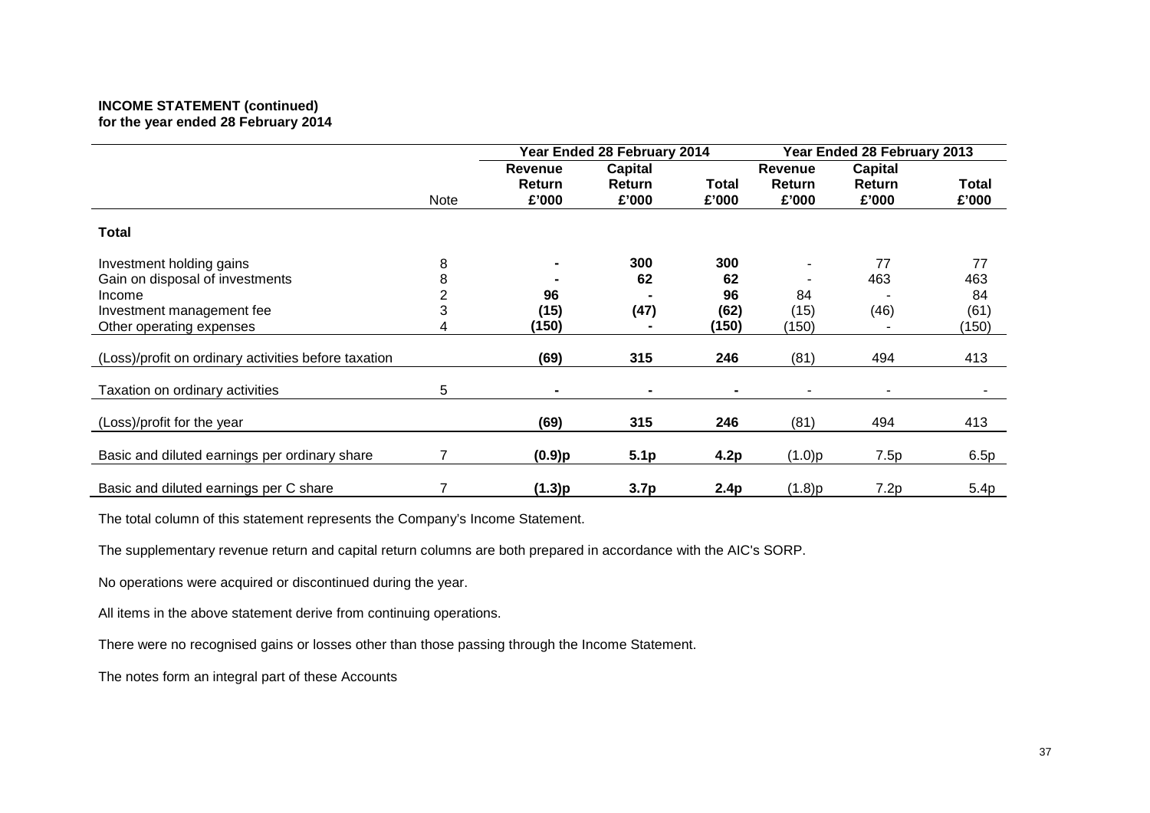### **INCOME STATEMENT (continued) for the year ended 28 February 2014**

|                                                             |                | Year Ended 28 February 2014       |                                   |                | Year Ended 28 February 2013       |                                   |                |  |
|-------------------------------------------------------------|----------------|-----------------------------------|-----------------------------------|----------------|-----------------------------------|-----------------------------------|----------------|--|
|                                                             | <b>Note</b>    | <b>Revenue</b><br>Return<br>£'000 | Capital<br><b>Return</b><br>£'000 | Total<br>£'000 | <b>Revenue</b><br>Return<br>£'000 | Capital<br><b>Return</b><br>£'000 | Total<br>£'000 |  |
| <b>Total</b>                                                |                |                                   |                                   |                |                                   |                                   |                |  |
| Investment holding gains<br>Gain on disposal of investments | 8<br>8         |                                   | 300<br>62                         | 300<br>62      |                                   | 77<br>463                         | 77<br>463      |  |
| Income                                                      | $\overline{2}$ | 96                                |                                   | 96             | 84                                |                                   | 84             |  |
| Investment management fee<br>Other operating expenses       | 3<br>4         | (15)<br>(150)                     | (47)                              | (62)<br>(150)  | (15)<br>(150)                     | (46)                              | (61)<br>(150)  |  |
| (Loss)/profit on ordinary activities before taxation        |                | (69)                              | 315                               | 246            | (81)                              | 494                               | 413            |  |
| Taxation on ordinary activities                             | 5              | ۰                                 |                                   | $\blacksquare$ |                                   | ۰                                 |                |  |
| (Loss)/profit for the year                                  |                | (69)                              | 315                               | 246            | (81)                              | 494                               | 413            |  |
| Basic and diluted earnings per ordinary share               |                | $(0.9)$ p                         | 5.1 <sub>p</sub>                  | 4.2p           | (1.0)p                            | 7.5p                              | 6.5p           |  |
| Basic and diluted earnings per C share                      |                | (1.3)p                            | 3.7 <sub>p</sub>                  | 2.4p           | (1.8)p                            | 7.2p                              | 5.4p           |  |

The total column of this statement represents the Company's Income Statement.

The supplementary revenue return and capital return columns are both prepared in accordance with the AIC's SORP.

No operations were acquired or discontinued during the year.

All items in the above statement derive from continuing operations.

There were no recognised gains or losses other than those passing through the Income Statement.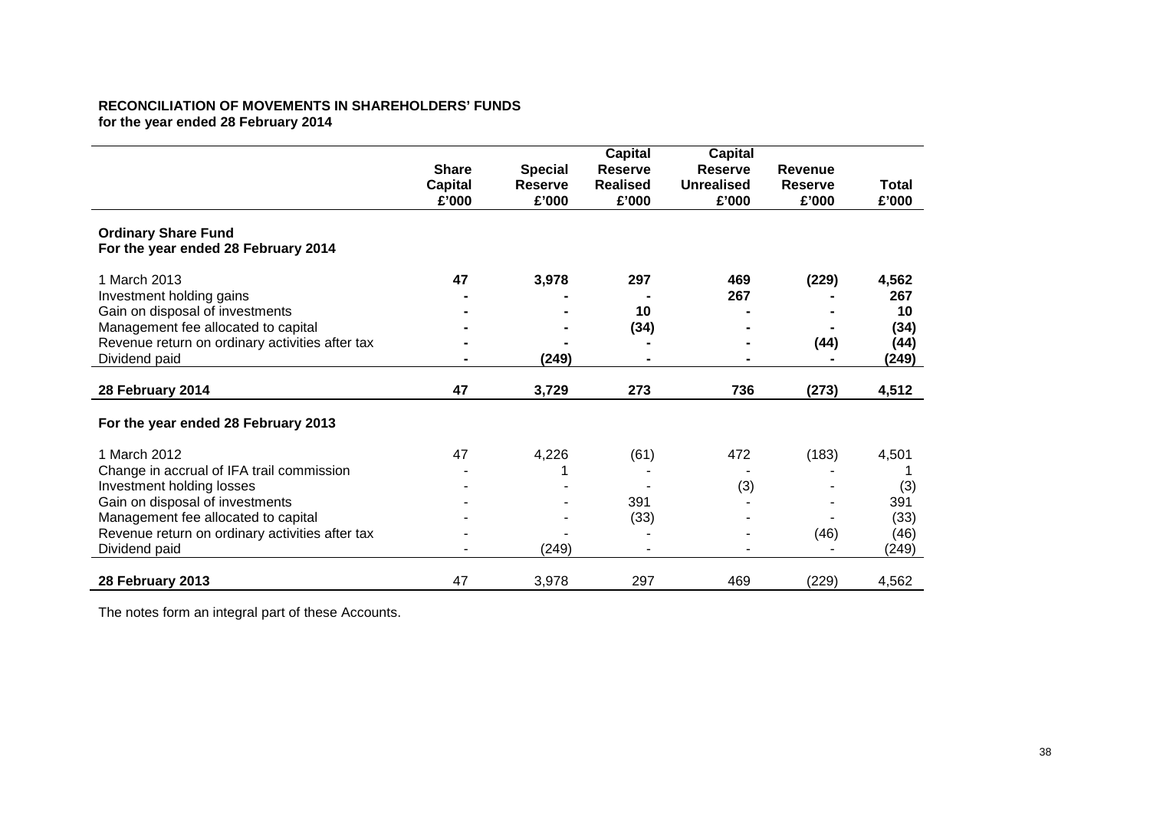# **RECONCILIATION OF MOVEMENTS IN SHAREHOLDERS' FUNDS for the year ended 28 February 2014**

|                                                                   | <b>Share</b><br>Capital<br>£'000 | <b>Special</b><br><b>Reserve</b><br>£'000 | <b>Capital</b><br><b>Reserve</b><br><b>Realised</b><br>£'000 | <b>Capital</b><br><b>Reserve</b><br>Unrealised<br>£'000 | <b>Revenue</b><br><b>Reserve</b><br>£'000 | <b>Total</b><br>£'000 |
|-------------------------------------------------------------------|----------------------------------|-------------------------------------------|--------------------------------------------------------------|---------------------------------------------------------|-------------------------------------------|-----------------------|
| <b>Ordinary Share Fund</b><br>For the year ended 28 February 2014 |                                  |                                           |                                                              |                                                         |                                           |                       |
| 1 March 2013                                                      | 47                               | 3,978                                     | 297                                                          | 469                                                     | (229)                                     | 4,562                 |
| Investment holding gains                                          |                                  |                                           |                                                              | 267                                                     |                                           | 267                   |
| Gain on disposal of investments                                   |                                  |                                           | 10                                                           |                                                         |                                           | 10                    |
| Management fee allocated to capital                               |                                  |                                           | (34)                                                         |                                                         |                                           | (34)                  |
| Revenue return on ordinary activities after tax                   |                                  |                                           |                                                              |                                                         | (44)                                      | (44)                  |
| Dividend paid                                                     |                                  | (249)                                     |                                                              |                                                         |                                           | (249)                 |
| 28 February 2014                                                  | 47                               | 3,729                                     | 273                                                          | 736                                                     | (273)                                     | 4,512                 |
| For the year ended 28 February 2013                               |                                  |                                           |                                                              |                                                         |                                           |                       |
| 1 March 2012                                                      | 47                               | 4,226                                     | (61)                                                         | 472                                                     | (183)                                     | 4,501                 |
| Change in accrual of IFA trail commission                         |                                  |                                           |                                                              |                                                         |                                           |                       |
| Investment holding losses                                         |                                  |                                           |                                                              | (3)                                                     |                                           | (3)                   |
| Gain on disposal of investments                                   |                                  |                                           | 391                                                          |                                                         |                                           | 391                   |
| Management fee allocated to capital                               |                                  |                                           | (33)                                                         |                                                         |                                           | (33)                  |
| Revenue return on ordinary activities after tax                   |                                  |                                           |                                                              |                                                         | (46)                                      | (46)                  |
| Dividend paid                                                     |                                  | (249)                                     |                                                              |                                                         |                                           | (249)                 |
| 28 February 2013                                                  | 47                               | 3,978                                     | 297                                                          | 469                                                     | (229)                                     | 4,562                 |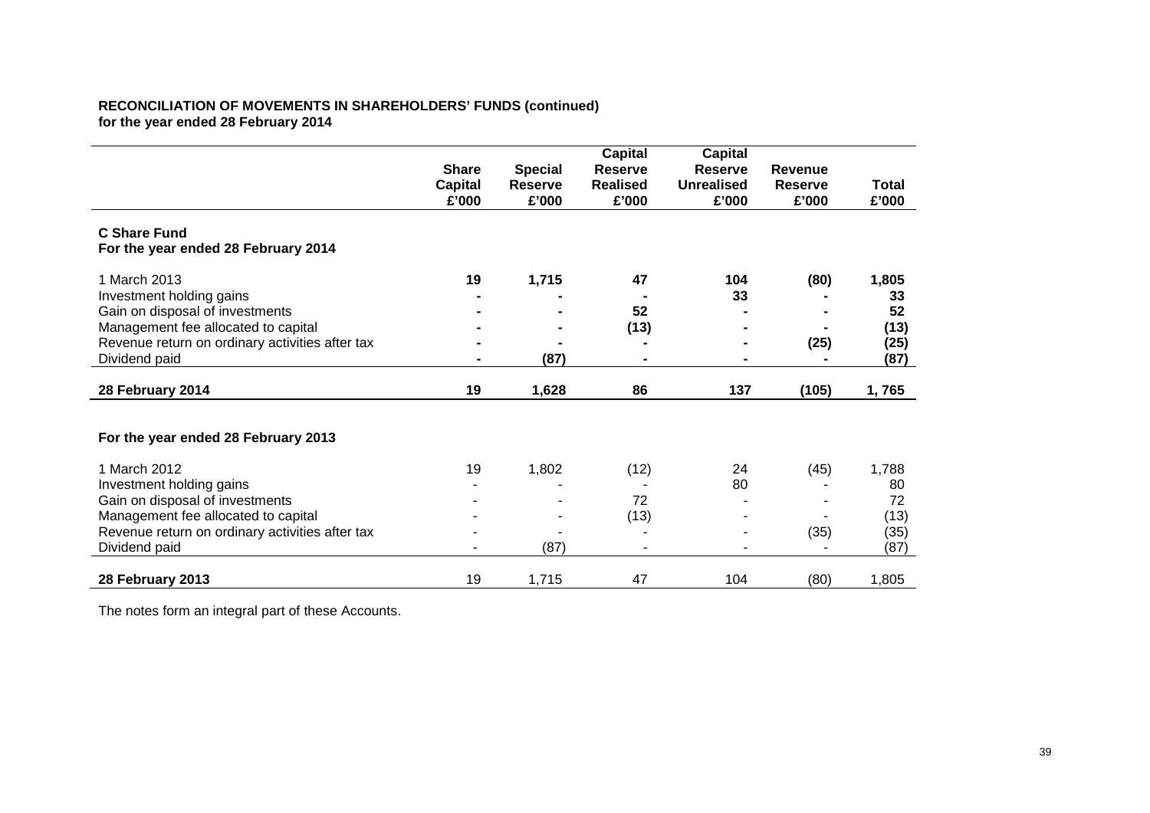# **RECONCILIATION OF MOVEMENTS IN SHAREHOLDERS' FUNDS (continued) for the year ended 28 February 2014**

|                                                 | <b>Share</b><br><b>Capital</b><br>£'000 | <b>Special</b><br><b>Reserve</b><br>£'000 | <b>Capital</b><br><b>Reserve</b><br><b>Realised</b><br>£'000 | <b>Capital</b><br><b>Reserve</b><br><b>Unrealised</b><br>£'000 | Revenue<br><b>Reserve</b><br>£'000 | <b>Total</b><br>£'000 |
|-------------------------------------------------|-----------------------------------------|-------------------------------------------|--------------------------------------------------------------|----------------------------------------------------------------|------------------------------------|-----------------------|
| <b>C</b> Share Fund                             |                                         |                                           |                                                              |                                                                |                                    |                       |
| For the year ended 28 February 2014             |                                         |                                           |                                                              |                                                                |                                    |                       |
| 1 March 2013                                    | 19                                      | 1,715                                     | 47                                                           | 104                                                            | (80)                               | 1,805                 |
| Investment holding gains                        |                                         |                                           |                                                              | 33                                                             |                                    | 33                    |
| Gain on disposal of investments                 |                                         |                                           | 52                                                           |                                                                |                                    | 52                    |
| Management fee allocated to capital             |                                         |                                           | (13)                                                         |                                                                |                                    | (13)                  |
| Revenue return on ordinary activities after tax |                                         |                                           |                                                              |                                                                | (25)                               | (25)                  |
| Dividend paid                                   |                                         | (87)                                      | $\blacksquare$                                               |                                                                |                                    | (87)                  |
| 28 February 2014                                | 19                                      | 1,628                                     | 86                                                           | 137                                                            | (105)                              | 1,765                 |
| For the year ended 28 February 2013             |                                         |                                           |                                                              |                                                                |                                    |                       |
|                                                 |                                         |                                           |                                                              |                                                                |                                    |                       |
| 1 March 2012                                    | 19                                      | 1,802                                     | (12)                                                         | 24                                                             | (45)                               | 1,788                 |
| Investment holding gains                        |                                         |                                           |                                                              | 80                                                             |                                    | 80                    |
| Gain on disposal of investments                 |                                         |                                           | 72                                                           |                                                                |                                    | 72                    |
| Management fee allocated to capital             |                                         |                                           | (13)                                                         |                                                                |                                    | (13)                  |
| Revenue return on ordinary activities after tax |                                         |                                           |                                                              |                                                                | (35)                               | (35)                  |
| Dividend paid                                   |                                         | (87)                                      | $\overline{\phantom{a}}$                                     |                                                                |                                    | (87)                  |
| 28 February 2013                                | 19                                      | 1,715                                     | 47                                                           | 104                                                            | (80)                               | 1,805                 |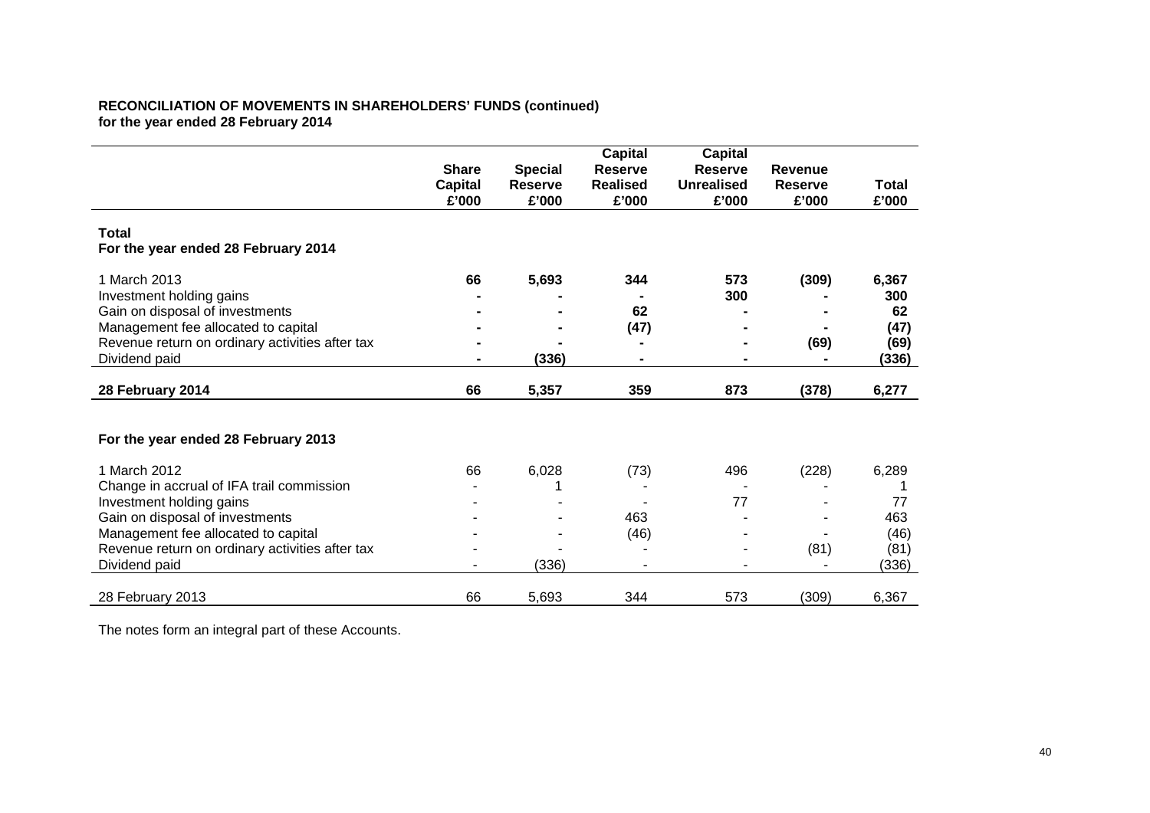# **RECONCILIATION OF MOVEMENTS IN SHAREHOLDERS' FUNDS (continued) for the year ended 28 February 2014**

|                                                     | <b>Share</b><br><b>Capital</b><br>£'000 | <b>Special</b><br><b>Reserve</b><br>£'000 | <b>Capital</b><br><b>Reserve</b><br><b>Realised</b><br>£'000 | <b>Capital</b><br><b>Reserve</b><br><b>Unrealised</b><br>£'000 | <b>Revenue</b><br>Reserve<br>£'000 | <b>Total</b><br>£'000 |
|-----------------------------------------------------|-----------------------------------------|-------------------------------------------|--------------------------------------------------------------|----------------------------------------------------------------|------------------------------------|-----------------------|
| <b>Total</b><br>For the year ended 28 February 2014 |                                         |                                           |                                                              |                                                                |                                    |                       |
| 1 March 2013                                        | 66                                      | 5,693                                     | 344                                                          | 573                                                            | (309)                              | 6,367                 |
| Investment holding gains                            |                                         |                                           |                                                              | 300                                                            |                                    | 300                   |
| Gain on disposal of investments                     |                                         |                                           | 62                                                           |                                                                |                                    | 62                    |
| Management fee allocated to capital                 |                                         |                                           | (47)                                                         |                                                                |                                    | (47)                  |
| Revenue return on ordinary activities after tax     |                                         |                                           |                                                              |                                                                | (69)                               | (69)                  |
| Dividend paid                                       |                                         | (336)                                     |                                                              |                                                                |                                    | (336)                 |
| 28 February 2014                                    | 66                                      | 5,357                                     | 359                                                          | 873                                                            | (378)                              | 6,277                 |
|                                                     |                                         |                                           |                                                              |                                                                |                                    |                       |
| For the year ended 28 February 2013                 |                                         |                                           |                                                              |                                                                |                                    |                       |
| 1 March 2012                                        | 66                                      | 6,028                                     | (73)                                                         | 496                                                            | (228)                              | 6,289                 |
| Change in accrual of IFA trail commission           |                                         |                                           |                                                              |                                                                |                                    |                       |
| Investment holding gains                            |                                         |                                           |                                                              | 77                                                             |                                    | 77                    |
| Gain on disposal of investments                     |                                         |                                           | 463                                                          |                                                                |                                    | 463                   |
| Management fee allocated to capital                 |                                         |                                           | (46)                                                         |                                                                |                                    | (46)                  |
| Revenue return on ordinary activities after tax     |                                         |                                           |                                                              |                                                                | (81)                               | (81)                  |
| Dividend paid                                       |                                         | (336)                                     |                                                              |                                                                |                                    | (336)                 |
| 28 February 2013                                    | 66                                      | 5,693                                     | 344                                                          | 573                                                            | (309)                              | 6,367                 |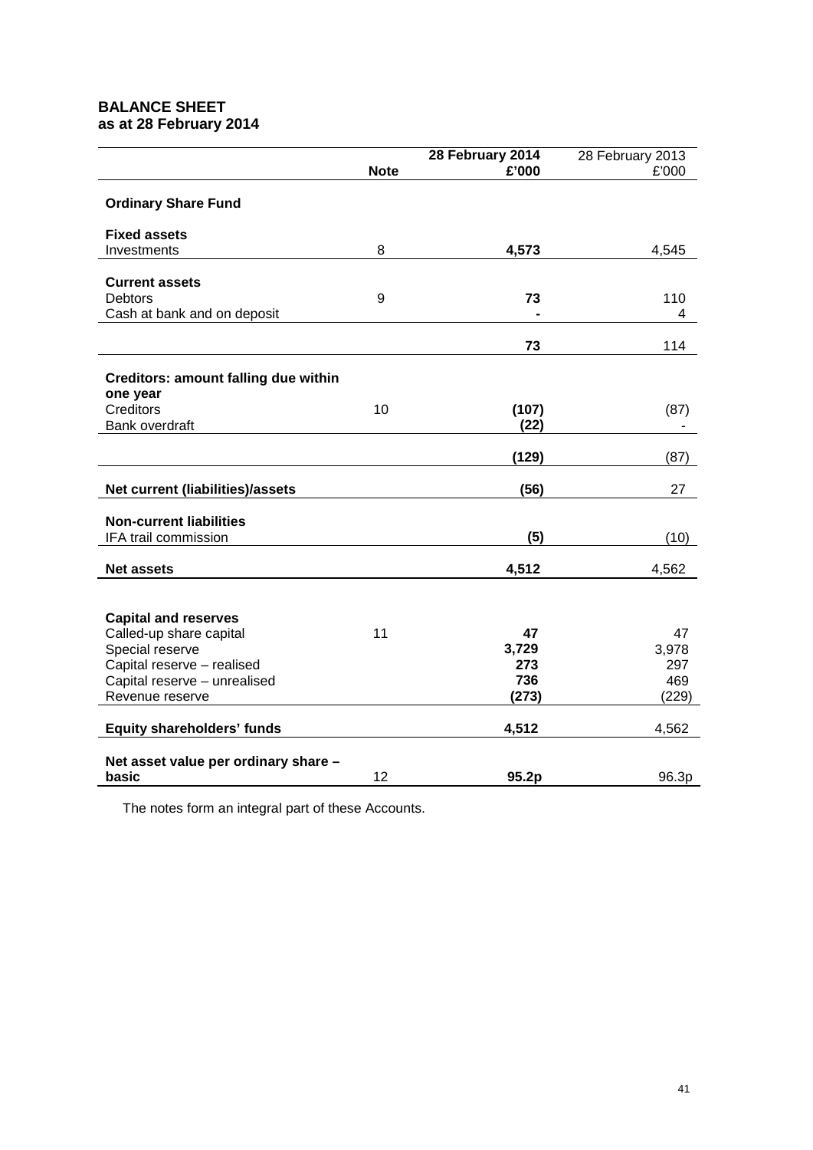# **BALANCE SHEET as at 28 February 2014**

|                                                        |             | 28 February 2014 | 28 February 2013 |
|--------------------------------------------------------|-------------|------------------|------------------|
|                                                        | <b>Note</b> | £'000            | £'000            |
| <b>Ordinary Share Fund</b>                             |             |                  |                  |
| <b>Fixed assets</b>                                    |             |                  |                  |
| Investments                                            | 8           | 4,573            | 4,545            |
|                                                        |             |                  |                  |
| <b>Current assets</b><br><b>Debtors</b>                | 9           | 73               | 110              |
| Cash at bank and on deposit                            |             |                  | 4                |
|                                                        |             |                  |                  |
|                                                        |             | 73               | 114              |
|                                                        |             |                  |                  |
| Creditors: amount falling due within<br>one year       |             |                  |                  |
| Creditors                                              | 10          | (107)            | (87)             |
| Bank overdraft                                         |             | (22)             |                  |
|                                                        |             |                  |                  |
|                                                        |             | (129)            | (87)             |
| Net current (liabilities)/assets                       |             | (56)             | 27               |
|                                                        |             |                  |                  |
| <b>Non-current liabilities</b><br>IFA trail commission |             | (5)              | (10)             |
|                                                        |             |                  |                  |
| <b>Net assets</b>                                      |             | 4,512            | 4,562            |
|                                                        |             |                  |                  |
|                                                        |             |                  |                  |
| <b>Capital and reserves</b><br>Called-up share capital | 11          | 47               | 47               |
| Special reserve                                        |             | 3,729            | 3,978            |
| Capital reserve - realised                             |             | 273              | 297              |
| Capital reserve - unrealised                           |             | 736              | 469              |
| Revenue reserve                                        |             | (273)            | (229)            |
|                                                        |             |                  |                  |
| <b>Equity shareholders' funds</b>                      |             | 4,512            | 4,562            |
| Net asset value per ordinary share -                   |             |                  |                  |
| basic                                                  | 12          | 95.2p            | 96.3p            |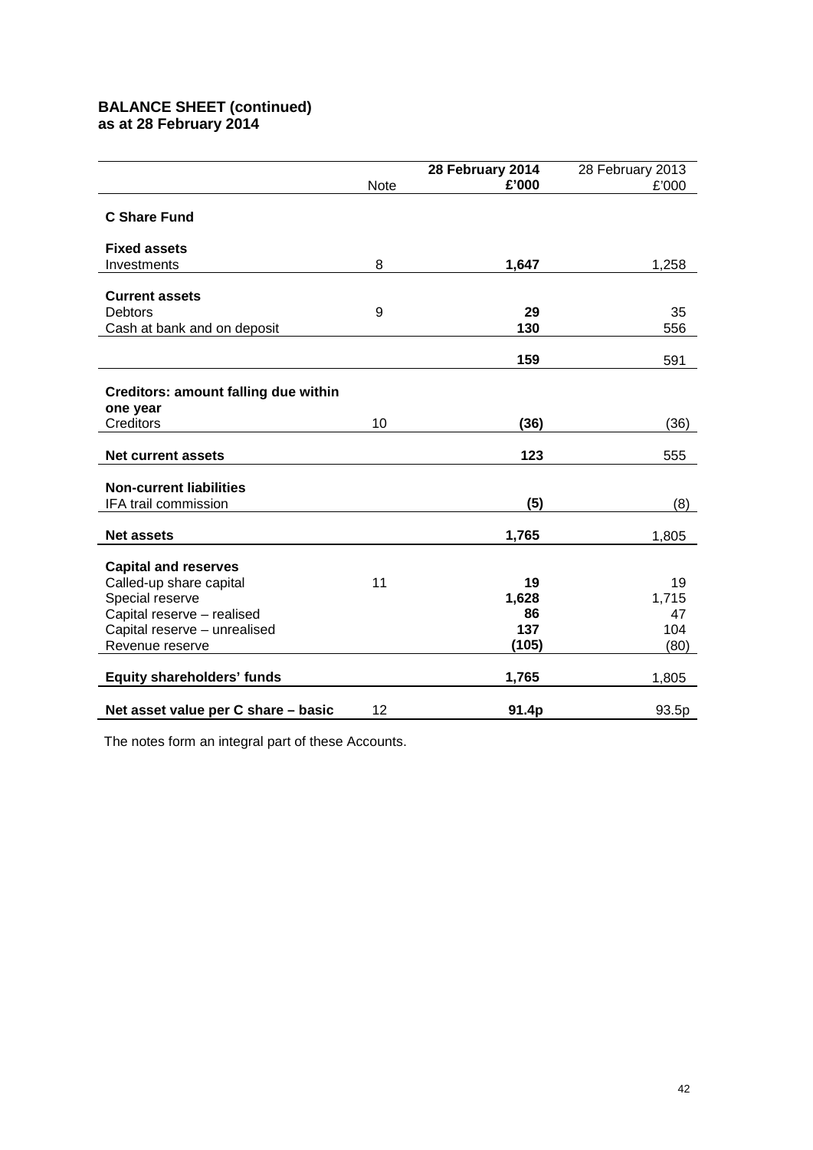# **BALANCE SHEET (continued) as at 28 February 2014**

|                                                        |      | 28 February 2014 | 28 February 2013 |
|--------------------------------------------------------|------|------------------|------------------|
|                                                        | Note | £'000            | £'000            |
| <b>C Share Fund</b>                                    |      |                  |                  |
| <b>Fixed assets</b>                                    |      |                  |                  |
| Investments                                            | 8    | 1,647            | 1,258            |
| <b>Current assets</b>                                  |      |                  |                  |
| <b>Debtors</b>                                         | 9    | 29               | 35               |
| Cash at bank and on deposit                            |      | 130              | 556              |
|                                                        |      |                  |                  |
|                                                        |      | 159              | 591              |
|                                                        |      |                  |                  |
| Creditors: amount falling due within                   |      |                  |                  |
| one year                                               |      | (36)             |                  |
| Creditors                                              | 10   |                  | (36)             |
| <b>Net current assets</b>                              |      | 123              | 555              |
|                                                        |      |                  |                  |
| <b>Non-current liabilities</b><br>IFA trail commission |      | (5)              | (8)              |
|                                                        |      |                  |                  |
| <b>Net assets</b>                                      |      | 1,765            | 1,805            |
| <b>Capital and reserves</b>                            |      |                  |                  |
| Called-up share capital                                | 11   | 19               | 19               |
| Special reserve                                        |      | 1,628            | 1,715            |
| Capital reserve - realised                             |      | 86               | 47               |
| Capital reserve - unrealised                           |      | 137              | 104              |
| Revenue reserve                                        |      | (105)            | (80)             |
| <b>Equity shareholders' funds</b>                      |      | 1,765            | 1,805            |
| Net asset value per C share - basic                    | 12   | 91.4p            | 93.5p            |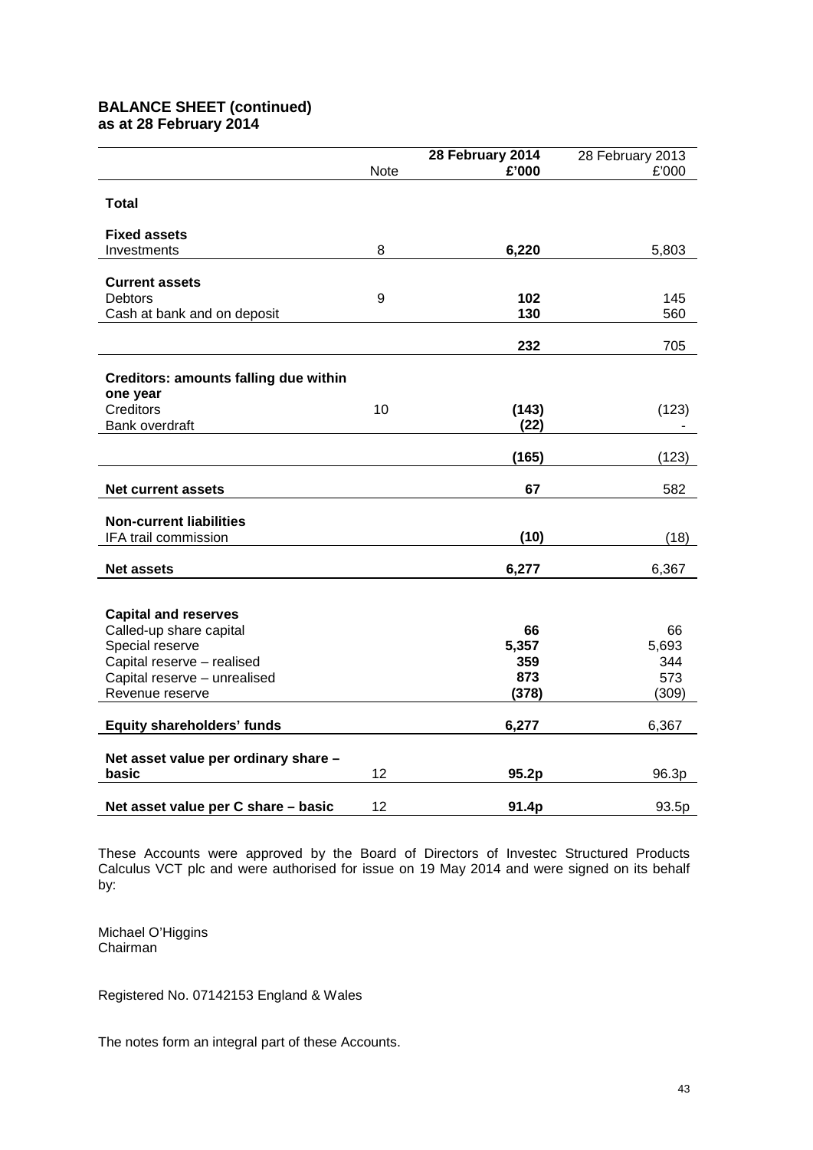# **BALANCE SHEET (continued) as at 28 February 2014**

|                                               |      | 28 February 2014 | 28 February 2013 |
|-----------------------------------------------|------|------------------|------------------|
|                                               | Note | £'000            | £'000            |
| <b>Total</b>                                  |      |                  |                  |
| <b>Fixed assets</b>                           |      |                  |                  |
| Investments                                   | 8    | 6,220            | 5,803            |
|                                               |      |                  |                  |
| <b>Current assets</b><br><b>Debtors</b>       | 9    | 102              | 145              |
| Cash at bank and on deposit                   |      | 130              | 560              |
|                                               |      |                  |                  |
|                                               |      | 232              | 705              |
| Creditors: amounts falling due within         |      |                  |                  |
| one year                                      |      |                  |                  |
| Creditors                                     | 10   | (143)            | (123)            |
| Bank overdraft                                |      | (22)             |                  |
|                                               |      |                  |                  |
|                                               |      | (165)            | (123)            |
| <b>Net current assets</b>                     |      | 67               | 582              |
| <b>Non-current liabilities</b>                |      |                  |                  |
| IFA trail commission                          |      | (10)             | (18)             |
|                                               |      |                  |                  |
| <b>Net assets</b>                             |      | 6,277            | 6,367            |
|                                               |      |                  |                  |
| <b>Capital and reserves</b>                   |      |                  |                  |
| Called-up share capital                       |      | 66               | 66               |
| Special reserve                               |      | 5,357            | 5,693            |
| Capital reserve - realised                    |      | 359              | 344              |
| Capital reserve - unrealised                  |      | 873              | 573              |
| Revenue reserve                               |      | (378)            | (309)            |
| <b>Equity shareholders' funds</b>             |      | 6,277            | 6,367            |
|                                               |      |                  |                  |
| Net asset value per ordinary share -<br>basic | 12   | 95.2p            | 96.3p            |
|                                               |      |                  |                  |
| Net asset value per C share - basic           | 12   | 91.4p            | 93.5p            |

These Accounts were approved by the Board of Directors of Investec Structured Products Calculus VCT plc and were authorised for issue on 19 May 2014 and were signed on its behalf by:

Michael O'Higgins Chairman

Registered No. 07142153 England & Wales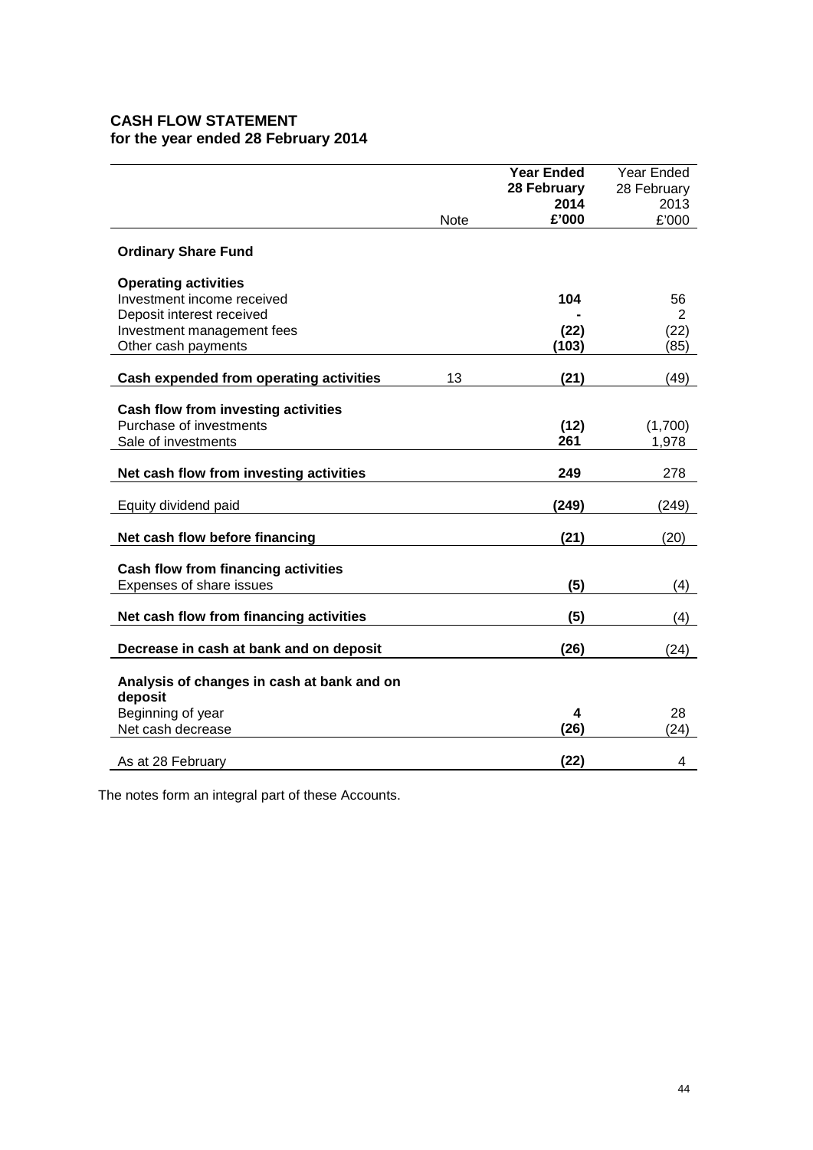# **CASH FLOW STATEMENT for the year ended 28 February 2014**

|                                                       |             | <b>Year Ended</b><br>28 February | Year Ended<br>28 February |
|-------------------------------------------------------|-------------|----------------------------------|---------------------------|
|                                                       |             | 2014                             | 2013                      |
|                                                       | <b>Note</b> | £'000                            | £'000                     |
| <b>Ordinary Share Fund</b>                            |             |                                  |                           |
| <b>Operating activities</b>                           |             |                                  |                           |
| Investment income received                            |             | 104                              | 56                        |
| Deposit interest received                             |             |                                  | 2                         |
| Investment management fees                            |             | (22)                             | (22)                      |
| Other cash payments                                   |             | (103)                            | (85)                      |
| <b>Cash expended from operating activities</b>        | 13          | (21)                             | (49)                      |
| Cash flow from investing activities                   |             |                                  |                           |
| Purchase of investments                               |             | (12)                             | (1,700)                   |
| Sale of investments                                   |             | 261                              | 1,978                     |
|                                                       |             |                                  |                           |
| Net cash flow from investing activities               |             | 249                              | 278                       |
| Equity dividend paid                                  |             | (249)                            | (249)                     |
| Net cash flow before financing                        |             | (21)                             | (20)                      |
|                                                       |             |                                  |                           |
| Cash flow from financing activities                   |             |                                  |                           |
| Expenses of share issues                              |             | (5)                              | (4)                       |
| Net cash flow from financing activities               |             | (5)                              | (4)                       |
|                                                       |             |                                  |                           |
| Decrease in cash at bank and on deposit               |             | (26)                             | (24)                      |
| Analysis of changes in cash at bank and on<br>deposit |             |                                  |                           |
| Beginning of year                                     |             | 4                                | 28                        |
| Net cash decrease                                     |             | (26)                             | (24)                      |
|                                                       |             |                                  |                           |
| As at 28 February                                     |             | (22)                             | 4                         |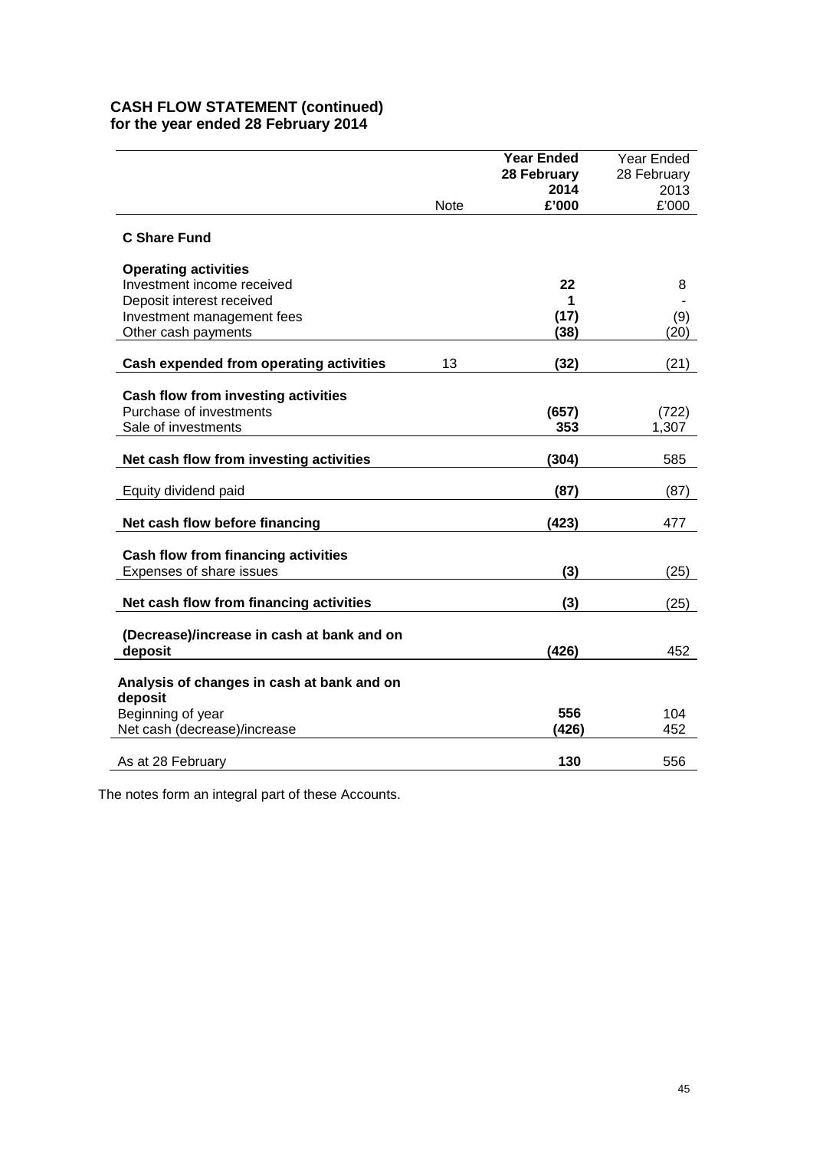# **CASH FLOW STATEMENT (continued) for the year ended 28 February 2014**

|                                            |      | <b>Year Ended</b> | Year Ended  |
|--------------------------------------------|------|-------------------|-------------|
|                                            |      |                   |             |
|                                            |      | 28 February       | 28 February |
|                                            |      | 2014              | 2013        |
|                                            | Note | £'000             | £'000       |
| <b>C Share Fund</b>                        |      |                   |             |
| <b>Operating activities</b>                |      |                   |             |
| Investment income received                 |      | 22                | 8           |
|                                            |      | 1                 |             |
| Deposit interest received                  |      |                   |             |
| Investment management fees                 |      | (17)              | (9)         |
| Other cash payments                        |      | (38)              | (20)        |
| Cash expended from operating activities    | 13   | (32)              | (21)        |
|                                            |      |                   |             |
| Cash flow from investing activities        |      |                   |             |
| Purchase of investments                    |      | (657)             | (722)       |
| Sale of investments                        |      | 353               | 1,307       |
|                                            |      |                   |             |
| Net cash flow from investing activities    |      | (304)             | 585         |
| Equity dividend paid                       |      | (87)              | (87)        |
|                                            |      |                   |             |
| Net cash flow before financing             |      | (423)             | 477         |
|                                            |      |                   |             |
| <b>Cash flow from financing activities</b> |      |                   |             |
| Expenses of share issues                   |      | (3)               | (25)        |
| Net cash flow from financing activities    |      | (3)               | (25)        |
|                                            |      |                   |             |
| (Decrease)/increase in cash at bank and on |      |                   |             |
| deposit                                    |      | (426)             | 452         |
|                                            |      |                   |             |
| Analysis of changes in cash at bank and on |      |                   |             |
| deposit                                    |      |                   |             |
| Beginning of year                          |      | 556               | 104         |
| Net cash (decrease)/increase               |      | (426)             | 452         |
|                                            |      |                   |             |
| As at 28 February                          |      | 130               | 556         |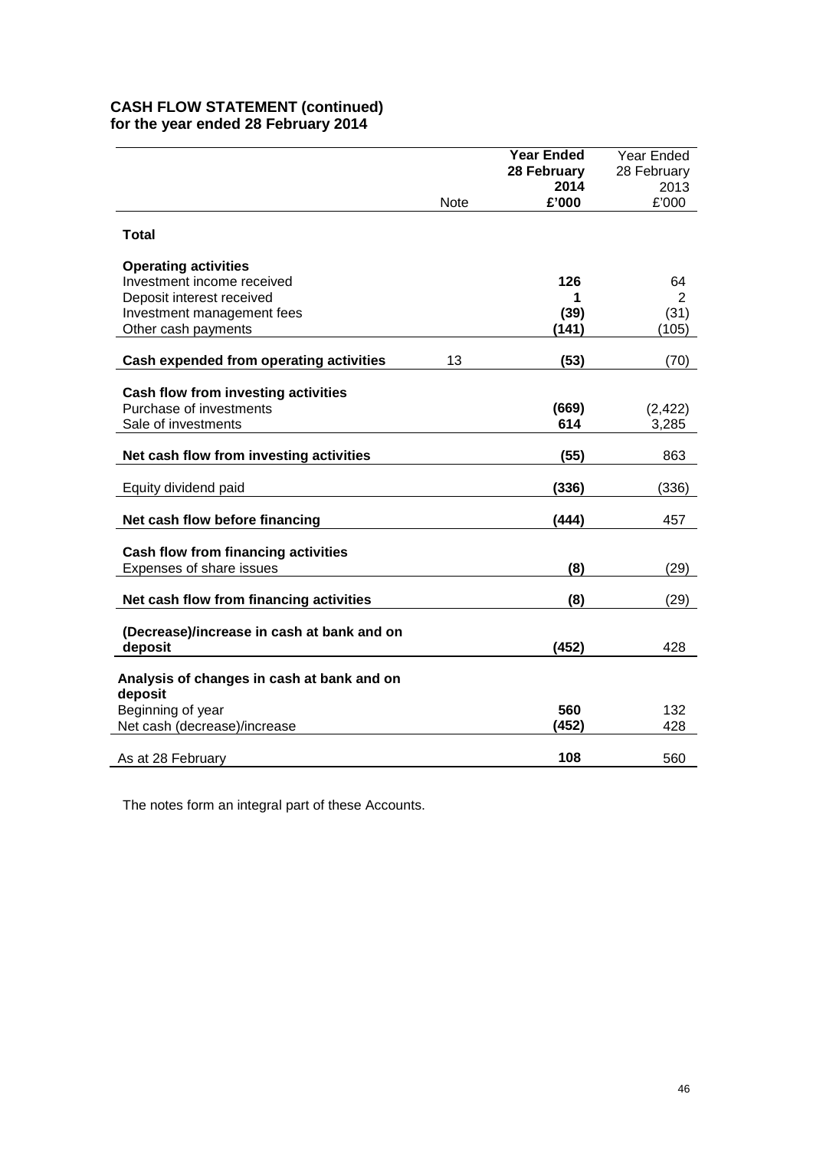# **CASH FLOW STATEMENT (continued) for the year ended 28 February 2014**

|                                                                 |             | <b>Year Ended</b><br>28 February | Year Ended<br>28 February |
|-----------------------------------------------------------------|-------------|----------------------------------|---------------------------|
|                                                                 | <b>Note</b> | 2014<br>£'000                    | 2013<br>£'000             |
| Total                                                           |             |                                  |                           |
| <b>Operating activities</b>                                     |             |                                  |                           |
| Investment income received                                      |             | 126                              | 64                        |
| Deposit interest received                                       |             | 1                                | 2                         |
| Investment management fees                                      |             | (39)                             | (31)                      |
| Other cash payments                                             |             | (141)                            | (105)                     |
| Cash expended from operating activities                         | 13          | (53)                             | (70)                      |
|                                                                 |             |                                  |                           |
| Cash flow from investing activities<br>Purchase of investments  |             | (669)                            |                           |
| Sale of investments                                             |             | 614                              | (2, 422)<br>3,285         |
|                                                                 |             |                                  |                           |
| Net cash flow from investing activities                         |             | (55)                             | 863                       |
| Equity dividend paid                                            |             | (336)                            | (336)                     |
| Net cash flow before financing                                  |             | (444)                            | 457                       |
|                                                                 |             |                                  |                           |
| Cash flow from financing activities<br>Expenses of share issues |             | (8)                              | (29)                      |
|                                                                 |             |                                  |                           |
| Net cash flow from financing activities                         |             | (8)                              | (29)                      |
|                                                                 |             |                                  |                           |
| (Decrease)/increase in cash at bank and on<br>deposit           |             | (452)                            |                           |
|                                                                 |             |                                  | 428                       |
| Analysis of changes in cash at bank and on                      |             |                                  |                           |
| deposit<br>Beginning of year                                    |             | 560                              | 132                       |
| Net cash (decrease)/increase                                    |             | (452)                            | 428                       |
|                                                                 |             |                                  |                           |
| As at 28 February                                               |             | 108                              | 560                       |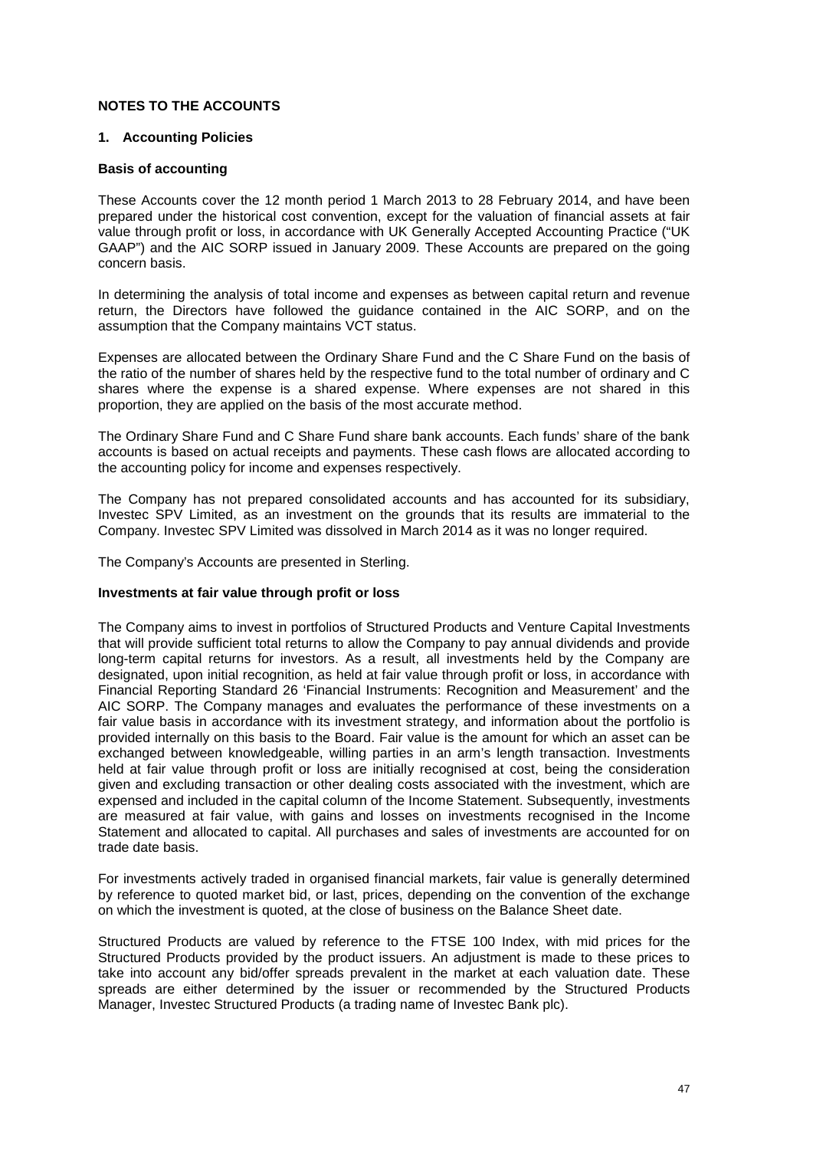# **NOTES TO THE ACCOUNTS**

#### **1. Accounting Policies**

#### **Basis of accounting**

These Accounts cover the 12 month period 1 March 2013 to 28 February 2014, and have been prepared under the historical cost convention, except for the valuation of financial assets at fair value through profit or loss, in accordance with UK Generally Accepted Accounting Practice ("UK GAAP") and the AIC SORP issued in January 2009. These Accounts are prepared on the going concern basis.

In determining the analysis of total income and expenses as between capital return and revenue return, the Directors have followed the guidance contained in the AIC SORP, and on the assumption that the Company maintains VCT status.

Expenses are allocated between the Ordinary Share Fund and the C Share Fund on the basis of the ratio of the number of shares held by the respective fund to the total number of ordinary and C shares where the expense is a shared expense. Where expenses are not shared in this proportion, they are applied on the basis of the most accurate method.

The Ordinary Share Fund and C Share Fund share bank accounts. Each funds' share of the bank accounts is based on actual receipts and payments. These cash flows are allocated according to the accounting policy for income and expenses respectively.

The Company has not prepared consolidated accounts and has accounted for its subsidiary, Investec SPV Limited, as an investment on the grounds that its results are immaterial to the Company. Investec SPV Limited was dissolved in March 2014 as it was no longer required.

The Company's Accounts are presented in Sterling.

#### **Investments at fair value through profit or loss**

The Company aims to invest in portfolios of Structured Products and Venture Capital Investments that will provide sufficient total returns to allow the Company to pay annual dividends and provide long-term capital returns for investors. As a result, all investments held by the Company are designated, upon initial recognition, as held at fair value through profit or loss, in accordance with Financial Reporting Standard 26 'Financial Instruments: Recognition and Measurement' and the AIC SORP. The Company manages and evaluates the performance of these investments on a fair value basis in accordance with its investment strategy, and information about the portfolio is provided internally on this basis to the Board. Fair value is the amount for which an asset can be exchanged between knowledgeable, willing parties in an arm's length transaction. Investments held at fair value through profit or loss are initially recognised at cost, being the consideration given and excluding transaction or other dealing costs associated with the investment, which are expensed and included in the capital column of the Income Statement. Subsequently, investments are measured at fair value, with gains and losses on investments recognised in the Income Statement and allocated to capital. All purchases and sales of investments are accounted for on trade date basis.

For investments actively traded in organised financial markets, fair value is generally determined by reference to quoted market bid, or last, prices, depending on the convention of the exchange on which the investment is quoted, at the close of business on the Balance Sheet date.

Structured Products are valued by reference to the FTSE 100 Index, with mid prices for the Structured Products provided by the product issuers. An adjustment is made to these prices to take into account any bid/offer spreads prevalent in the market at each valuation date. These spreads are either determined by the issuer or recommended by the Structured Products Manager, Investec Structured Products (a trading name of Investec Bank plc).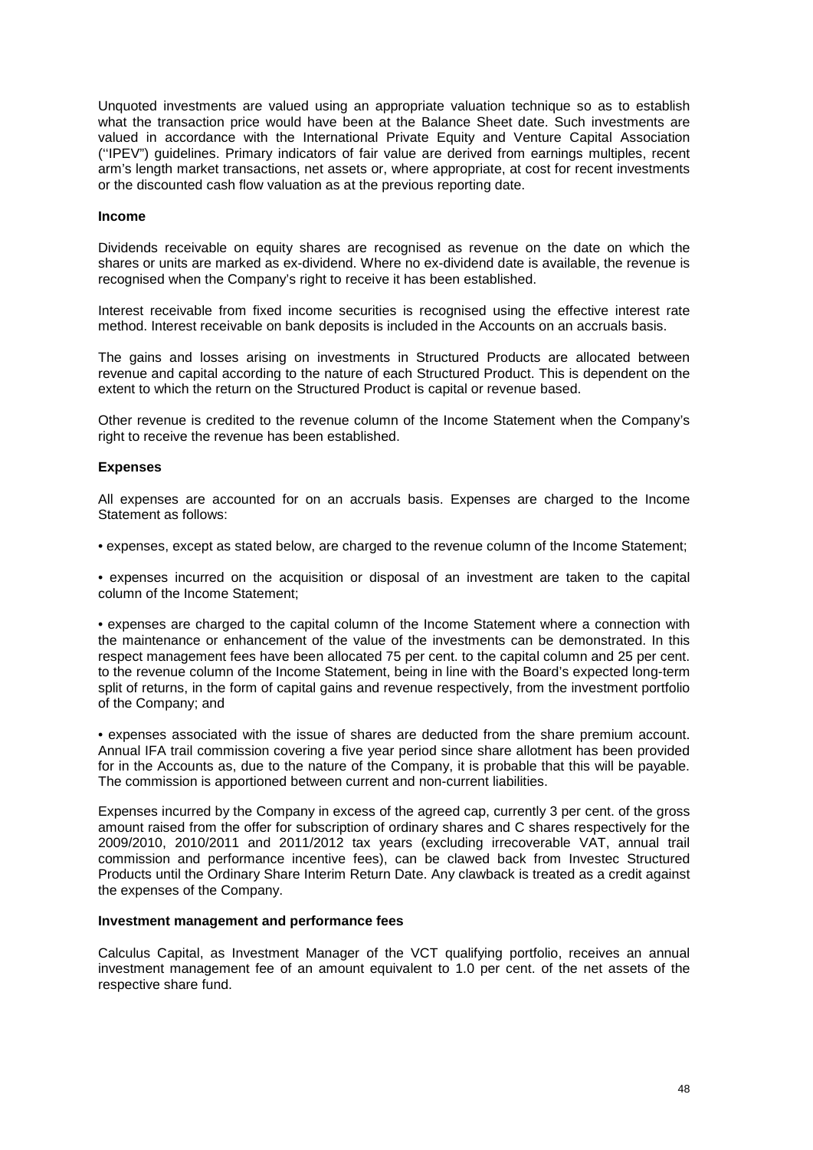Unquoted investments are valued using an appropriate valuation technique so as to establish what the transaction price would have been at the Balance Sheet date. Such investments are valued in accordance with the International Private Equity and Venture Capital Association (''IPEV") guidelines. Primary indicators of fair value are derived from earnings multiples, recent arm's length market transactions, net assets or, where appropriate, at cost for recent investments or the discounted cash flow valuation as at the previous reporting date.

#### **Income**

Dividends receivable on equity shares are recognised as revenue on the date on which the shares or units are marked as ex-dividend. Where no ex-dividend date is available, the revenue is recognised when the Company's right to receive it has been established.

Interest receivable from fixed income securities is recognised using the effective interest rate method. Interest receivable on bank deposits is included in the Accounts on an accruals basis.

The gains and losses arising on investments in Structured Products are allocated between revenue and capital according to the nature of each Structured Product. This is dependent on the extent to which the return on the Structured Product is capital or revenue based.

Other revenue is credited to the revenue column of the Income Statement when the Company's right to receive the revenue has been established.

#### **Expenses**

All expenses are accounted for on an accruals basis. Expenses are charged to the Income Statement as follows:

• expenses, except as stated below, are charged to the revenue column of the Income Statement;

• expenses incurred on the acquisition or disposal of an investment are taken to the capital column of the Income Statement;

• expenses are charged to the capital column of the Income Statement where a connection with the maintenance or enhancement of the value of the investments can be demonstrated. In this respect management fees have been allocated 75 per cent. to the capital column and 25 per cent. to the revenue column of the Income Statement, being in line with the Board's expected long-term split of returns, in the form of capital gains and revenue respectively, from the investment portfolio of the Company; and

• expenses associated with the issue of shares are deducted from the share premium account. Annual IFA trail commission covering a five year period since share allotment has been provided for in the Accounts as, due to the nature of the Company, it is probable that this will be payable. The commission is apportioned between current and non-current liabilities.

Expenses incurred by the Company in excess of the agreed cap, currently 3 per cent. of the gross amount raised from the offer for subscription of ordinary shares and C shares respectively for the 2009/2010, 2010/2011 and 2011/2012 tax years (excluding irrecoverable VAT, annual trail commission and performance incentive fees), can be clawed back from Investec Structured Products until the Ordinary Share Interim Return Date. Any clawback is treated as a credit against the expenses of the Company.

#### **Investment management and performance fees**

Calculus Capital, as Investment Manager of the VCT qualifying portfolio, receives an annual investment management fee of an amount equivalent to 1.0 per cent. of the net assets of the respective share fund.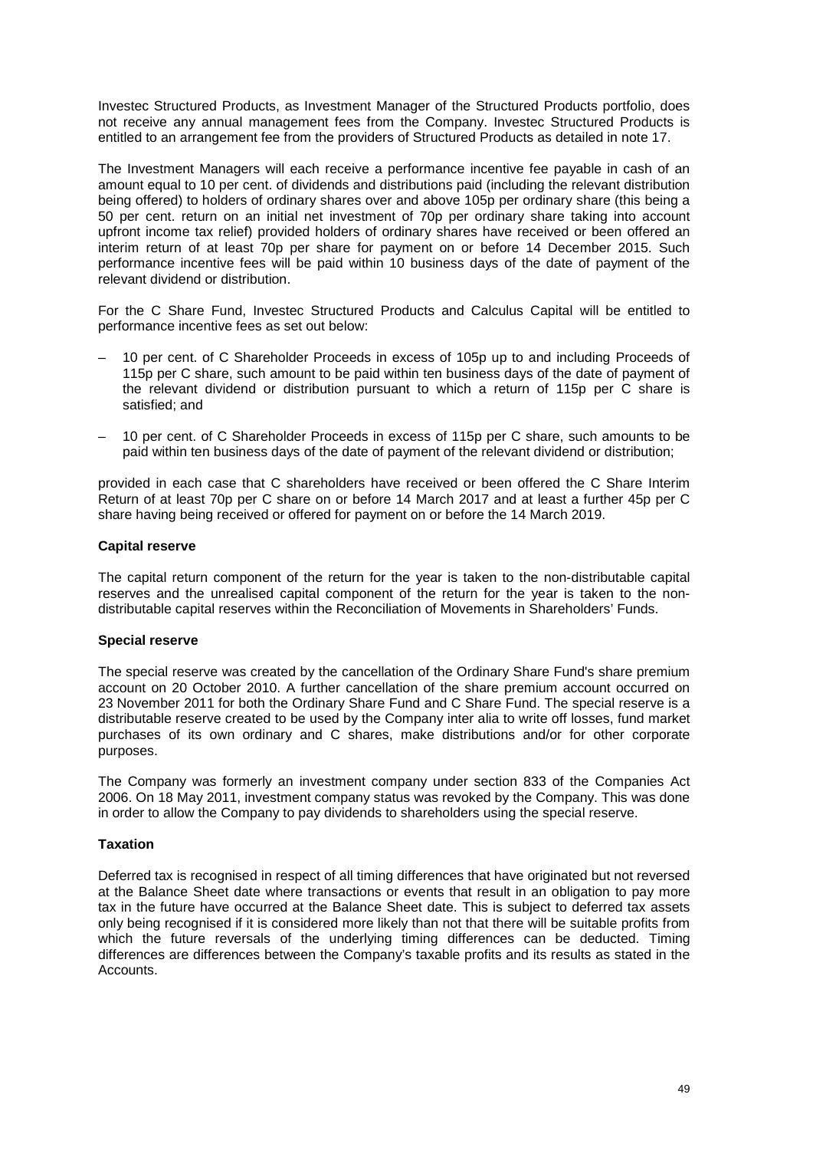Investec Structured Products, as Investment Manager of the Structured Products portfolio, does not receive any annual management fees from the Company. Investec Structured Products is entitled to an arrangement fee from the providers of Structured Products as detailed in note 17.

The Investment Managers will each receive a performance incentive fee payable in cash of an amount equal to 10 per cent. of dividends and distributions paid (including the relevant distribution being offered) to holders of ordinary shares over and above 105p per ordinary share (this being a 50 per cent. return on an initial net investment of 70p per ordinary share taking into account upfront income tax relief) provided holders of ordinary shares have received or been offered an interim return of at least 70p per share for payment on or before 14 December 2015. Such performance incentive fees will be paid within 10 business days of the date of payment of the relevant dividend or distribution.

For the C Share Fund, Investec Structured Products and Calculus Capital will be entitled to performance incentive fees as set out below:

- 10 per cent. of C Shareholder Proceeds in excess of 105p up to and including Proceeds of 115p per C share, such amount to be paid within ten business days of the date of payment of the relevant dividend or distribution pursuant to which a return of 115p per C share is satisfied; and
- 10 per cent. of C Shareholder Proceeds in excess of 115p per C share, such amounts to be paid within ten business days of the date of payment of the relevant dividend or distribution;

provided in each case that C shareholders have received or been offered the C Share Interim Return of at least 70p per C share on or before 14 March 2017 and at least a further 45p per C share having being received or offered for payment on or before the 14 March 2019.

#### **Capital reserve**

The capital return component of the return for the year is taken to the non-distributable capital reserves and the unrealised capital component of the return for the year is taken to the nondistributable capital reserves within the Reconciliation of Movements in Shareholders' Funds.

#### **Special reserve**

The special reserve was created by the cancellation of the Ordinary Share Fund's share premium account on 20 October 2010. A further cancellation of the share premium account occurred on 23 November 2011 for both the Ordinary Share Fund and C Share Fund. The special reserve is a distributable reserve created to be used by the Company inter alia to write off losses, fund market purchases of its own ordinary and C shares, make distributions and/or for other corporate purposes.

The Company was formerly an investment company under section 833 of the Companies Act 2006. On 18 May 2011, investment company status was revoked by the Company. This was done in order to allow the Company to pay dividends to shareholders using the special reserve.

# **Taxation**

Deferred tax is recognised in respect of all timing differences that have originated but not reversed at the Balance Sheet date where transactions or events that result in an obligation to pay more tax in the future have occurred at the Balance Sheet date. This is subject to deferred tax assets only being recognised if it is considered more likely than not that there will be suitable profits from which the future reversals of the underlying timing differences can be deducted. Timing differences are differences between the Company's taxable profits and its results as stated in the Accounts.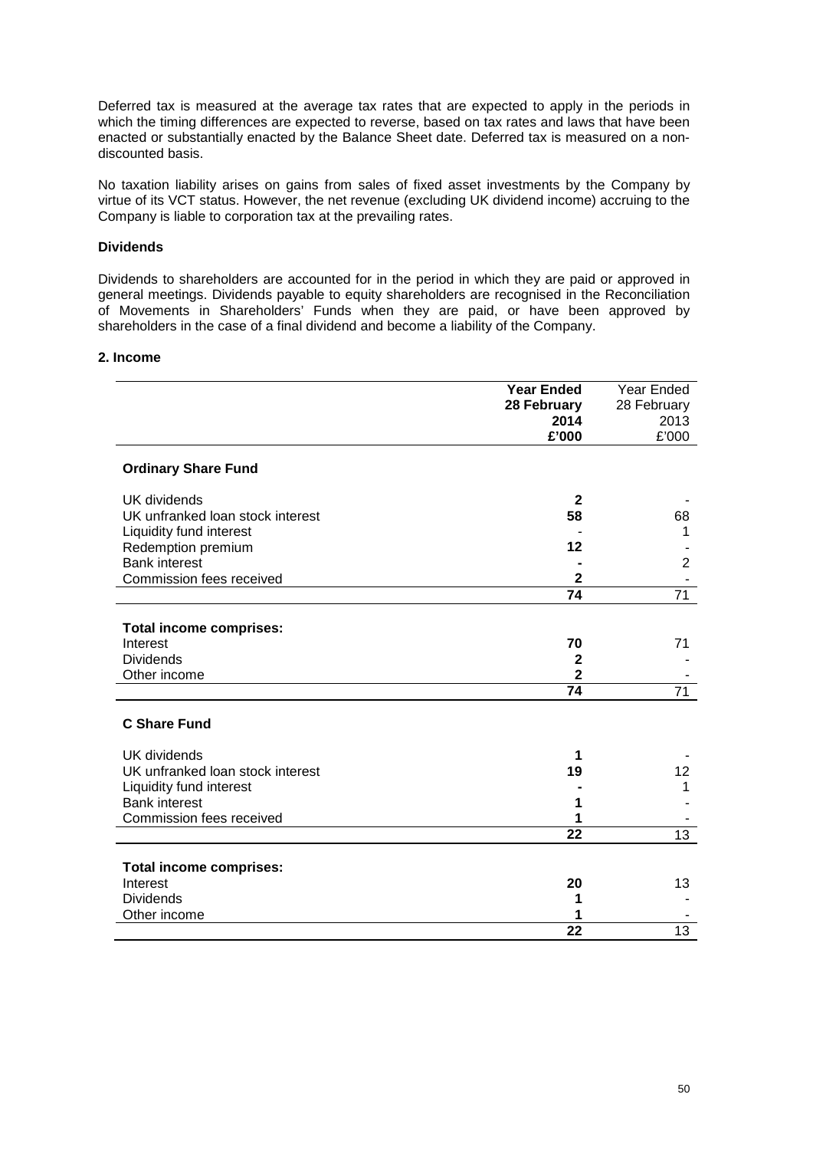Deferred tax is measured at the average tax rates that are expected to apply in the periods in which the timing differences are expected to reverse, based on tax rates and laws that have been enacted or substantially enacted by the Balance Sheet date. Deferred tax is measured on a nondiscounted basis.

No taxation liability arises on gains from sales of fixed asset investments by the Company by virtue of its VCT status. However, the net revenue (excluding UK dividend income) accruing to the Company is liable to corporation tax at the prevailing rates.

# **Dividends**

Dividends to shareholders are accounted for in the period in which they are paid or approved in general meetings. Dividends payable to equity shareholders are recognised in the Reconciliation of Movements in Shareholders' Funds when they are paid, or have been approved by shareholders in the case of a final dividend and become a liability of the Company.

#### **2. Income**

|                                  | <b>Year Ended</b> | Year Ended     |
|----------------------------------|-------------------|----------------|
|                                  | 28 February       | 28 February    |
|                                  | 2014              | 2013           |
|                                  | £'000             | £'000          |
|                                  |                   |                |
| <b>Ordinary Share Fund</b>       |                   |                |
| <b>UK dividends</b>              | $\mathbf{2}$      |                |
| UK unfranked loan stock interest | 58                | 68             |
|                                  |                   | 1              |
| Liquidity fund interest          |                   |                |
| Redemption premium               | 12                |                |
| <b>Bank interest</b>             |                   | $\overline{2}$ |
| Commission fees received         | $\mathbf{2}$      |                |
|                                  | 74                | 71             |
|                                  |                   |                |
| <b>Total income comprises:</b>   |                   |                |
| Interest                         | 70                | 71             |
| <b>Dividends</b>                 | $\mathbf{2}$      |                |
| Other income                     | $\mathbf{2}$      |                |
|                                  | 74                | 71             |
|                                  |                   |                |
| <b>C Share Fund</b>              |                   |                |
| <b>UK</b> dividends              | 1                 |                |
| UK unfranked loan stock interest | 19                | 12             |
| Liquidity fund interest          |                   | 1              |
| <b>Bank interest</b>             | 1                 |                |
| Commission fees received         | 1                 |                |
|                                  | 22                | 13             |
|                                  |                   |                |
| <b>Total income comprises:</b>   |                   |                |
| Interest                         | 20                | 13             |
| <b>Dividends</b>                 | 1                 |                |
|                                  |                   |                |
| Other income                     |                   |                |
|                                  | 22                | 13             |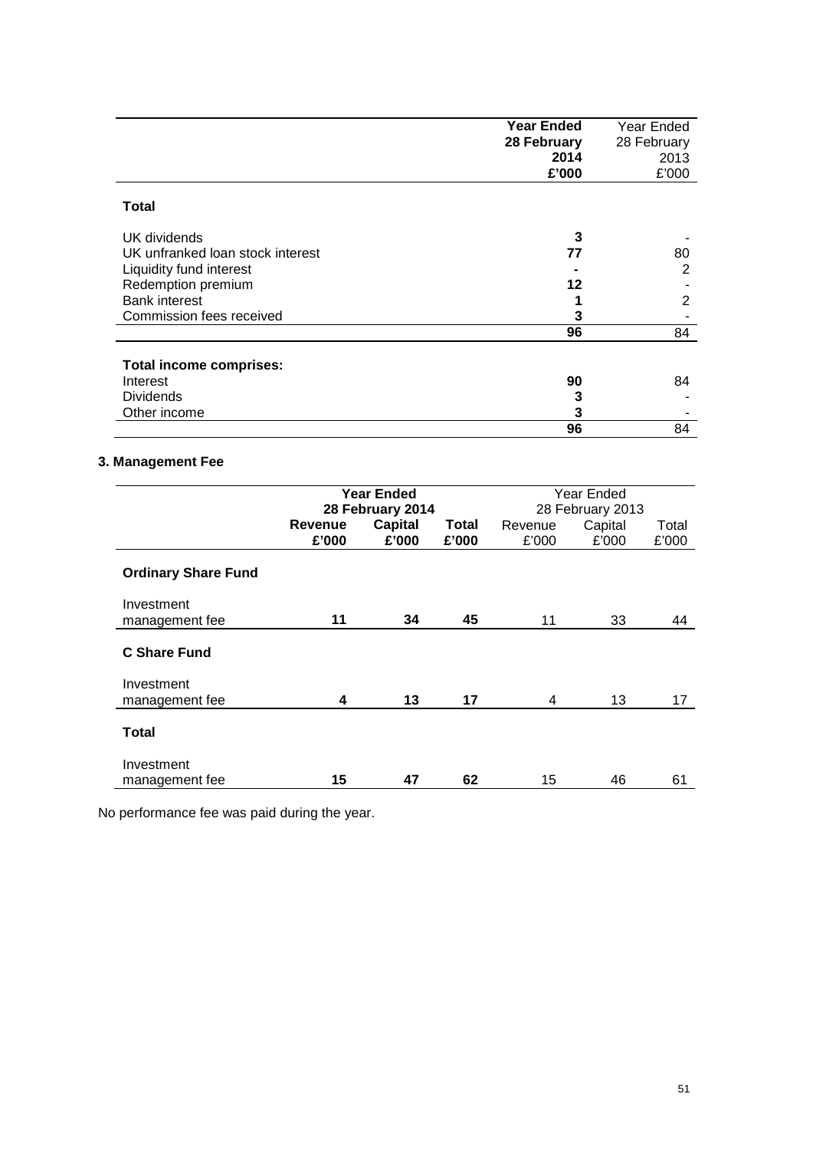|                                  | <b>Year Ended</b><br>28 February<br>2014<br>£'000 | Year Ended<br>28 February<br>2013<br>£'000 |
|----------------------------------|---------------------------------------------------|--------------------------------------------|
| Total                            |                                                   |                                            |
| UK dividends                     | 3                                                 |                                            |
| UK unfranked loan stock interest | 77                                                | 80                                         |
| Liquidity fund interest          |                                                   | 2                                          |
| Redemption premium               | 12                                                |                                            |
| <b>Bank interest</b>             |                                                   | $\overline{2}$                             |
| Commission fees received         | 3                                                 |                                            |
|                                  | 96                                                | 84                                         |
|                                  |                                                   |                                            |
| <b>Total income comprises:</b>   |                                                   |                                            |
| Interest                         | 90                                                | 84                                         |
| <b>Dividends</b>                 | 3                                                 |                                            |
| Other income                     | 3                                                 |                                            |
|                                  | 96                                                | 84                                         |

# **3. Management Fee**

|                            | <b>Year Ended</b><br>Year Ended |                  |       |         |                  |       |
|----------------------------|---------------------------------|------------------|-------|---------|------------------|-------|
|                            |                                 | 28 February 2014 |       |         | 28 February 2013 |       |
|                            | Revenue                         | <b>Capital</b>   | Total | Revenue | Capital          | Total |
|                            | £'000                           | £'000            | £'000 | £'000   | £'000            | £'000 |
| <b>Ordinary Share Fund</b> |                                 |                  |       |         |                  |       |
| Investment                 |                                 |                  |       |         |                  |       |
| management fee             | 11                              | 34               | 45    | 11      | 33               | 44    |
| <b>C Share Fund</b>        |                                 |                  |       |         |                  |       |
| Investment                 |                                 |                  |       |         |                  |       |
| management fee             | 4                               | 13               | 17    | 4       | 13               | 17    |
| Total                      |                                 |                  |       |         |                  |       |
| Investment                 |                                 |                  |       |         |                  |       |
| management fee             | 15                              | 47               | 62    | 15      | 46               | 61    |

No performance fee was paid during the year.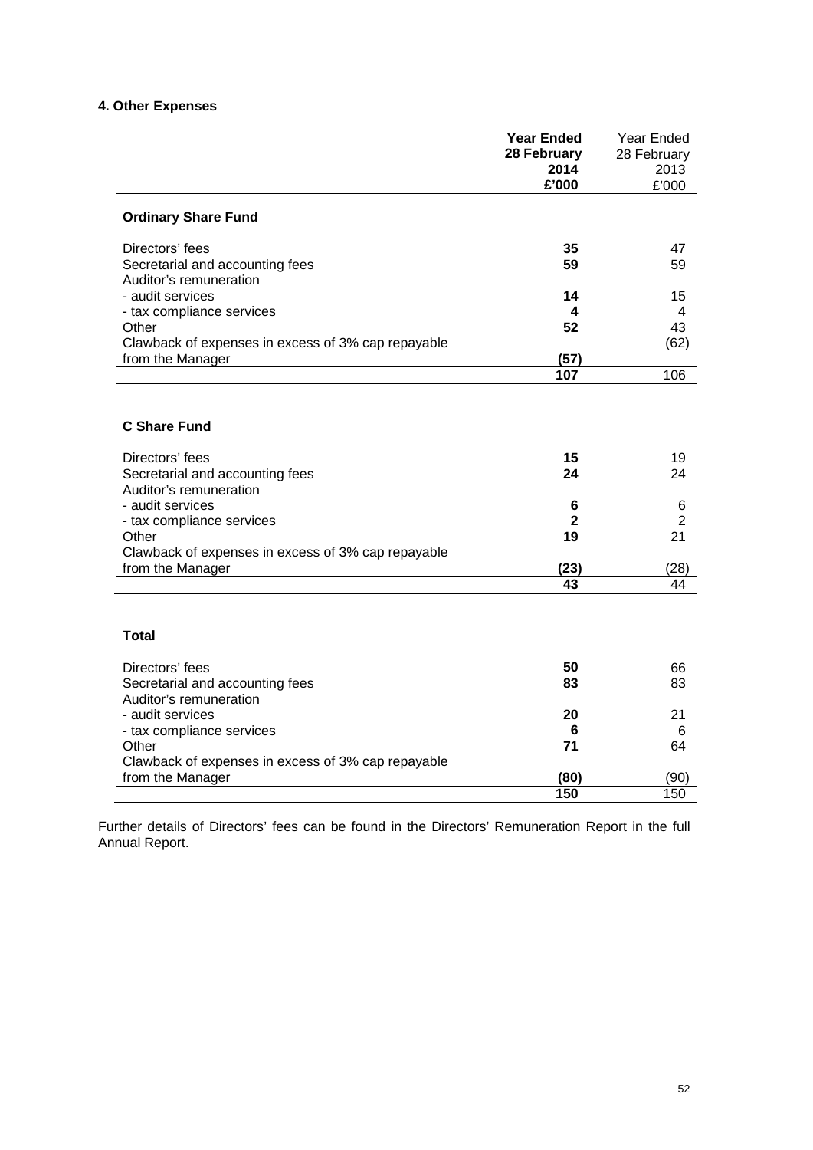# **4. Other Expenses**

|                                                    | <b>Year Ended</b> | Year Ended     |
|----------------------------------------------------|-------------------|----------------|
|                                                    | 28 February       | 28 February    |
|                                                    | 2014              | 2013           |
|                                                    | £'000             | £'000          |
| <b>Ordinary Share Fund</b>                         |                   |                |
| Directors' fees                                    | 35                | 47             |
| Secretarial and accounting fees                    | 59                | 59             |
| Auditor's remuneration                             |                   |                |
| - audit services                                   | 14                | 15             |
| - tax compliance services                          | 4                 | 4              |
| Other                                              | 52                | 43             |
| Clawback of expenses in excess of 3% cap repayable |                   | (62)           |
| from the Manager                                   | (57)              |                |
|                                                    | 107               | 106            |
| <b>C Share Fund</b>                                |                   |                |
| Directors' fees                                    | 15                | 19             |
| Secretarial and accounting fees                    | 24                | 24             |
| Auditor's remuneration                             |                   |                |
| - audit services                                   | 6                 | 6              |
| - tax compliance services                          | $\mathbf 2$       | $\overline{2}$ |
| Other                                              | 19                | 21             |
| Clawback of expenses in excess of 3% cap repayable |                   |                |
| from the Manager                                   | (23)              | (28)           |
|                                                    | $\overline{43}$   | 44             |
| <b>Total</b>                                       |                   |                |
| Directors' fees                                    | 50                | 66             |
| Secretarial and accounting fees                    | 83                | 83             |
| Auditor's remuneration                             |                   |                |
| - audit services                                   | 20                | 21             |
| - tax compliance services                          | 6                 | 6              |
| Other                                              | 71                | 64             |
| Clawback of expenses in excess of 3% cap repayable |                   |                |
| from the Manager                                   | (80)              | (90)           |
|                                                    | 150               | 150            |

Further details of Directors' fees can be found in the Directors' Remuneration Report in the full Annual Report.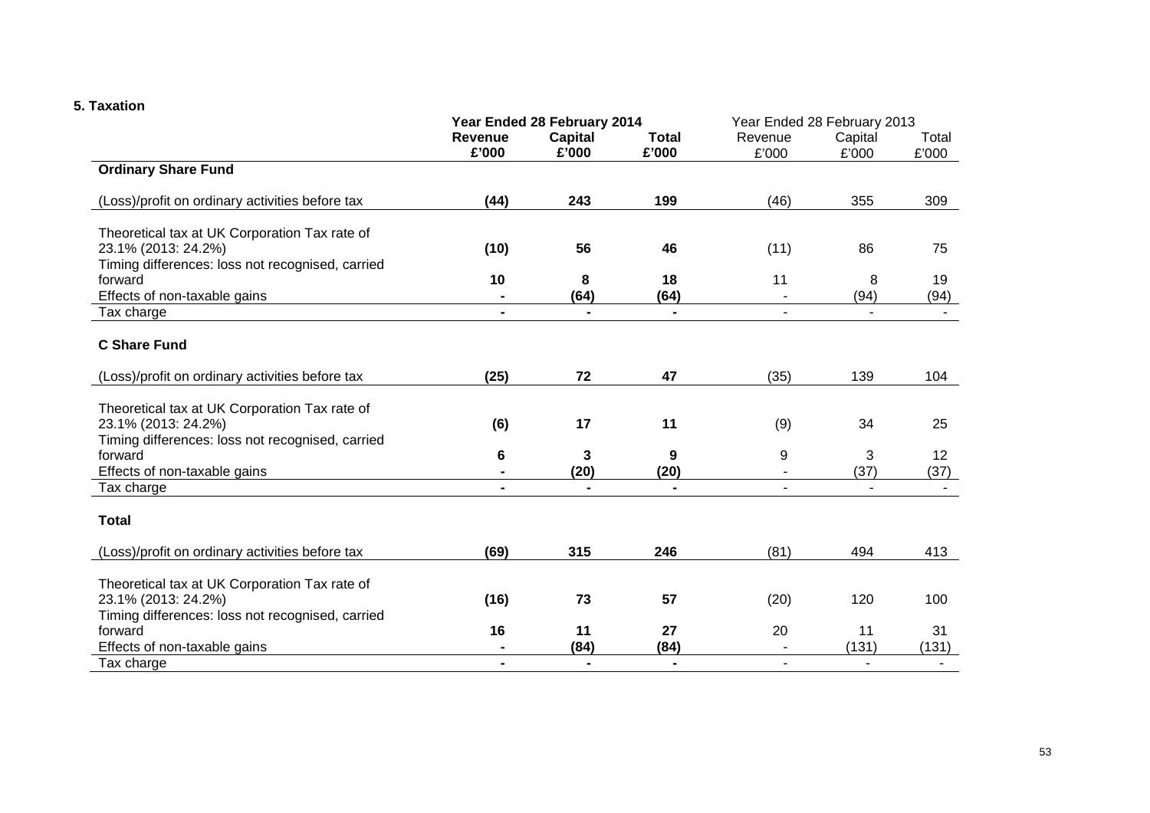# **5. Taxation**

|                                                  | Year Ended 28 February 2014 |                        |                        | Year Ended 28 February 2013 |                |                 |
|--------------------------------------------------|-----------------------------|------------------------|------------------------|-----------------------------|----------------|-----------------|
|                                                  | <b>Revenue</b>              | <b>Capital</b>         | <b>Total</b>           | Revenue                     | Capital        | Total           |
|                                                  | £'000                       | £'000                  | £'000                  | £'000                       | £'000          | £'000           |
| <b>Ordinary Share Fund</b>                       |                             |                        |                        |                             |                |                 |
| (Loss)/profit on ordinary activities before tax  | (44)                        | 243                    | 199                    | (46)                        | 355            | 309             |
| Theoretical tax at UK Corporation Tax rate of    |                             |                        |                        |                             |                |                 |
| 23.1% (2013: 24.2%)                              | (10)                        | 56                     | 46                     | (11)                        | 86             | 75              |
| Timing differences: loss not recognised, carried |                             |                        |                        |                             |                |                 |
| forward                                          | 10                          | 8                      | 18                     | 11                          | 8              | 19              |
| Effects of non-taxable gains                     | $\blacksquare$              | (64)                   | (64)                   |                             | (94)           | (94)            |
| Tax charge                                       | $\blacksquare$              | $\blacksquare$         | $\blacksquare$         | $\blacksquare$              | $\overline{a}$ |                 |
|                                                  |                             |                        |                        |                             |                |                 |
| <b>C Share Fund</b>                              |                             |                        |                        |                             |                |                 |
| (Loss)/profit on ordinary activities before tax  | (25)                        | 72                     | 47                     | (35)                        | 139            | 104             |
|                                                  |                             |                        |                        |                             |                |                 |
| Theoretical tax at UK Corporation Tax rate of    |                             |                        |                        |                             |                |                 |
| 23.1% (2013: 24.2%)                              | (6)                         | 17                     | 11                     | (9)                         | 34             | 25              |
| Timing differences: loss not recognised, carried |                             |                        |                        |                             |                |                 |
| forward                                          | 6<br>$\blacksquare$         | 3                      | 9                      | 9                           | 3<br>(37)      | 12 <sup>2</sup> |
| Effects of non-taxable gains<br>Tax charge       | $\blacksquare$              | (20)<br>$\blacksquare$ | (20)<br>$\blacksquare$ | $\blacksquare$              |                | (37)            |
|                                                  |                             |                        |                        |                             |                |                 |
| <b>Total</b>                                     |                             |                        |                        |                             |                |                 |
| (Loss)/profit on ordinary activities before tax  | (69)                        | 315                    | 246                    | (81)                        | 494            | 413             |
|                                                  |                             |                        |                        |                             |                |                 |
| Theoretical tax at UK Corporation Tax rate of    |                             |                        |                        |                             |                |                 |
| 23.1% (2013: 24.2%)                              | (16)                        | 73                     | 57                     | (20)                        | 120            | 100             |
| Timing differences: loss not recognised, carried |                             |                        |                        |                             |                |                 |
| forward                                          | 16                          | 11                     | 27                     | 20                          | 11             | 31              |
| Effects of non-taxable gains                     | $\blacksquare$              | (84)                   | (84)                   |                             | (131)          | (131)           |
| Tax charge                                       | $\blacksquare$              | $\blacksquare$         | $\blacksquare$         | $\blacksquare$              | $\blacksquare$ |                 |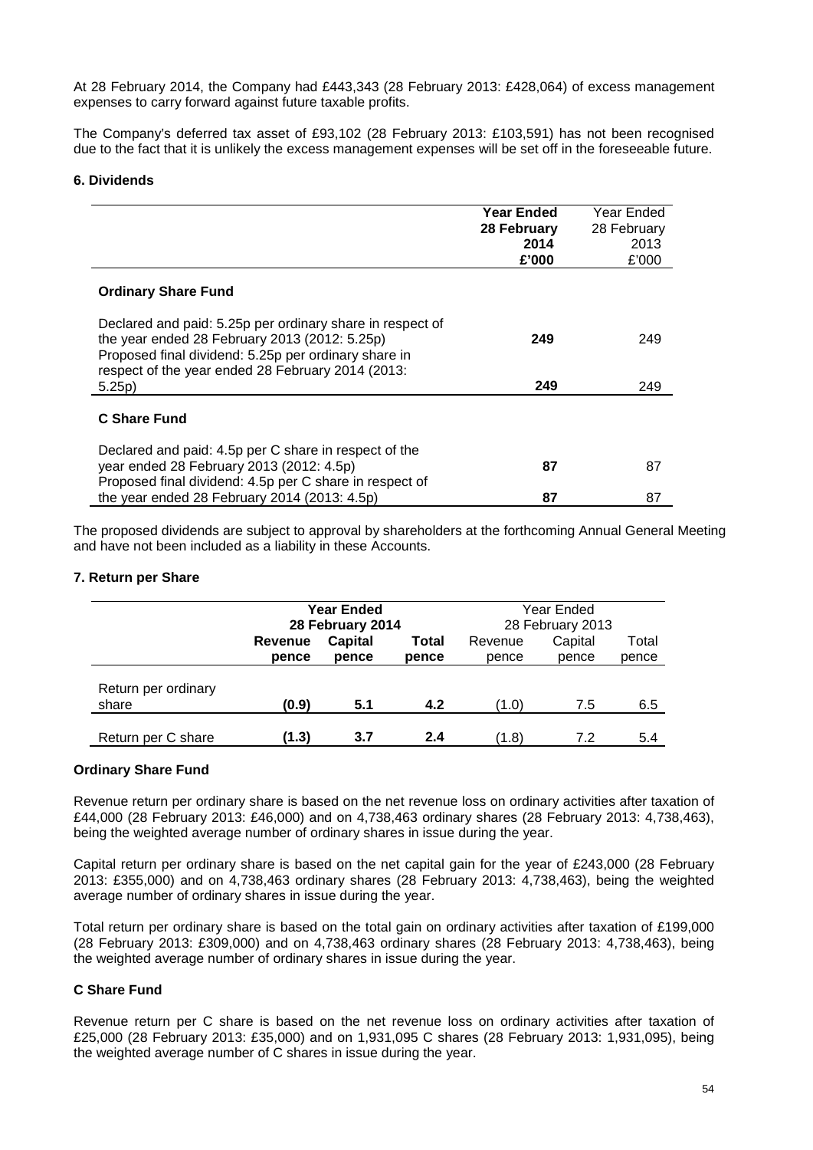At 28 February 2014, the Company had £443,343 (28 February 2013: £428,064) of excess management expenses to carry forward against future taxable profits.

The Company's deferred tax asset of £93,102 (28 February 2013: £103,591) has not been recognised due to the fact that it is unlikely the excess management expenses will be set off in the foreseeable future.

### **6. Dividends**

|                                                                                                                                                                                                                         | <b>Year Ended</b><br>28 February<br>2014<br>£'000 | Year Ended<br>28 February<br>2013<br>£'000 |
|-------------------------------------------------------------------------------------------------------------------------------------------------------------------------------------------------------------------------|---------------------------------------------------|--------------------------------------------|
| <b>Ordinary Share Fund</b>                                                                                                                                                                                              |                                                   |                                            |
| Declared and paid: 5.25p per ordinary share in respect of<br>the year ended 28 February 2013 (2012: 5.25p)<br>Proposed final dividend: 5.25p per ordinary share in<br>respect of the year ended 28 February 2014 (2013: | 249                                               | 249                                        |
| 5.25p)                                                                                                                                                                                                                  | 249                                               | 249                                        |
| <b>C</b> Share Fund                                                                                                                                                                                                     |                                                   |                                            |
| Declared and paid: 4.5p per C share in respect of the<br>year ended 28 February 2013 (2012: 4.5p)<br>Proposed final dividend: 4.5p per C share in respect of                                                            | 87                                                | 87                                         |
| the year ended 28 February 2014 (2013: 4.5p)                                                                                                                                                                            | 87                                                | 87                                         |

The proposed dividends are subject to approval by shareholders at the forthcoming Annual General Meeting and have not been included as a liability in these Accounts.

#### **7. Return per Share**

|                              | <b>Year Ended</b><br>28 February 2014 |                  |       |         | Year Ended<br>28 February 2013 |       |
|------------------------------|---------------------------------------|------------------|-------|---------|--------------------------------|-------|
|                              | Revenue                               | Capital<br>Total |       | Revenue | Capital                        | Total |
|                              | pence                                 | pence            | pence | pence   | pence                          | pence |
| Return per ordinary<br>share | (0.9)                                 | 5.1              | 4.2   | (1.0)   | 7.5                            | 6.5   |
| Return per C share           | (1.3)                                 | 3.7              | 2.4   | (1.8)   | 7.2                            | 5.4   |

### **Ordinary Share Fund**

Revenue return per ordinary share is based on the net revenue loss on ordinary activities after taxation of £44,000 (28 February 2013: £46,000) and on 4,738,463 ordinary shares (28 February 2013: 4,738,463), being the weighted average number of ordinary shares in issue during the year.

Capital return per ordinary share is based on the net capital gain for the year of £243,000 (28 February 2013: £355,000) and on 4,738,463 ordinary shares (28 February 2013: 4,738,463), being the weighted average number of ordinary shares in issue during the year.

Total return per ordinary share is based on the total gain on ordinary activities after taxation of £199,000 (28 February 2013: £309,000) and on 4,738,463 ordinary shares (28 February 2013: 4,738,463), being the weighted average number of ordinary shares in issue during the year.

#### **C Share Fund**

Revenue return per C share is based on the net revenue loss on ordinary activities after taxation of £25,000 (28 February 2013: £35,000) and on 1,931,095 C shares (28 February 2013: 1,931,095), being the weighted average number of C shares in issue during the year.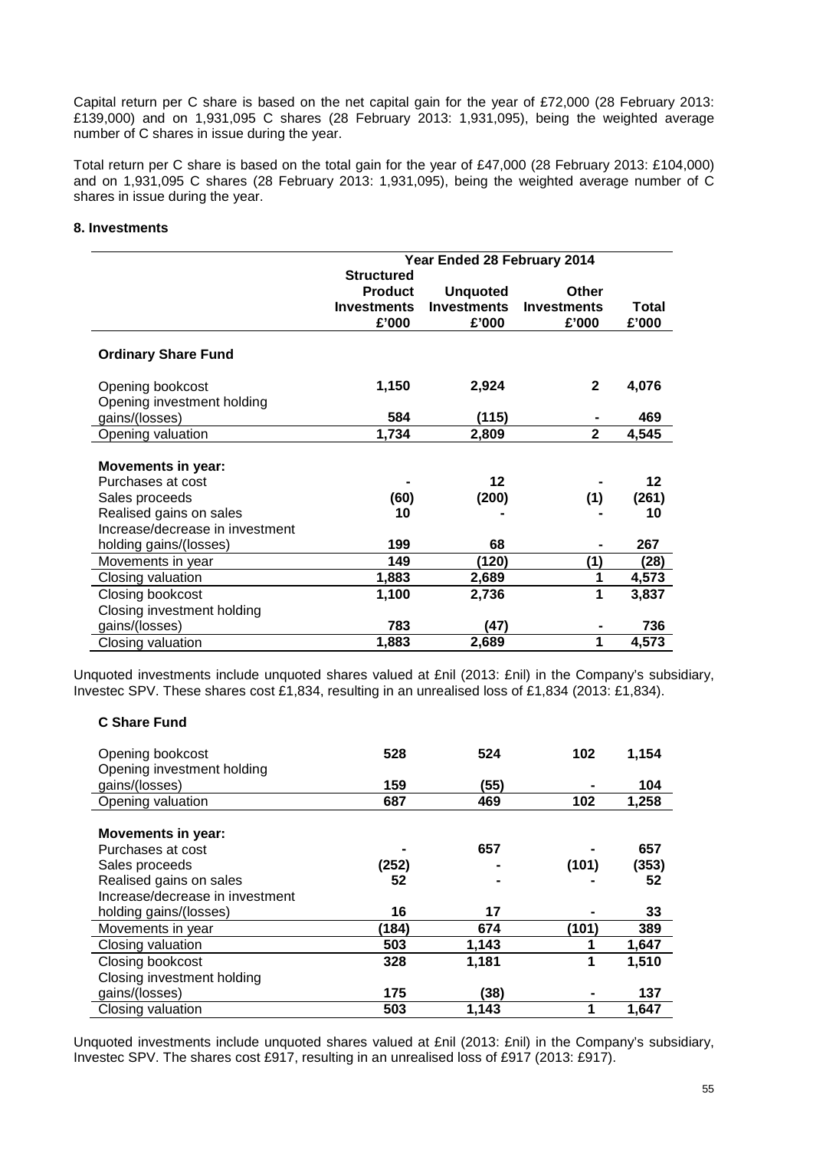Capital return per C share is based on the net capital gain for the year of £72,000 (28 February 2013: £139,000) and on 1,931,095 C shares (28 February 2013: 1,931,095), being the weighted average number of C shares in issue during the year.

Total return per C share is based on the total gain for the year of £47,000 (28 February 2013: £104,000) and on 1,931,095 C shares (28 February 2013: 1,931,095), being the weighted average number of C shares in issue during the year.

#### **8. Investments**

|                                 | Year Ended 28 February 2014 |                    |                    |       |  |
|---------------------------------|-----------------------------|--------------------|--------------------|-------|--|
|                                 | <b>Structured</b>           |                    |                    |       |  |
|                                 | <b>Product</b>              | <b>Unquoted</b>    | <b>Other</b>       |       |  |
|                                 | <b>Investments</b>          | <b>Investments</b> | <b>Investments</b> | Total |  |
|                                 | £'000                       | £'000              | £'000              | £'000 |  |
| <b>Ordinary Share Fund</b>      |                             |                    |                    |       |  |
| Opening bookcost                | 1,150                       | 2,924              | $\mathbf{2}$       | 4,076 |  |
| Opening investment holding      |                             |                    |                    |       |  |
| gains/(losses)                  | 584                         | (115)              |                    | 469   |  |
| Opening valuation               | 1,734                       | 2,809              | $\mathbf{2}$       | 4,545 |  |
| <b>Movements in year:</b>       |                             |                    |                    |       |  |
| Purchases at cost               |                             | 12                 |                    | 12    |  |
| Sales proceeds                  | (60)                        | (200)              | (1)                | (261) |  |
| Realised gains on sales         | 10                          |                    |                    | 10    |  |
| Increase/decrease in investment |                             |                    |                    |       |  |
| holding gains/(losses)          | 199                         | 68                 |                    | 267   |  |
| Movements in year               | 149                         | (120)              | (1)                | (28)  |  |
| Closing valuation               | 1,883                       | 2,689              | 1                  | 4,573 |  |
| Closing bookcost                | 1,100                       | 2,736              | 1                  | 3,837 |  |
| Closing investment holding      |                             |                    |                    |       |  |
| gains/(losses)                  | 783                         | (47)               |                    | 736   |  |
| Closing valuation               | 1,883                       | 2,689              | 1                  | 4,573 |  |

Unquoted investments include unquoted shares valued at £nil (2013: £nil) in the Company's subsidiary, Investec SPV. These shares cost £1,834, resulting in an unrealised loss of £1,834 (2013: £1,834).

| <b>C Share Fund</b>             |       |       |       |       |
|---------------------------------|-------|-------|-------|-------|
| Opening bookcost                | 528   | 524   | 102   | 1,154 |
| Opening investment holding      |       |       |       |       |
| gains/(losses)                  | 159   | (55)  |       | 104   |
| Opening valuation               | 687   | 469   | 102   | 1,258 |
| <b>Movements in year:</b>       |       |       |       |       |
| Purchases at cost               |       | 657   |       | 657   |
| Sales proceeds                  | (252) |       | (101) | (353) |
| Realised gains on sales         | 52    |       |       | 52    |
| Increase/decrease in investment |       |       |       |       |
| holding gains/(losses)          | 16    | 17    |       | 33    |
| Movements in year               | (184) | 674   | (101) | 389   |
| Closing valuation               | 503   | 1,143 |       | 1,647 |
| Closing bookcost                | 328   | 1,181 | 1     | 1,510 |
| Closing investment holding      |       |       |       |       |
| gains/(losses)                  | 175   | (38)  |       | 137   |
| Closing valuation               | 503   | 1.143 | 1     | 1.647 |

Unquoted investments include unquoted shares valued at £nil (2013: £nil) in the Company's subsidiary, Investec SPV. The shares cost £917, resulting in an unrealised loss of £917 (2013: £917).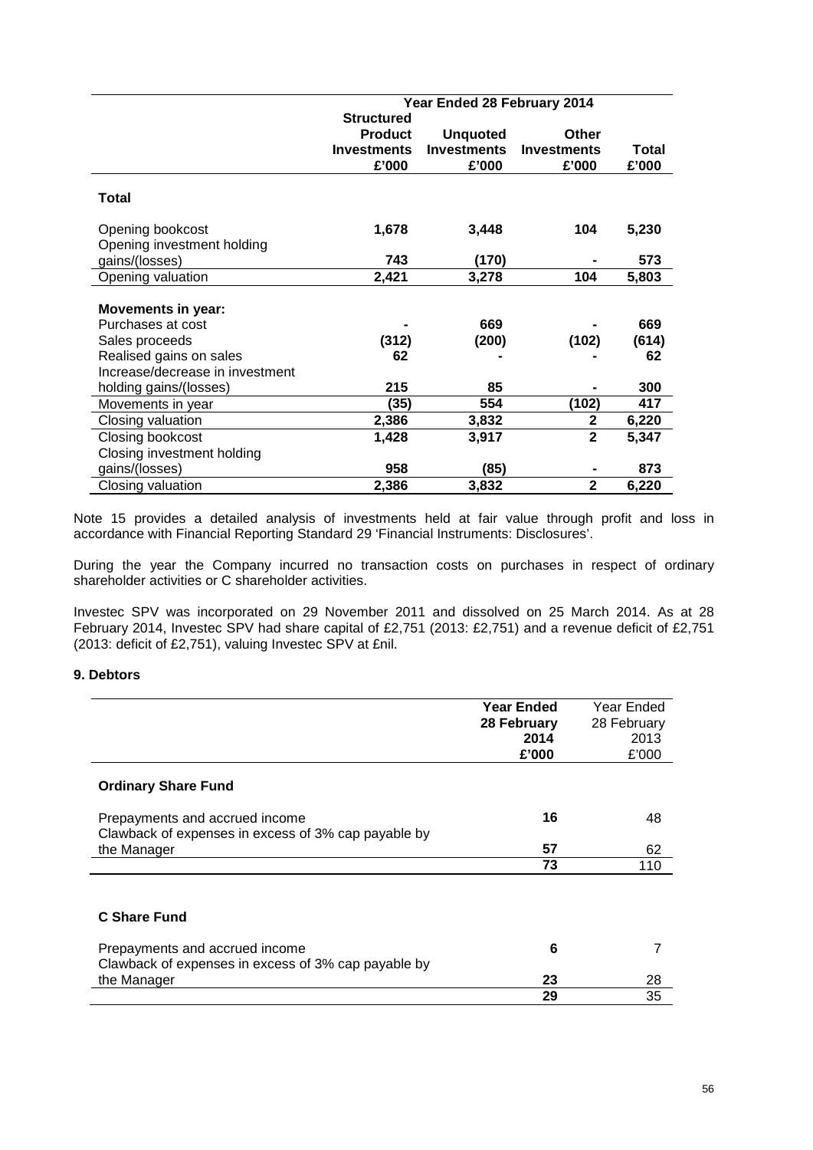|                                 | Year Ended 28 February 2014 |                    |                    |       |  |
|---------------------------------|-----------------------------|--------------------|--------------------|-------|--|
|                                 | <b>Structured</b>           |                    |                    |       |  |
|                                 | <b>Product</b>              | <b>Unquoted</b>    | <b>Other</b>       |       |  |
|                                 | <b>Investments</b>          | <b>Investments</b> | <b>Investments</b> | Total |  |
|                                 | £'000                       | £'000              | £'000              | £'000 |  |
| <b>Total</b>                    |                             |                    |                    |       |  |
| Opening bookcost                | 1,678                       | 3,448              | 104                | 5,230 |  |
| Opening investment holding      |                             |                    |                    |       |  |
| gains/(losses)                  | 743                         | (170)              |                    | 573   |  |
| Opening valuation               | 2,421                       | 3,278              | 104                | 5,803 |  |
| <b>Movements in year:</b>       |                             |                    |                    |       |  |
| Purchases at cost               |                             | 669                |                    | 669   |  |
| Sales proceeds                  | (312)                       | (200)              | (102)              | (614) |  |
| Realised gains on sales         | 62                          |                    |                    | 62    |  |
| Increase/decrease in investment |                             |                    |                    |       |  |
| holding gains/(losses)          | 215                         | 85                 |                    | 300   |  |
| Movements in year               | (35)                        | 554                | (102)              | 417   |  |
| Closing valuation               | 2,386                       | 3,832              | $\mathbf{2}$       | 6,220 |  |
| Closing bookcost                | 1,428                       | 3,917              | $\mathbf{2}$       | 5,347 |  |
| Closing investment holding      |                             |                    |                    |       |  |
| gains/(losses)                  | 958                         | (85)               |                    | 873   |  |
| Closing valuation               | 2,386                       | 3,832              | $\mathbf 2$        | 6,220 |  |

Note 15 provides a detailed analysis of investments held at fair value through profit and loss in accordance with Financial Reporting Standard 29 'Financial Instruments: Disclosures'.

During the year the Company incurred no transaction costs on purchases in respect of ordinary shareholder activities or C shareholder activities.

Investec SPV was incorporated on 29 November 2011 and dissolved on 25 March 2014. As at 28 February 2014, Investec SPV had share capital of £2,751 (2013: £2,751) and a revenue deficit of £2,751 (2013: deficit of £2,751), valuing Investec SPV at £nil.

#### **9. Debtors**

|                                                                                       | <b>Year Ended</b><br>28 February<br>2014 | Year Ended<br>28 February<br>2013 |
|---------------------------------------------------------------------------------------|------------------------------------------|-----------------------------------|
|                                                                                       | £'000                                    | £'000                             |
| <b>Ordinary Share Fund</b>                                                            |                                          |                                   |
| Prepayments and accrued income<br>Clawback of expenses in excess of 3% cap payable by | 16                                       | 48                                |
| the Manager                                                                           | 57                                       | 62                                |
|                                                                                       | 73                                       | 110                               |
| <b>C Share Fund</b>                                                                   |                                          |                                   |
| Prepayments and accrued income<br>Clawback of expenses in excess of 3% cap payable by | 6                                        |                                   |
| the Manager                                                                           | 23                                       | 28                                |
|                                                                                       | 29                                       | 35                                |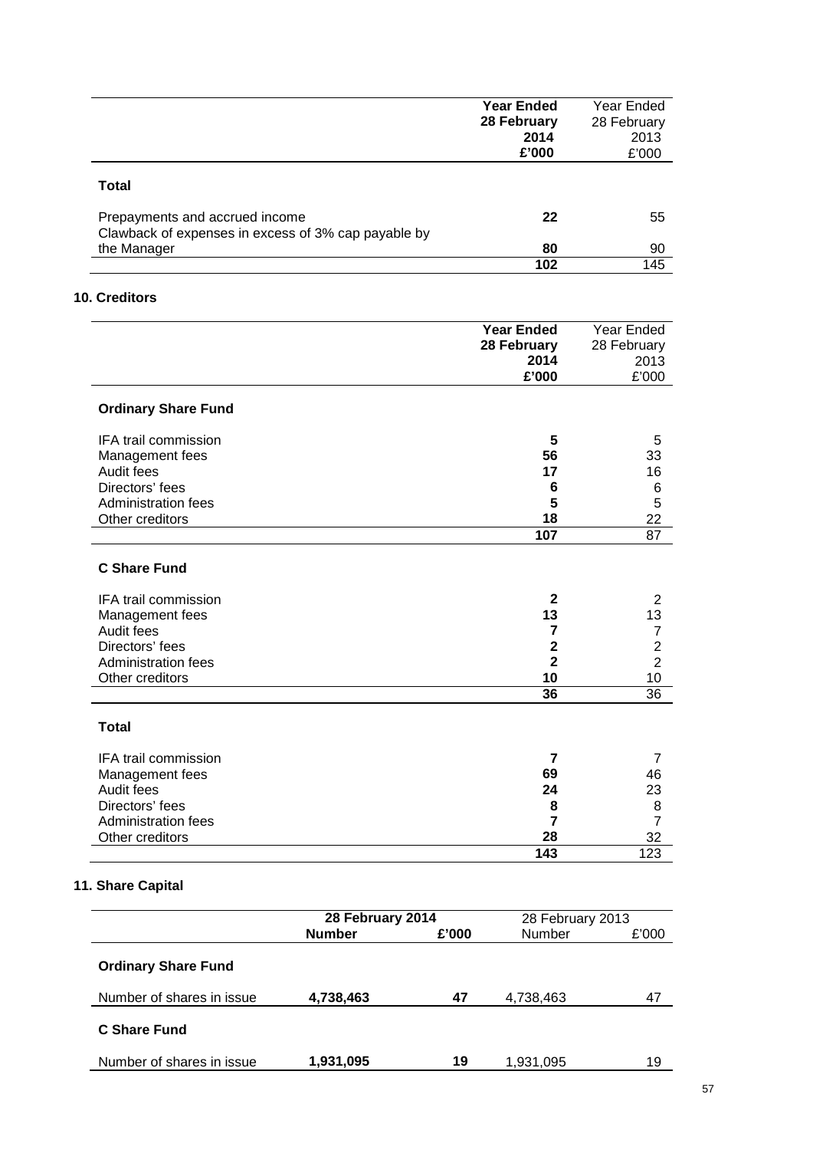|                                                                                       |                        | <b>Year Ended</b> | Year Ended       |
|---------------------------------------------------------------------------------------|------------------------|-------------------|------------------|
|                                                                                       |                        | 28 February       | 28 February      |
|                                                                                       |                        | 2014              | 2013             |
|                                                                                       |                        | £'000             | £'000            |
| <b>Total</b>                                                                          |                        |                   |                  |
|                                                                                       |                        |                   |                  |
| Prepayments and accrued income<br>Clawback of expenses in excess of 3% cap payable by |                        | 22                | 55               |
| the Manager                                                                           |                        | 80                | 90               |
|                                                                                       |                        | 102               | 145              |
| 10. Creditors                                                                         |                        |                   |                  |
|                                                                                       |                        | <b>Year Ended</b> | Year Ended       |
|                                                                                       |                        | 28 February       | 28 February      |
|                                                                                       |                        | 2014              | 2013             |
|                                                                                       |                        | £'000             | £'000            |
| <b>Ordinary Share Fund</b>                                                            |                        |                   |                  |
| IFA trail commission                                                                  |                        | 5                 | 5                |
| Management fees                                                                       |                        | 56                | 33               |
| Audit fees                                                                            |                        | 17                | 16               |
| Directors' fees                                                                       |                        | 6                 | 6                |
| <b>Administration fees</b>                                                            |                        | 5                 | 5                |
| Other creditors                                                                       |                        | 18                | 22               |
|                                                                                       |                        | 107               | 87               |
| <b>C Share Fund</b>                                                                   |                        |                   |                  |
| IFA trail commission                                                                  |                        | $\mathbf{2}$      | $\overline{2}$   |
|                                                                                       |                        | 13                | 13               |
| Management fees                                                                       |                        |                   |                  |
| Audit fees                                                                            |                        | 7                 | $\overline{7}$   |
| Directors' fees                                                                       |                        | $\mathbf 2$       | $\overline{2}$   |
| <b>Administration fees</b>                                                            |                        | $\overline{2}$    | $\overline{2}$   |
| Other creditors                                                                       |                        | 10<br>36          | 10<br>36         |
| <b>Total</b>                                                                          |                        |                   |                  |
| IFA trail commission                                                                  |                        | 7                 | 7                |
| Management fees                                                                       |                        | 69                | 46               |
| Audit fees                                                                            |                        | 24                | 23               |
| Directors' fees                                                                       |                        | 8                 | 8                |
| <b>Administration fees</b>                                                            |                        | 7                 | $\overline{7}$   |
| Other creditors                                                                       |                        |                   |                  |
|                                                                                       |                        | 28<br>143         | 32<br>123        |
|                                                                                       |                        |                   |                  |
| 11. Share Capital                                                                     |                        |                   |                  |
|                                                                                       | 28 February 2014       |                   | 28 February 2013 |
|                                                                                       | <b>Number</b><br>£'000 | Number            | £'000            |

|                            | <b>Number</b> | £'000 | Number    | £'000 |
|----------------------------|---------------|-------|-----------|-------|
| <b>Ordinary Share Fund</b> |               |       |           |       |
|                            |               |       |           |       |
| Number of shares in issue  | 4,738,463     | 47    | 4,738,463 | 47    |
| <b>C Share Fund</b>        |               |       |           |       |
|                            |               |       |           |       |
| Number of shares in issue  | 1,931,095     | 19    | 1,931,095 | 19    |
|                            |               |       |           |       |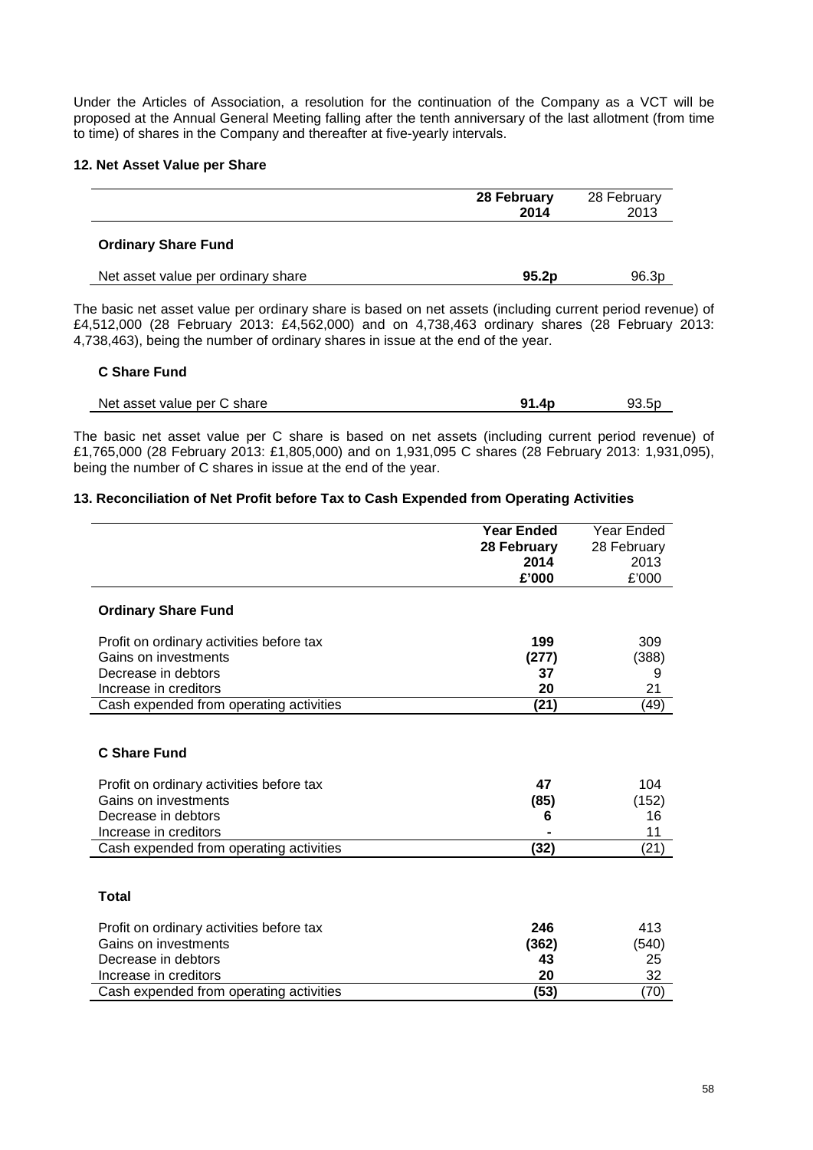Under the Articles of Association, a resolution for the continuation of the Company as a VCT will be proposed at the Annual General Meeting falling after the tenth anniversary of the last allotment (from time to time) of shares in the Company and thereafter at five-yearly intervals.

#### **12. Net Asset Value per Share**

|                                    | 28 February<br>2014 | 28 February<br>2013 |
|------------------------------------|---------------------|---------------------|
| <b>Ordinary Share Fund</b>         |                     |                     |
| Net asset value per ordinary share | 95.2p               | 96.3p               |

The basic net asset value per ordinary share is based on net assets (including current period revenue) of £4,512,000 (28 February 2013: £4,562,000) and on 4,738,463 ordinary shares (28 February 2013: 4,738,463), being the number of ordinary shares in issue at the end of the year.

#### **C Share Fund**

| Net asset value per C share | 91.4 <sub>p</sub> | 93.5 <sub>p</sub> |
|-----------------------------|-------------------|-------------------|
|-----------------------------|-------------------|-------------------|

The basic net asset value per C share is based on net assets (including current period revenue) of £1,765,000 (28 February 2013: £1,805,000) and on 1,931,095 C shares (28 February 2013: 1,931,095), being the number of C shares in issue at the end of the year.

### **13. Reconciliation of Net Profit before Tax to Cash Expended from Operating Activities**

|                                          | <b>Year Ended</b><br>28 February<br>2014<br>£'000 | <b>Year Ended</b><br>28 February<br>2013<br>£'000 |
|------------------------------------------|---------------------------------------------------|---------------------------------------------------|
| <b>Ordinary Share Fund</b>               |                                                   |                                                   |
| Profit on ordinary activities before tax | 199                                               | 309                                               |
| Gains on investments                     | (277)                                             | (388)                                             |
| Decrease in debtors                      | 37                                                | 9                                                 |
| Increase in creditors                    | 20                                                | 21                                                |
| Cash expended from operating activities  | (21)                                              | (49)                                              |
| C Share Fund                             |                                                   |                                                   |
| Profit on ordinary activities before tax | 47                                                | 104                                               |
| Gains on investments                     | (85)                                              | (152)                                             |
| Decrease in debtors                      | 6                                                 | 16                                                |
| Increase in creditors                    |                                                   | 11                                                |
| Cash expended from operating activities  | (32)                                              | (21)                                              |
| <b>Total</b>                             |                                                   |                                                   |
| Profit on ordinary activities before tax | 246                                               | 413                                               |
| Gains on investments                     | (362)                                             | (540)                                             |
| Decrease in debtors                      | 43                                                | 25                                                |
| Increase in creditors                    | 20                                                | 32                                                |
| Cash expended from operating activities  | (53)                                              | (70)                                              |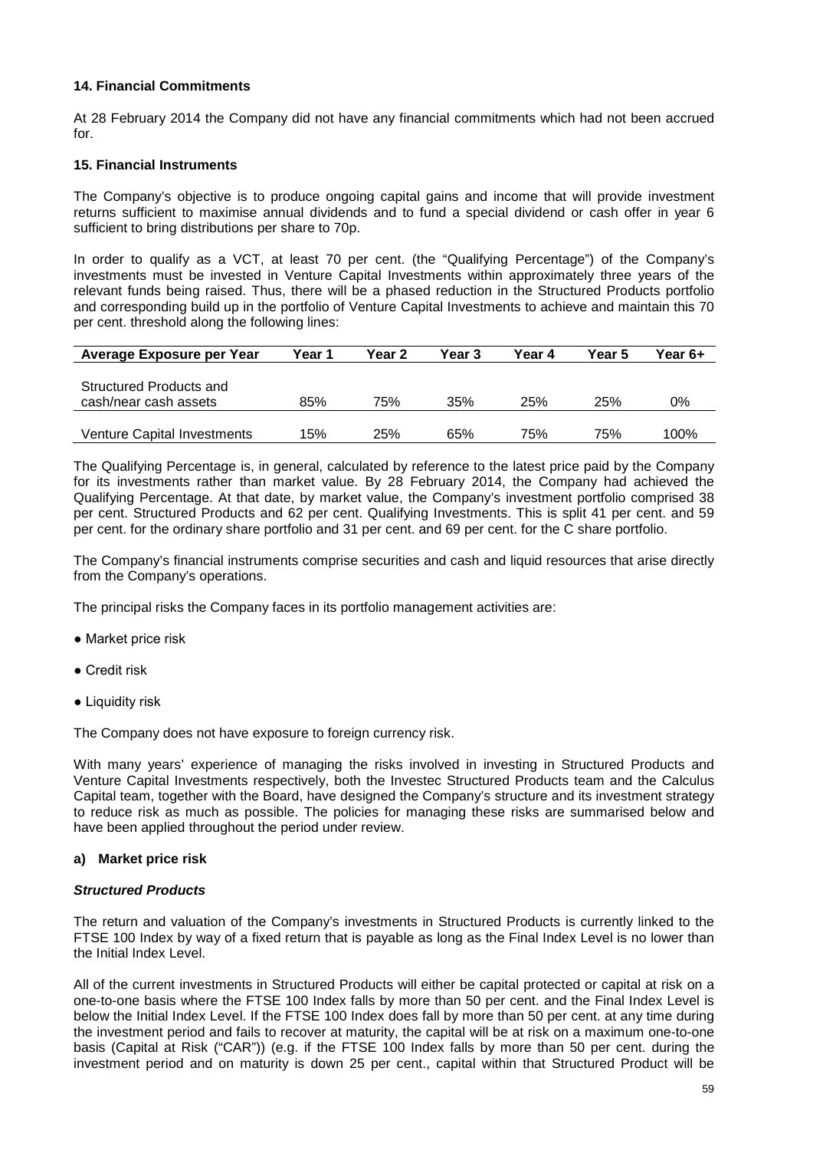## **14. Financial Commitments**

At 28 February 2014 the Company did not have any financial commitments which had not been accrued for.

### **15. Financial Instruments**

The Company's objective is to produce ongoing capital gains and income that will provide investment returns sufficient to maximise annual dividends and to fund a special dividend or cash offer in year 6 sufficient to bring distributions per share to 70p.

In order to qualify as a VCT, at least 70 per cent. (the "Qualifying Percentage") of the Company's investments must be invested in Venture Capital Investments within approximately three years of the relevant funds being raised. Thus, there will be a phased reduction in the Structured Products portfolio and corresponding build up in the portfolio of Venture Capital Investments to achieve and maintain this 70 per cent. threshold along the following lines:

| Average Exposure per Year                        | Year 1 | Year 2 | Year 3 | Year 4 | Year 5 | Year $6+$ |
|--------------------------------------------------|--------|--------|--------|--------|--------|-----------|
| Structured Products and<br>cash/near cash assets | 85%    | 75%    | 35%    | 25%    | 25%    | 0%        |
| <b>Venture Capital Investments</b>               | 15%    | 25%    | 65%    | 75%    | 75%    | 100%      |

The Qualifying Percentage is, in general, calculated by reference to the latest price paid by the Company for its investments rather than market value. By 28 February 2014, the Company had achieved the Qualifying Percentage. At that date, by market value, the Company's investment portfolio comprised 38 per cent. Structured Products and 62 per cent. Qualifying Investments. This is split 41 per cent. and 59 per cent. for the ordinary share portfolio and 31 per cent. and 69 per cent. for the C share portfolio.

The Company's financial instruments comprise securities and cash and liquid resources that arise directly from the Company's operations.

The principal risks the Company faces in its portfolio management activities are:

- Market price risk
- Credit risk
- Liquidity risk

The Company does not have exposure to foreign currency risk.

With many years' experience of managing the risks involved in investing in Structured Products and Venture Capital Investments respectively, both the Investec Structured Products team and the Calculus Capital team, together with the Board, have designed the Company's structure and its investment strategy to reduce risk as much as possible. The policies for managing these risks are summarised below and have been applied throughout the period under review.

# **a) Market price risk**

#### *Structured Products*

The return and valuation of the Company's investments in Structured Products is currently linked to the FTSE 100 Index by way of a fixed return that is payable as long as the Final Index Level is no lower than the Initial Index Level.

All of the current investments in Structured Products will either be capital protected or capital at risk on a one-to-one basis where the FTSE 100 Index falls by more than 50 per cent. and the Final Index Level is below the Initial Index Level. If the FTSE 100 Index does fall by more than 50 per cent. at any time during the investment period and fails to recover at maturity, the capital will be at risk on a maximum one-to-one basis (Capital at Risk ("CAR")) (e.g. if the FTSE 100 Index falls by more than 50 per cent. during the investment period and on maturity is down 25 per cent., capital within that Structured Product will be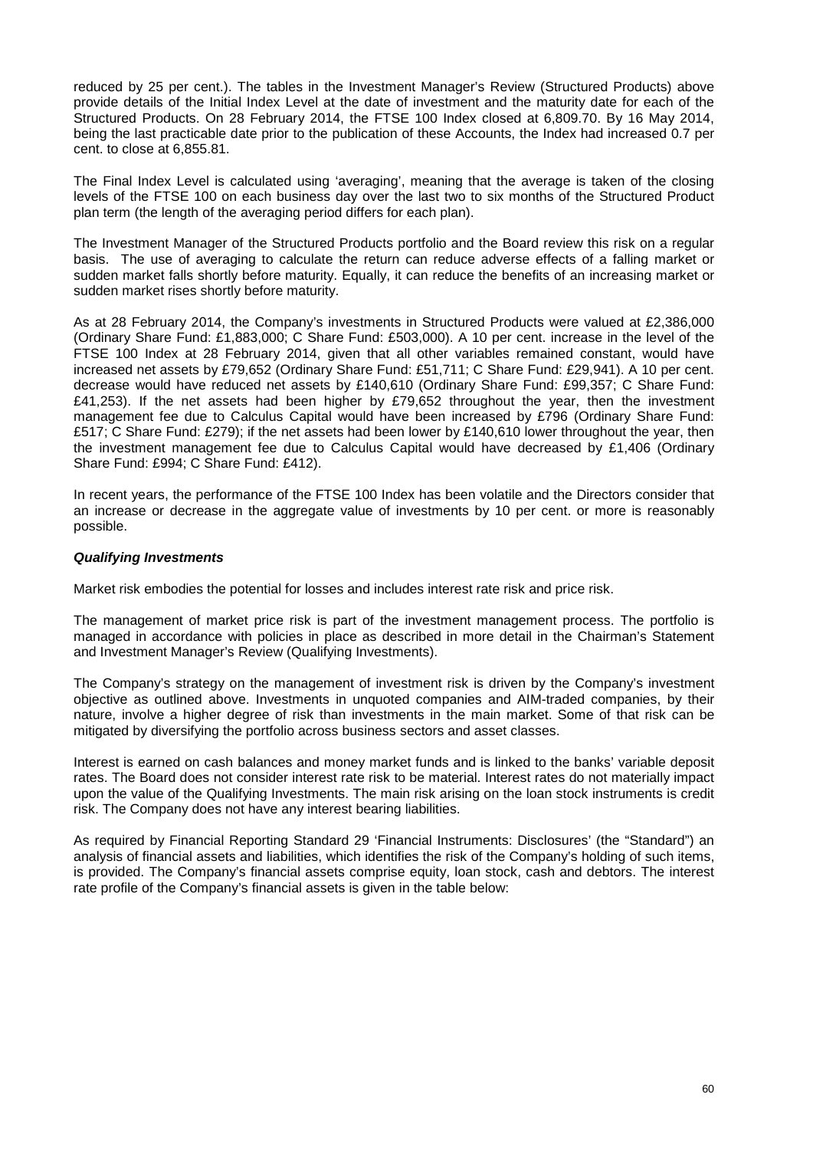reduced by 25 per cent.). The tables in the Investment Manager's Review (Structured Products) above provide details of the Initial Index Level at the date of investment and the maturity date for each of the Structured Products. On 28 February 2014, the FTSE 100 Index closed at 6,809.70. By 16 May 2014, being the last practicable date prior to the publication of these Accounts, the Index had increased 0.7 per cent. to close at 6,855.81.

The Final Index Level is calculated using 'averaging', meaning that the average is taken of the closing levels of the FTSE 100 on each business day over the last two to six months of the Structured Product plan term (the length of the averaging period differs for each plan).

The Investment Manager of the Structured Products portfolio and the Board review this risk on a regular basis. The use of averaging to calculate the return can reduce adverse effects of a falling market or sudden market falls shortly before maturity. Equally, it can reduce the benefits of an increasing market or sudden market rises shortly before maturity.

As at 28 February 2014, the Company's investments in Structured Products were valued at £2,386,000 (Ordinary Share Fund: £1,883,000; C Share Fund: £503,000). A 10 per cent. increase in the level of the FTSE 100 Index at 28 February 2014, given that all other variables remained constant, would have increased net assets by £79,652 (Ordinary Share Fund: £51,711; C Share Fund: £29,941). A 10 per cent. decrease would have reduced net assets by £140,610 (Ordinary Share Fund: £99,357; C Share Fund: £41,253). If the net assets had been higher by £79,652 throughout the year, then the investment management fee due to Calculus Capital would have been increased by £796 (Ordinary Share Fund: £517; C Share Fund: £279); if the net assets had been lower by £140,610 lower throughout the year, then the investment management fee due to Calculus Capital would have decreased by £1,406 (Ordinary Share Fund: £994; C Share Fund: £412).

In recent years, the performance of the FTSE 100 Index has been volatile and the Directors consider that an increase or decrease in the aggregate value of investments by 10 per cent, or more is reasonably possible.

### *Qualifying Investments*

Market risk embodies the potential for losses and includes interest rate risk and price risk.

The management of market price risk is part of the investment management process. The portfolio is managed in accordance with policies in place as described in more detail in the Chairman's Statement and Investment Manager's Review (Qualifying Investments).

The Company's strategy on the management of investment risk is driven by the Company's investment objective as outlined above. Investments in unquoted companies and AIM-traded companies, by their nature, involve a higher degree of risk than investments in the main market. Some of that risk can be mitigated by diversifying the portfolio across business sectors and asset classes.

Interest is earned on cash balances and money market funds and is linked to the banks' variable deposit rates. The Board does not consider interest rate risk to be material. Interest rates do not materially impact upon the value of the Qualifying Investments. The main risk arising on the loan stock instruments is credit risk. The Company does not have any interest bearing liabilities.

As required by Financial Reporting Standard 29 'Financial Instruments: Disclosures' (the "Standard") an analysis of financial assets and liabilities, which identifies the risk of the Company's holding of such items, is provided. The Company's financial assets comprise equity, loan stock, cash and debtors. The interest rate profile of the Company's financial assets is given in the table below: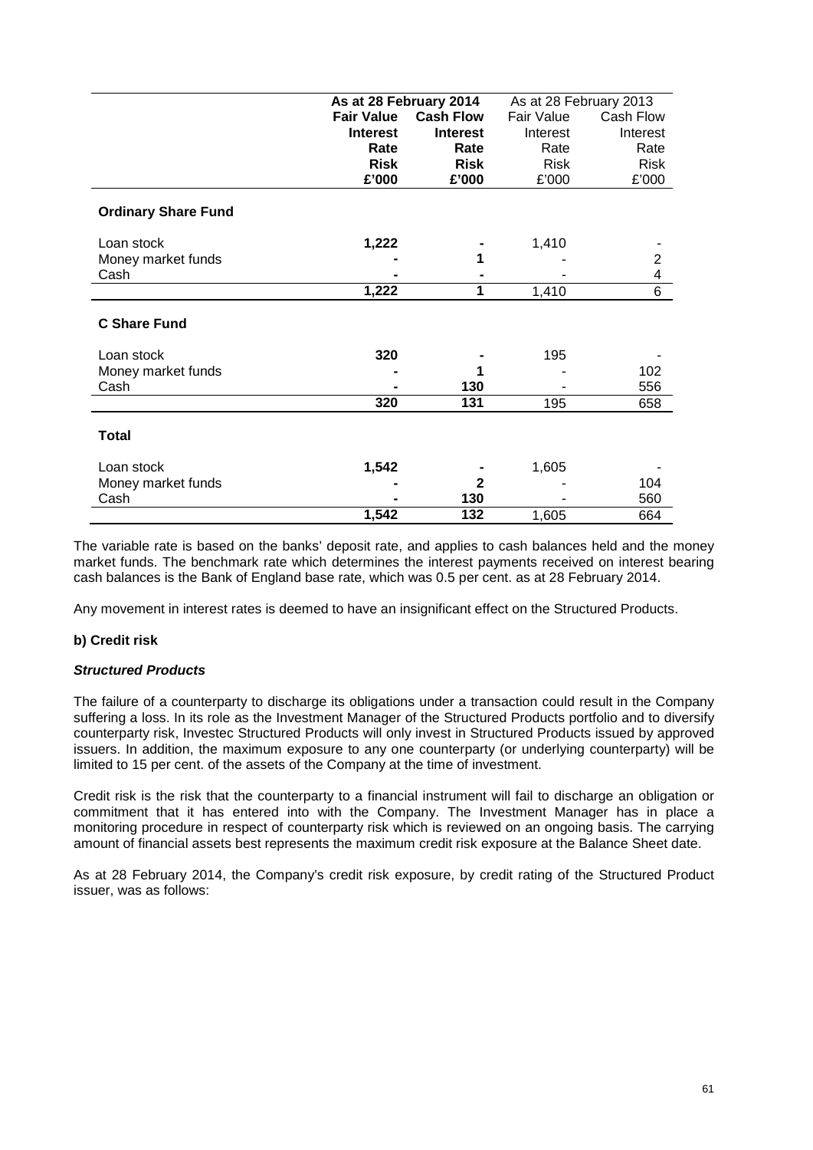|                            | As at 28 February 2014 |                  | As at 28 February 2013 |             |
|----------------------------|------------------------|------------------|------------------------|-------------|
|                            |                        |                  |                        |             |
|                            | <b>Fair Value</b>      | <b>Cash Flow</b> | Fair Value             | Cash Flow   |
|                            | <b>Interest</b>        | <b>Interest</b>  | Interest               | Interest    |
|                            | Rate                   | Rate             | Rate                   | Rate        |
|                            | <b>Risk</b>            | <b>Risk</b>      | <b>Risk</b>            | <b>Risk</b> |
|                            | £'000                  | £'000            | £'000                  | £'000       |
| <b>Ordinary Share Fund</b> |                        |                  |                        |             |
| Loan stock                 | 1,222                  |                  | 1,410                  |             |
| Money market funds         |                        | 1                |                        | 2           |
| Cash                       |                        |                  |                        | 4           |
|                            | 1,222                  | 1                | 1,410                  | 6           |
| <b>C Share Fund</b>        |                        |                  |                        |             |
| Loan stock                 | 320                    |                  | 195                    |             |
| Money market funds         |                        | 1                |                        | 102         |
| Cash                       |                        | 130              |                        | 556         |
|                            | 320                    | 131              | 195                    | 658         |
| <b>Total</b>               |                        |                  |                        |             |
| Loan stock                 | 1,542                  |                  | 1,605                  |             |
| Money market funds         |                        | $\mathbf{2}$     |                        | 104         |
| Cash                       |                        | 130              |                        | 560         |
|                            | 1,542                  | 132              | 1,605                  | 664         |

The variable rate is based on the banks' deposit rate, and applies to cash balances held and the money market funds. The benchmark rate which determines the interest payments received on interest bearing cash balances is the Bank of England base rate, which was 0.5 per cent. as at 28 February 2014.

Any movement in interest rates is deemed to have an insignificant effect on the Structured Products.

# **b) Credit risk**

#### *Structured Products*

The failure of a counterparty to discharge its obligations under a transaction could result in the Company suffering a loss. In its role as the Investment Manager of the Structured Products portfolio and to diversify counterparty risk, Investec Structured Products will only invest in Structured Products issued by approved issuers. In addition, the maximum exposure to any one counterparty (or underlying counterparty) will be limited to 15 per cent. of the assets of the Company at the time of investment.

Credit risk is the risk that the counterparty to a financial instrument will fail to discharge an obligation or commitment that it has entered into with the Company. The Investment Manager has in place a monitoring procedure in respect of counterparty risk which is reviewed on an ongoing basis. The carrying amount of financial assets best represents the maximum credit risk exposure at the Balance Sheet date.

As at 28 February 2014, the Company's credit risk exposure, by credit rating of the Structured Product issuer, was as follows: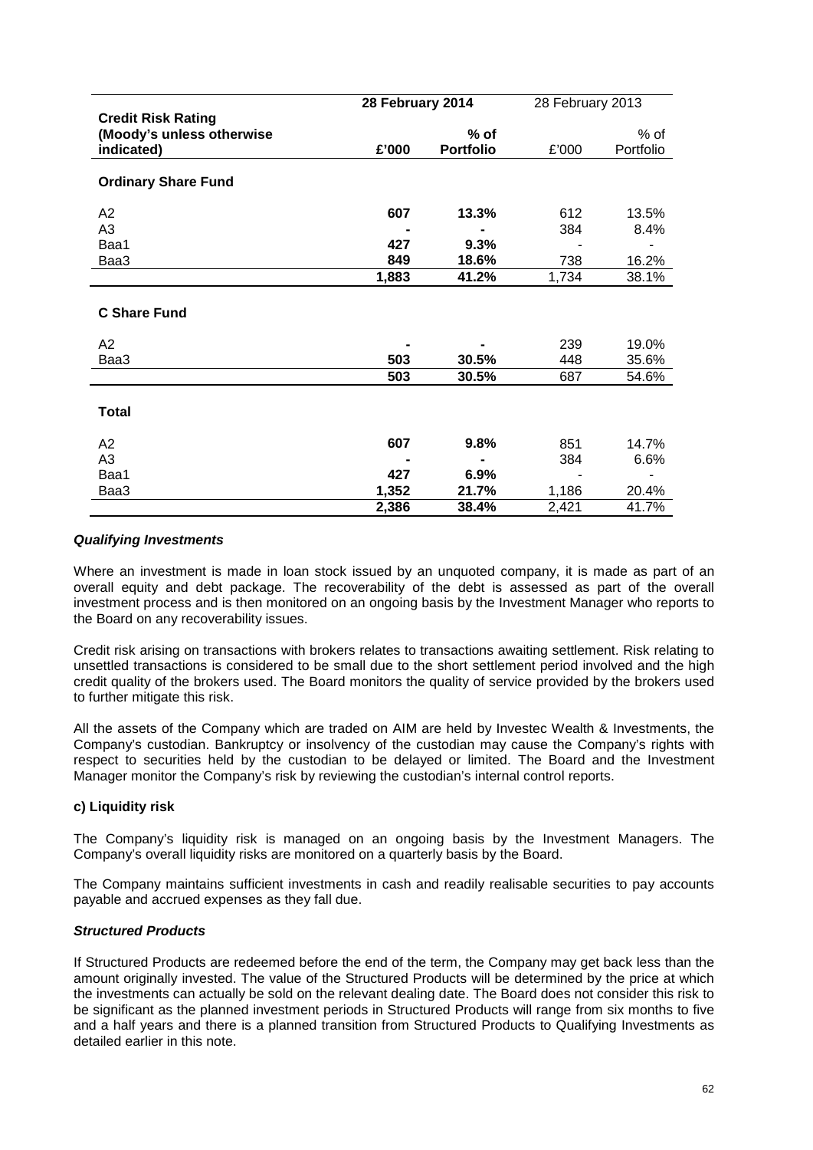|                                                        | 28 February 2014 |                  | 28 February 2013 |           |
|--------------------------------------------------------|------------------|------------------|------------------|-----------|
| <b>Credit Risk Rating</b><br>(Moody's unless otherwise |                  | $%$ of           |                  | % of      |
| indicated)                                             | £'000            | <b>Portfolio</b> | £'000            | Portfolio |
| <b>Ordinary Share Fund</b>                             |                  |                  |                  |           |
| A2                                                     | 607              | 13.3%            | 612              | 13.5%     |
| A <sub>3</sub>                                         |                  |                  | 384              | 8.4%      |
| Baa1                                                   | 427              | 9.3%             |                  |           |
| Baa3                                                   | 849              | 18.6%            | 738              | 16.2%     |
|                                                        | 1,883            | 41.2%            | 1,734            | 38.1%     |
| <b>C Share Fund</b>                                    |                  |                  |                  |           |
| A2                                                     |                  |                  | 239              | 19.0%     |
| Baa3                                                   | 503              | 30.5%            | 448              | 35.6%     |
|                                                        | 503              | 30.5%            | 687              | 54.6%     |
| <b>Total</b>                                           |                  |                  |                  |           |
| A2                                                     | 607              | 9.8%             | 851              | 14.7%     |
| A <sub>3</sub>                                         |                  |                  | 384              | 6.6%      |
| Baa1                                                   | 427              | 6.9%             |                  |           |
| Baa3                                                   | 1,352            | 21.7%            | 1,186            | 20.4%     |
|                                                        | 2,386            | 38.4%            | 2,421            | 41.7%     |

#### *Qualifying Investments*

Where an investment is made in loan stock issued by an unquoted company, it is made as part of an overall equity and debt package. The recoverability of the debt is assessed as part of the overall investment process and is then monitored on an ongoing basis by the Investment Manager who reports to the Board on any recoverability issues.

Credit risk arising on transactions with brokers relates to transactions awaiting settlement. Risk relating to unsettled transactions is considered to be small due to the short settlement period involved and the high credit quality of the brokers used. The Board monitors the quality of service provided by the brokers used to further mitigate this risk.

All the assets of the Company which are traded on AIM are held by Investec Wealth & Investments, the Company's custodian. Bankruptcy or insolvency of the custodian may cause the Company's rights with respect to securities held by the custodian to be delayed or limited. The Board and the Investment Manager monitor the Company's risk by reviewing the custodian's internal control reports.

# **c) Liquidity risk**

The Company's liquidity risk is managed on an ongoing basis by the Investment Managers. The Company's overall liquidity risks are monitored on a quarterly basis by the Board.

The Company maintains sufficient investments in cash and readily realisable securities to pay accounts payable and accrued expenses as they fall due.

#### *Structured Products*

If Structured Products are redeemed before the end of the term, the Company may get back less than the amount originally invested. The value of the Structured Products will be determined by the price at which the investments can actually be sold on the relevant dealing date. The Board does not consider this risk to be significant as the planned investment periods in Structured Products will range from six months to five and a half years and there is a planned transition from Structured Products to Qualifying Investments as detailed earlier in this note.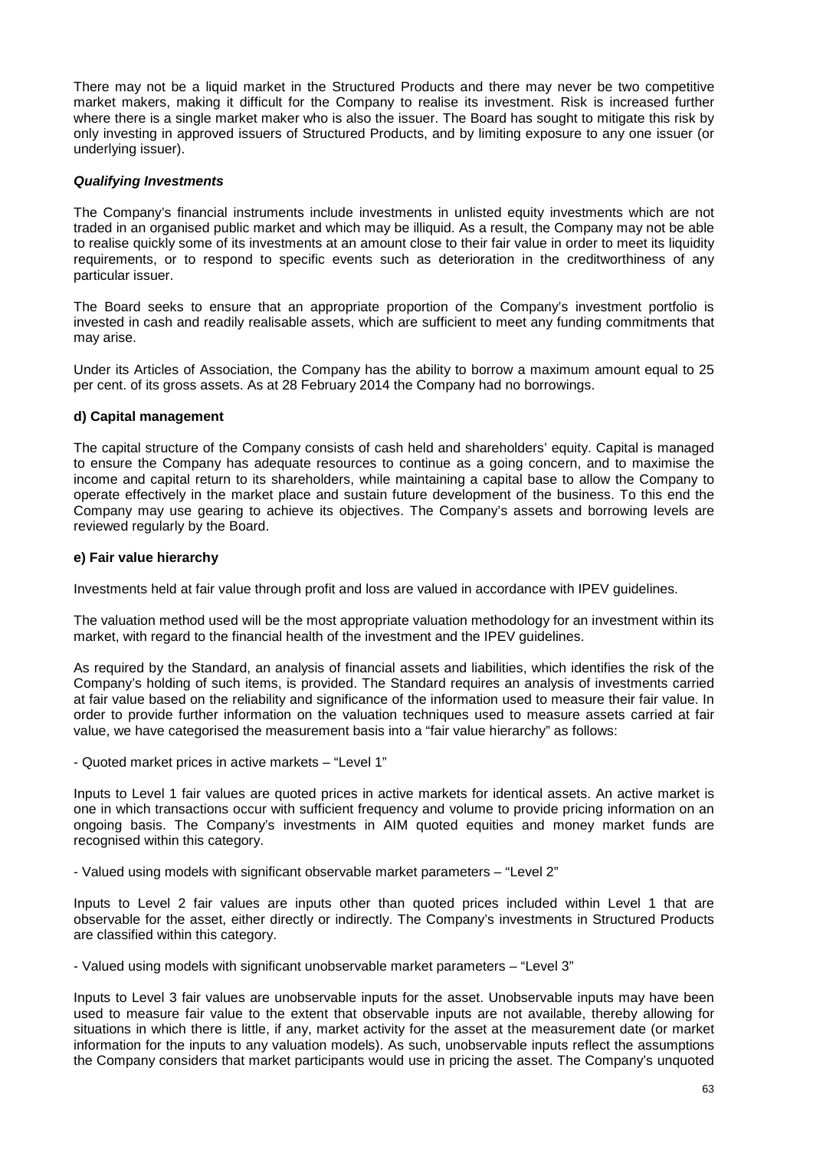There may not be a liquid market in the Structured Products and there may never be two competitive market makers, making it difficult for the Company to realise its investment. Risk is increased further where there is a single market maker who is also the issuer. The Board has sought to mitigate this risk by only investing in approved issuers of Structured Products, and by limiting exposure to any one issuer (or underlying issuer).

### *Qualifying Investments*

The Company's financial instruments include investments in unlisted equity investments which are not traded in an organised public market and which may be illiquid. As a result, the Company may not be able to realise quickly some of its investments at an amount close to their fair value in order to meet its liquidity requirements, or to respond to specific events such as deterioration in the creditworthiness of any particular issuer.

The Board seeks to ensure that an appropriate proportion of the Company's investment portfolio is invested in cash and readily realisable assets, which are sufficient to meet any funding commitments that may arise.

Under its Articles of Association, the Company has the ability to borrow a maximum amount equal to 25 per cent. of its gross assets. As at 28 February 2014 the Company had no borrowings.

### **d) Capital management**

The capital structure of the Company consists of cash held and shareholders' equity. Capital is managed to ensure the Company has adequate resources to continue as a going concern, and to maximise the income and capital return to its shareholders, while maintaining a capital base to allow the Company to operate effectively in the market place and sustain future development of the business. To this end the Company may use gearing to achieve its objectives. The Company's assets and borrowing levels are reviewed regularly by the Board.

### **e) Fair value hierarchy**

Investments held at fair value through profit and loss are valued in accordance with IPEV guidelines.

The valuation method used will be the most appropriate valuation methodology for an investment within its market, with regard to the financial health of the investment and the IPEV guidelines.

As required by the Standard, an analysis of financial assets and liabilities, which identifies the risk of the Company's holding of such items, is provided. The Standard requires an analysis of investments carried at fair value based on the reliability and significance of the information used to measure their fair value. In order to provide further information on the valuation techniques used to measure assets carried at fair value, we have categorised the measurement basis into a "fair value hierarchy" as follows:

- Quoted market prices in active markets – "Level 1"

Inputs to Level 1 fair values are quoted prices in active markets for identical assets. An active market is one in which transactions occur with sufficient frequency and volume to provide pricing information on an ongoing basis. The Company's investments in AIM quoted equities and money market funds are recognised within this category.

- Valued using models with significant observable market parameters – "Level 2"

Inputs to Level 2 fair values are inputs other than quoted prices included within Level 1 that are observable for the asset, either directly or indirectly. The Company's investments in Structured Products are classified within this category.

- Valued using models with significant unobservable market parameters – "Level 3"

Inputs to Level 3 fair values are unobservable inputs for the asset. Unobservable inputs may have been used to measure fair value to the extent that observable inputs are not available, thereby allowing for situations in which there is little, if any, market activity for the asset at the measurement date (or market information for the inputs to any valuation models). As such, unobservable inputs reflect the assumptions the Company considers that market participants would use in pricing the asset. The Company's unquoted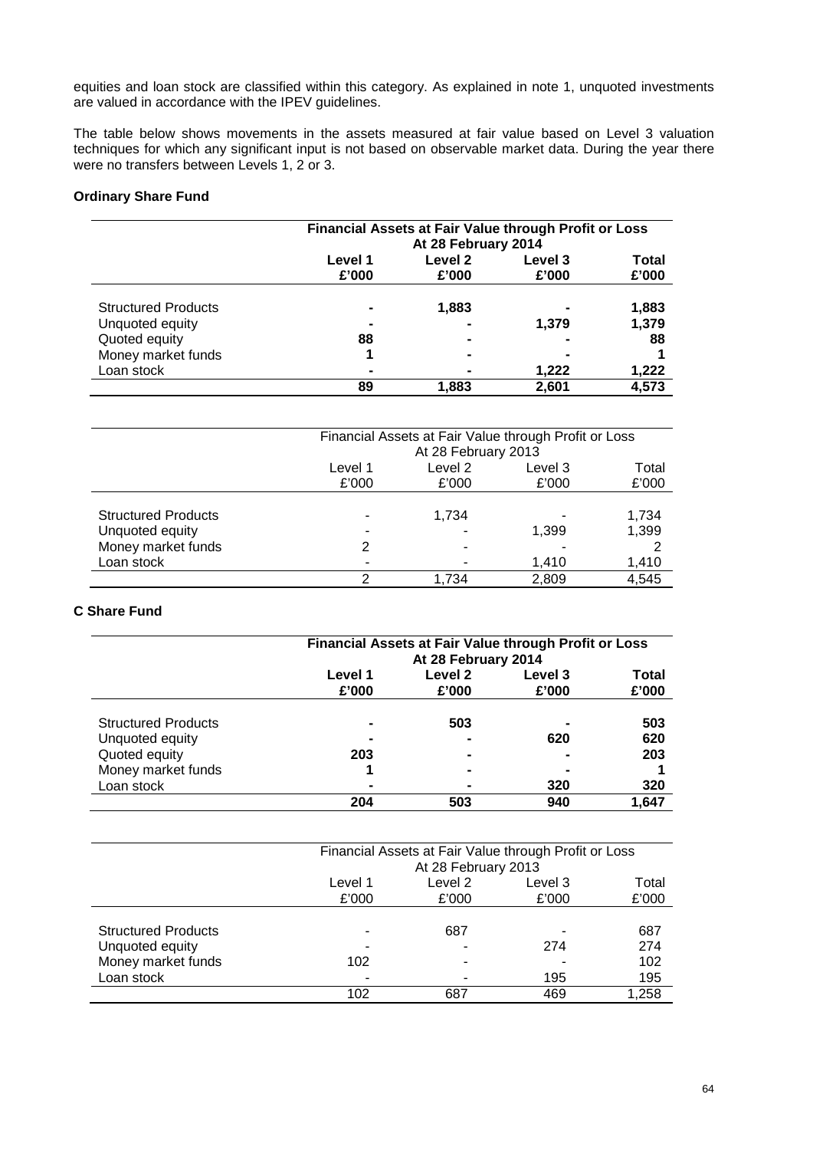equities and loan stock are classified within this category. As explained in note 1, unquoted investments are valued in accordance with the IPEV guidelines.

The table below shows movements in the assets measured at fair value based on Level 3 valuation techniques for which any significant input is not based on observable market data. During the year there were no transfers between Levels 1, 2 or 3.

# **Ordinary Share Fund**

|                            | <b>Financial Assets at Fair Value through Profit or Loss</b><br>At 28 February 2014 |                  |                  |                       |
|----------------------------|-------------------------------------------------------------------------------------|------------------|------------------|-----------------------|
|                            | Level 1<br>£'000                                                                    | Level 2<br>£'000 | Level 3<br>£'000 | <b>Total</b><br>£'000 |
| <b>Structured Products</b> |                                                                                     | 1,883            |                  | 1,883                 |
| Unquoted equity            |                                                                                     |                  | 1,379            | 1,379                 |
| Quoted equity              | 88                                                                                  |                  |                  | 88                    |
| Money market funds         |                                                                                     |                  |                  |                       |
| Loan stock                 |                                                                                     |                  | 1.222            | 1,222                 |
|                            | 89                                                                                  | 1.883            | 2,601            | 4,573                 |

|                            | Financial Assets at Fair Value through Profit or Loss<br>At 28 February 2013 |         |         |       |
|----------------------------|------------------------------------------------------------------------------|---------|---------|-------|
|                            | Level 1                                                                      | Level 2 | Level 3 | Total |
|                            | £'000                                                                        | £'000   | £'000   | £'000 |
| <b>Structured Products</b> |                                                                              | 1.734   |         | 1,734 |
| Unquoted equity            |                                                                              |         | 1,399   | 1,399 |
| Money market funds         | 2                                                                            |         |         |       |
| Loan stock                 |                                                                              |         | 1,410   | 1,410 |
|                            | っ                                                                            | .734    | 2,809   | 4,545 |

# **C Share Fund**

|                            | <b>Financial Assets at Fair Value through Profit or Loss</b><br>At 28 February 2014 |                  |                  |                       |
|----------------------------|-------------------------------------------------------------------------------------|------------------|------------------|-----------------------|
|                            | Level 1<br>£'000                                                                    | Level 2<br>£'000 | Level 3<br>£'000 | <b>Total</b><br>£'000 |
| <b>Structured Products</b> |                                                                                     | 503              |                  | 503                   |
| Unquoted equity            |                                                                                     |                  | 620              | 620                   |
| Quoted equity              | 203                                                                                 |                  |                  | 203                   |
| Money market funds         |                                                                                     |                  |                  |                       |
| Loan stock                 |                                                                                     |                  | 320              | 320                   |
|                            | 204                                                                                 | 503              | 940              | 1,647                 |

|                            | Financial Assets at Fair Value through Profit or Loss<br>At 28 February 2013 |         |         |       |
|----------------------------|------------------------------------------------------------------------------|---------|---------|-------|
|                            | Level 1                                                                      | Level 2 | Level 3 | Total |
|                            | £'000                                                                        | £'000   | £'000   | £'000 |
| <b>Structured Products</b> |                                                                              | 687     |         | 687   |
| Unquoted equity            |                                                                              |         | 274     | 274   |
| Money market funds         | 102                                                                          |         |         | 102   |
| Loan stock                 |                                                                              |         | 195     | 195   |
|                            | 102                                                                          | 687     | 469     | ,258  |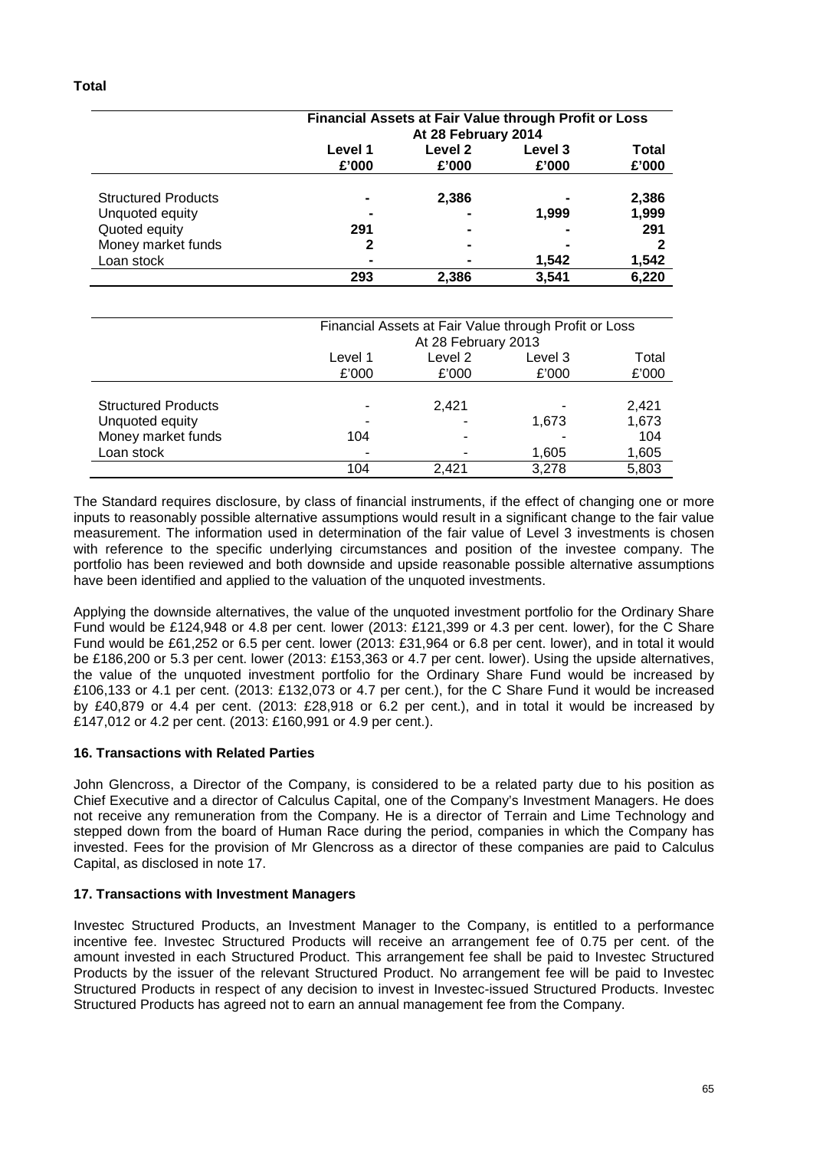# **Total**

|                            | Financial Assets at Fair Value through Profit or Loss<br>At 28 February 2014 |                  |                  |                |
|----------------------------|------------------------------------------------------------------------------|------------------|------------------|----------------|
|                            | Level 1<br>£'000                                                             | Level 2<br>£'000 | Level 3<br>£'000 | Total<br>£'000 |
| <b>Structured Products</b> |                                                                              | 2,386            |                  | 2,386          |
| Unquoted equity            |                                                                              |                  | 1.999            | 1,999          |
| Quoted equity              | 291                                                                          |                  |                  | 291            |
| Money market funds         | 2                                                                            |                  |                  |                |
| Loan stock                 |                                                                              |                  | 1,542            | 1,542          |
|                            | 293                                                                          | 2,386            | 3,541            | 6,220          |

|                            | Financial Assets at Fair Value through Profit or Loss<br>At 28 February 2013 |       |       |       |  |
|----------------------------|------------------------------------------------------------------------------|-------|-------|-------|--|
|                            | Level 2<br>Level 1<br>Level 3                                                |       |       |       |  |
|                            | £'000                                                                        | £'000 | £'000 | £'000 |  |
| <b>Structured Products</b> |                                                                              | 2.421 |       | 2.421 |  |
| Unquoted equity            |                                                                              |       | 1,673 | 1,673 |  |
| Money market funds         | 104                                                                          |       |       | 104   |  |
| Loan stock                 |                                                                              |       | 1,605 | 1,605 |  |
|                            | 104                                                                          | 2.421 | 3,278 | 5,803 |  |

The Standard requires disclosure, by class of financial instruments, if the effect of changing one or more inputs to reasonably possible alternative assumptions would result in a significant change to the fair value measurement. The information used in determination of the fair value of Level 3 investments is chosen with reference to the specific underlying circumstances and position of the investee company. The portfolio has been reviewed and both downside and upside reasonable possible alternative assumptions have been identified and applied to the valuation of the unquoted investments.

Applying the downside alternatives, the value of the unquoted investment portfolio for the Ordinary Share Fund would be £124,948 or 4.8 per cent. lower (2013: £121,399 or 4.3 per cent. lower), for the C Share Fund would be £61,252 or 6.5 per cent. lower (2013: £31,964 or 6.8 per cent. lower), and in total it would be £186,200 or 5.3 per cent. lower (2013: £153,363 or 4.7 per cent. lower). Using the upside alternatives, the value of the unquoted investment portfolio for the Ordinary Share Fund would be increased by £106,133 or 4.1 per cent. (2013: £132,073 or 4.7 per cent.), for the C Share Fund it would be increased by £40,879 or 4.4 per cent. (2013: £28,918 or 6.2 per cent.), and in total it would be increased by £147,012 or 4.2 per cent. (2013: £160,991 or 4.9 per cent.).

# **16. Transactions with Related Parties**

John Glencross, a Director of the Company, is considered to be a related party due to his position as Chief Executive and a director of Calculus Capital, one of the Company's Investment Managers. He does not receive any remuneration from the Company. He is a director of Terrain and Lime Technology and stepped down from the board of Human Race during the period, companies in which the Company has invested. Fees for the provision of Mr Glencross as a director of these companies are paid to Calculus Capital, as disclosed in note 17.

# **17. Transactions with Investment Managers**

Investec Structured Products, an Investment Manager to the Company, is entitled to a performance incentive fee. Investec Structured Products will receive an arrangement fee of 0.75 per cent. of the amount invested in each Structured Product. This arrangement fee shall be paid to Investec Structured Products by the issuer of the relevant Structured Product. No arrangement fee will be paid to Investec Structured Products in respect of any decision to invest in Investec-issued Structured Products. Investec Structured Products has agreed not to earn an annual management fee from the Company.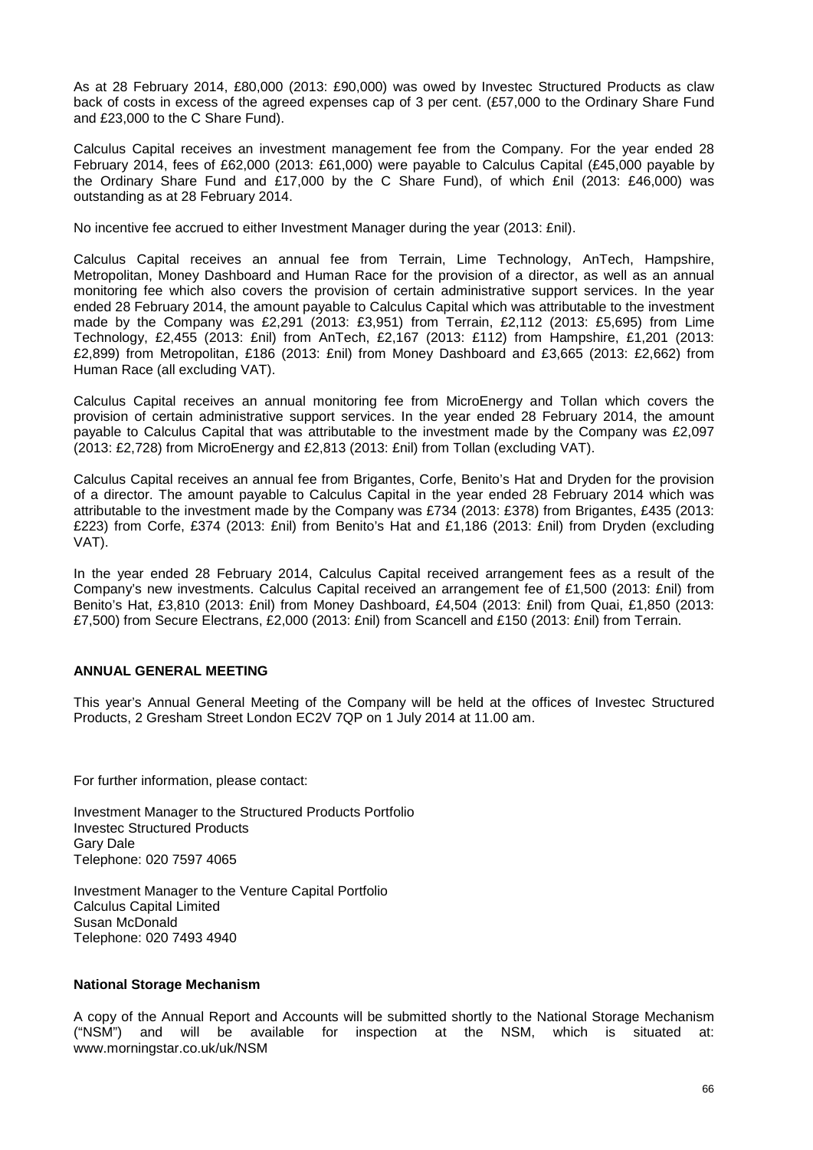As at 28 February 2014, £80,000 (2013: £90,000) was owed by Investec Structured Products as claw back of costs in excess of the agreed expenses cap of 3 per cent. (£57,000 to the Ordinary Share Fund and £23,000 to the C Share Fund).

Calculus Capital receives an investment management fee from the Company. For the year ended 28 February 2014, fees of £62,000 (2013: £61,000) were payable to Calculus Capital (£45,000 payable by the Ordinary Share Fund and £17,000 by the C Share Fund), of which £nil (2013: £46,000) was outstanding as at 28 February 2014.

No incentive fee accrued to either Investment Manager during the year (2013: £nil).

Calculus Capital receives an annual fee from Terrain, Lime Technology, AnTech, Hampshire, Metropolitan, Money Dashboard and Human Race for the provision of a director, as well as an annual monitoring fee which also covers the provision of certain administrative support services. In the year ended 28 February 2014, the amount payable to Calculus Capital which was attributable to the investment made by the Company was £2,291 (2013: £3,951) from Terrain, £2,112 (2013: £5,695) from Lime Technology, £2,455 (2013: £nil) from AnTech, £2,167 (2013: £112) from Hampshire, £1,201 (2013: £2,899) from Metropolitan, £186 (2013: £nil) from Money Dashboard and £3,665 (2013: £2,662) from Human Race (all excluding VAT).

Calculus Capital receives an annual monitoring fee from MicroEnergy and Tollan which covers the provision of certain administrative support services. In the year ended 28 February 2014, the amount payable to Calculus Capital that was attributable to the investment made by the Company was £2,097 (2013: £2,728) from MicroEnergy and £2,813 (2013: £nil) from Tollan (excluding VAT).

Calculus Capital receives an annual fee from Brigantes, Corfe, Benito's Hat and Dryden for the provision of a director. The amount payable to Calculus Capital in the year ended 28 February 2014 which was attributable to the investment made by the Company was £734 (2013: £378) from Brigantes, £435 (2013: £223) from Corfe, £374 (2013: £nil) from Benito's Hat and £1,186 (2013: £nil) from Dryden (excluding VAT).

In the year ended 28 February 2014, Calculus Capital received arrangement fees as a result of the Company's new investments. Calculus Capital received an arrangement fee of £1,500 (2013: £nil) from Benito's Hat, £3,810 (2013: £nil) from Money Dashboard, £4,504 (2013: £nil) from Quai, £1,850 (2013: £7,500) from Secure Electrans, £2,000 (2013: £nil) from Scancell and £150 (2013: £nil) from Terrain.

#### **ANNUAL GENERAL MEETING**

This year's Annual General Meeting of the Company will be held at the offices of Investec Structured Products, 2 Gresham Street London EC2V 7QP on 1 July 2014 at 11.00 am.

For further information, please contact:

Investment Manager to the Structured Products Portfolio Investec Structured Products Gary Dale Telephone: 020 7597 4065

Investment Manager to the Venture Capital Portfolio Calculus Capital Limited Susan McDonald Telephone: 020 7493 4940

#### **National Storage Mechanism**

A copy of the Annual Report and Accounts will be submitted shortly to the National Storage Mechanism ("NSM") and will be available for inspection at the NSM, which is situated at: www.morningstar.co.uk/uk/NSM